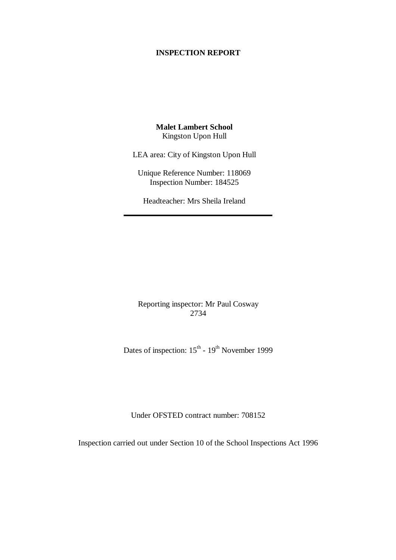#### **INSPECTION REPORT**

**Malet Lambert School** Kingston Upon Hull

LEA area: City of Kingston Upon Hull

Unique Reference Number: 118069 Inspection Number: 184525

Headteacher: Mrs Sheila Ireland

Reporting inspector: Mr Paul Cosway 2734

Dates of inspection:  $15^{th}$  -  $19^{th}$  November 1999

Under OFSTED contract number: 708152

Inspection carried out under Section 10 of the School Inspections Act 1996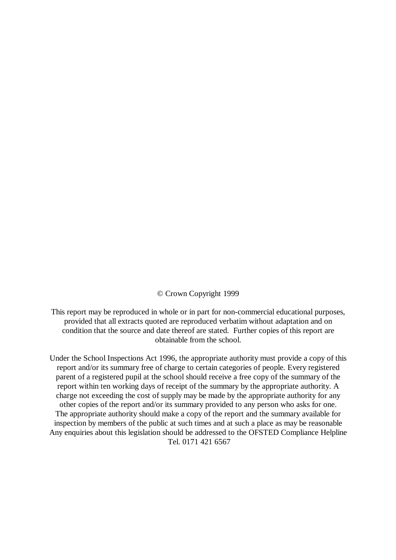© Crown Copyright 1999

This report may be reproduced in whole or in part for non-commercial educational purposes, provided that all extracts quoted are reproduced verbatim without adaptation and on condition that the source and date thereof are stated. Further copies of this report are obtainable from the school.

Under the School Inspections Act 1996, the appropriate authority must provide a copy of this report and/or its summary free of charge to certain categories of people. Every registered parent of a registered pupil at the school should receive a free copy of the summary of the report within ten working days of receipt of the summary by the appropriate authority. A charge not exceeding the cost of supply may be made by the appropriate authority for any other copies of the report and/or its summary provided to any person who asks for one. The appropriate authority should make a copy of the report and the summary available for inspection by members of the public at such times and at such a place as may be reasonable Any enquiries about this legislation should be addressed to the OFSTED Compliance Helpline Tel. 0171 421 6567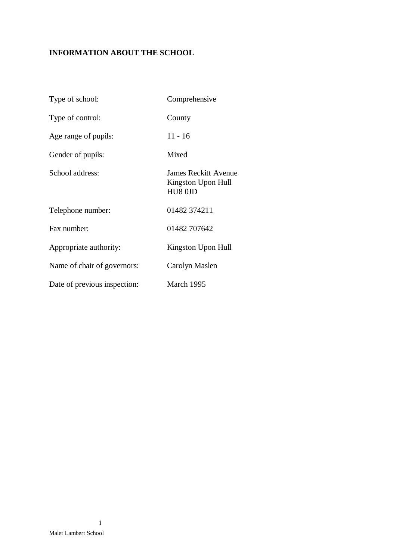# **INFORMATION ABOUT THE SCHOOL**

| Type of school:              | Comprehensive                                                |
|------------------------------|--------------------------------------------------------------|
| Type of control:             | County                                                       |
| Age range of pupils:         | $11 - 16$                                                    |
| Gender of pupils:            | Mixed                                                        |
| School address:              | <b>James Reckitt Avenue</b><br>Kingston Upon Hull<br>HU8 0JD |
| Telephone number:            | 01482 374211                                                 |
| Fax number:                  | 01482 707642                                                 |
| Appropriate authority:       | Kingston Upon Hull                                           |
| Name of chair of governors:  | Carolyn Maslen                                               |
| Date of previous inspection: | March 1995                                                   |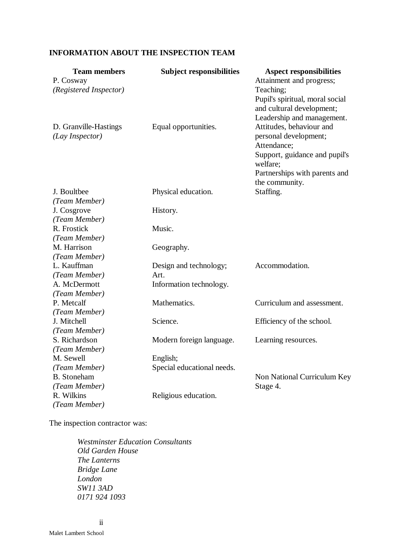## **INFORMATION ABOUT THE INSPECTION TEAM**

| <b>Team members</b><br>P. Cosway                 | <b>Subject responsibilities</b>        | <b>Aspect responsibilities</b><br>Attainment and progress;                                                                                                       |
|--------------------------------------------------|----------------------------------------|------------------------------------------------------------------------------------------------------------------------------------------------------------------|
| (Registered Inspector)                           |                                        | Teaching;<br>Pupil's spiritual, moral social<br>and cultural development;<br>Leadership and management.                                                          |
| D. Granville-Hastings<br>(Lay Inspector)         | Equal opportunities.                   | Attitudes, behaviour and<br>personal development;<br>Attendance;<br>Support, guidance and pupil's<br>welfare;<br>Partnerships with parents and<br>the community. |
| J. Boultbee<br>(Team Member)                     | Physical education.                    | Staffing.                                                                                                                                                        |
| J. Cosgrove<br>(Team Member)                     | History.                               |                                                                                                                                                                  |
| R. Frostick<br>(Team Member)                     | Music.                                 |                                                                                                                                                                  |
| M. Harrison<br>(Team Member)                     | Geography.                             |                                                                                                                                                                  |
| L. Kauffman<br>(Team Member)                     | Design and technology;<br>Art.         | Accommodation.                                                                                                                                                   |
| A. McDermott<br>(Team Member)                    | Information technology.                |                                                                                                                                                                  |
| P. Metcalf<br>(Team Member)                      | Mathematics.                           | Curriculum and assessment.                                                                                                                                       |
| J. Mitchell<br>(Team Member)                     | Science.                               | Efficiency of the school.                                                                                                                                        |
| S. Richardson<br>(Team Member)                   | Modern foreign language.               | Learning resources.                                                                                                                                              |
| M. Sewell<br>(Team Member)<br><b>B.</b> Stoneham | English;<br>Special educational needs. | Non National Curriculum Key                                                                                                                                      |
| (Team Member)<br>R. Wilkins<br>(Team Member)     | Religious education.                   | Stage 4.                                                                                                                                                         |

The inspection contractor was:

*Westminster Education Consultants Old Garden House The Lanterns Bridge Lane London SW11 3AD 0171 924 1093*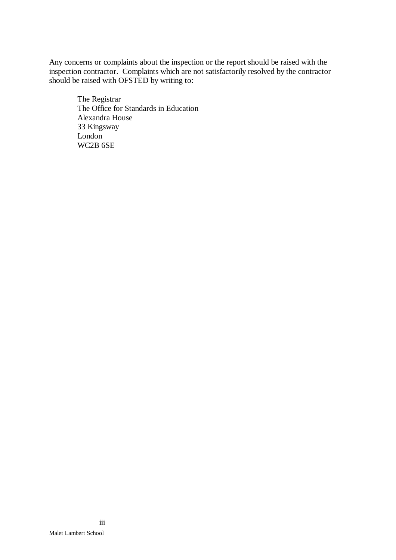Any concerns or complaints about the inspection or the report should be raised with the inspection contractor. Complaints which are not satisfactorily resolved by the contractor should be raised with OFSTED by writing to:

The Registrar The Office for Standards in Education Alexandra House 33 Kingsway London WC2B 6SE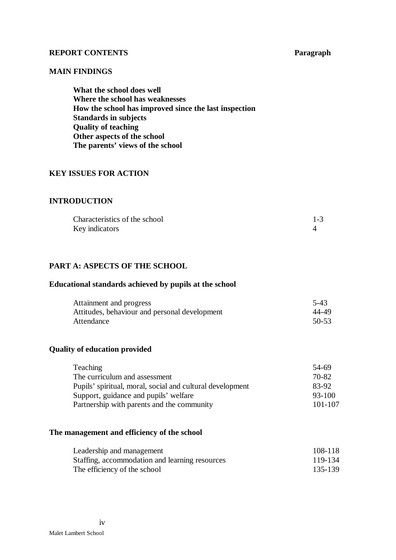#### **REPORT CONTENTS Paragraph**

#### **MAIN FINDINGS**

**What the school does well Where the school has weaknesses How the school has improved since the last inspection Standards in subjects Quality of teaching Other aspects of the school The parents' views of the school**

## **KEY ISSUES FOR ACTION**

#### **INTRODUCTION**

| Characteristics of the school |  |
|-------------------------------|--|
| Key indicators                |  |

## **PART A: ASPECTS OF THE SCHOOL**

#### **Educational standards achieved by pupils at the school**

| Attainment and progress                       | $5-43$    |
|-----------------------------------------------|-----------|
| Attitudes, behaviour and personal development | 44-49     |
| Attendance                                    | $50 - 53$ |

#### **Quality of education provided**

| <b>Teaching</b>                                           | 54-69      |
|-----------------------------------------------------------|------------|
| The curriculum and assessment                             | 70-82      |
| Pupils' spiritual, moral, social and cultural development | 83-92      |
| Support, guidance and pupils' welfare                     | $93 - 100$ |
| Partnership with parents and the community                | 101-107    |

#### **The management and efficiency of the school**

| Leadership and management                      | 108-118 |
|------------------------------------------------|---------|
| Staffing, accommodation and learning resources | 119-134 |
| The efficiency of the school                   | 135-139 |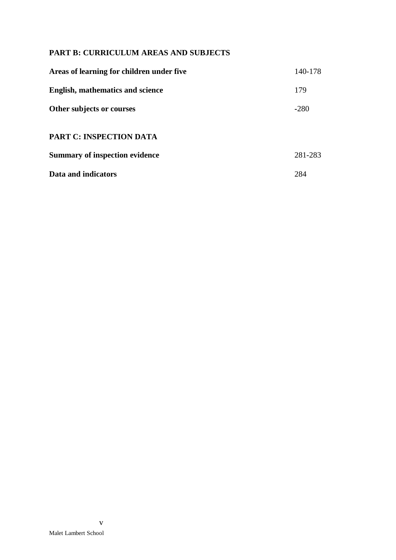## **PART B: CURRICULUM AREAS AND SUBJECTS**

| Areas of learning for children under five | 140-178 |
|-------------------------------------------|---------|
| English, mathematics and science          | 179     |
| Other subjects or courses                 | $-280$  |
| <b>PART C: INSPECTION DATA</b>            |         |
| <b>Summary of inspection evidence</b>     | 281-283 |
| Data and indicators                       | 284     |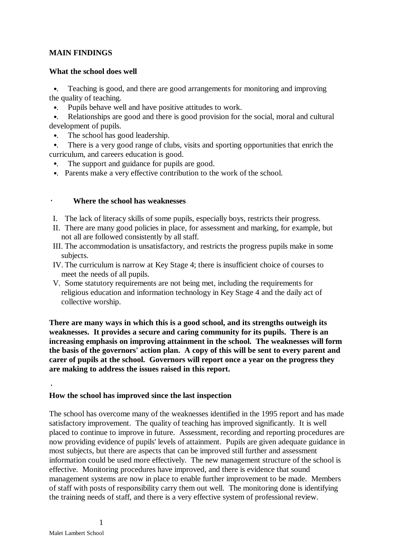## **MAIN FINDINGS**

#### **What the school does well**

•. Teaching is good, and there are good arrangements for monitoring and improving the quality of teaching.

- •. Pupils behave well and have positive attitudes to work.
- •. Relationships are good and there is good provision for the social, moral and cultural development of pupils.
- •. The school has good leadership.
- •. There is a very good range of clubs, visits and sporting opportunities that enrich the curriculum, and careers education is good.
- •. The support and guidance for pupils are good.
- •. Parents make a very effective contribution to the work of the school.

#### · **Where the school has weaknesses**

- I. The lack of literacy skills of some pupils, especially boys, restricts their progress.
- II. There are many good policies in place, for assessment and marking, for example, but not all are followed consistently by all staff.
- III. The accommodation is unsatisfactory, and restricts the progress pupils make in some subjects.
- IV. The curriculum is narrow at Key Stage 4; there is insufficient choice of courses to meet the needs of all pupils.
- V. Some statutory requirements are not being met, including the requirements for religious education and information technology in Key Stage 4 and the daily act of collective worship.

**There are many ways in which this is a good school, and its strengths outweigh its weaknesses. It provides a secure and caring community for its pupils. There is an increasing emphasis on improving attainment in the school. The weaknesses will form the basis of the governors' action plan. A copy of this will be sent to every parent and carer of pupils at the school. Governors will report once a year on the progress they are making to address the issues raised in this report.**

## **How the school has improved since the last inspection**

The school has overcome many of the weaknesses identified in the 1995 report and has made satisfactory improvement. The quality of teaching has improved significantly. It is well placed to continue to improve in future. Assessment, recording and reporting procedures are now providing evidence of pupils' levels of attainment. Pupils are given adequate guidance in most subjects, but there are aspects that can be improved still further and assessment information could be used more effectively. The new management structure of the school is effective. Monitoring procedures have improved, and there is evidence that sound management systems are now in place to enable further improvement to be made. Members of staff with posts of responsibility carry them out well. The monitoring done is identifying the training needs of staff, and there is a very effective system of professional review.

·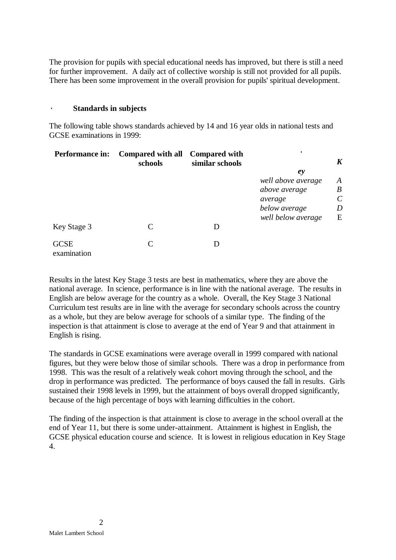The provision for pupils with special educational needs has improved, but there is still a need for further improvement. A daily act of collective worship is still not provided for all pupils. There has been some improvement in the overall provision for pupils' spiritual development.

#### · **Standards in subjects**

The following table shows standards achieved by 14 and 16 year olds in national tests and GCSE examinations in 1999:

| <b>Performance in:</b>     | Compared with all Compared with<br>schools | similar schools |                    | K                     |
|----------------------------|--------------------------------------------|-----------------|--------------------|-----------------------|
|                            |                                            |                 | e <sub>y</sub>     |                       |
|                            |                                            |                 | well above average | A                     |
|                            |                                            |                 | above average      | $\boldsymbol{B}$      |
|                            |                                            |                 | average            | $\mathcal{C}_{0}^{0}$ |
|                            |                                            |                 | below average      | D                     |
|                            |                                            |                 | well below average | E                     |
| Key Stage 3                | $\subset$                                  | D               |                    |                       |
| <b>GCSE</b><br>examination | C                                          | $\mathsf{I}$    |                    |                       |

Results in the latest Key Stage 3 tests are best in mathematics, where they are above the national average. In science, performance is in line with the national average. The results in English are below average for the country as a whole. Overall, the Key Stage 3 National Curriculum test results are in line with the average for secondary schools across the country as a whole, but they are below average for schools of a similar type. The finding of the inspection is that attainment is close to average at the end of Year 9 and that attainment in English is rising.

The standards in GCSE examinations were average overall in 1999 compared with national figures, but they were below those of similar schools. There was a drop in performance from 1998. This was the result of a relatively weak cohort moving through the school, and the drop in performance was predicted. The performance of boys caused the fall in results. Girls sustained their 1998 levels in 1999, but the attainment of boys overall dropped significantly, because of the high percentage of boys with learning difficulties in the cohort.

The finding of the inspection is that attainment is close to average in the school overall at the end of Year 11, but there is some under-attainment. Attainment is highest in English, the GCSE physical education course and science. It is lowest in religious education in Key Stage 4.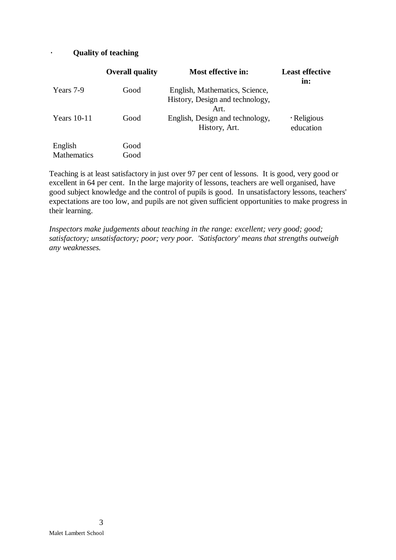## · **Quality of teaching**

|                    | <b>Overall quality</b> | Most effective in:                                                | <b>Least effective</b><br>in:  |
|--------------------|------------------------|-------------------------------------------------------------------|--------------------------------|
| Years 7-9          | Good                   | English, Mathematics, Science,<br>History, Design and technology, |                                |
|                    |                        | Art.                                                              |                                |
| Years $10-11$      | Good                   | English, Design and technology,<br>History, Art.                  | $\cdot$ Religious<br>education |
| English            | Good                   |                                                                   |                                |
| <b>Mathematics</b> | Good                   |                                                                   |                                |

Teaching is at least satisfactory in just over 97 per cent of lessons. It is good, very good or excellent in 64 per cent. In the large majority of lessons, teachers are well organised, have good subject knowledge and the control of pupils is good. In unsatisfactory lessons, teachers' expectations are too low, and pupils are not given sufficient opportunities to make progress in their learning.

*Inspectors make judgements about teaching in the range: excellent; very good; good; satisfactory; unsatisfactory; poor; very poor. 'Satisfactory' means that strengths outweigh any weaknesses.*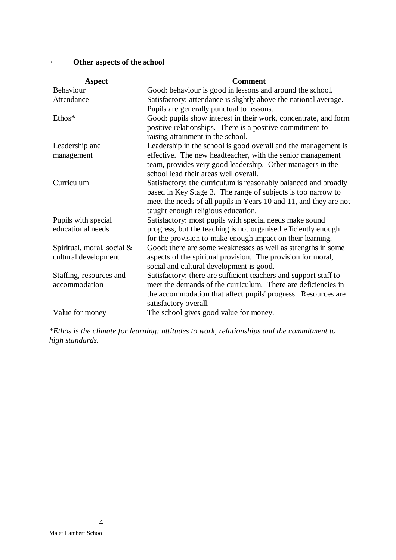· **Other aspects of the school**

| <b>Aspect</b>              | <b>Comment</b>                                                    |
|----------------------------|-------------------------------------------------------------------|
| Behaviour                  | Good: behaviour is good in lessons and around the school.         |
| Attendance                 | Satisfactory: attendance is slightly above the national average.  |
|                            | Pupils are generally punctual to lessons.                         |
| Ethos*                     | Good: pupils show interest in their work, concentrate, and form   |
|                            | positive relationships. There is a positive commitment to         |
|                            | raising attainment in the school.                                 |
| Leadership and             | Leadership in the school is good overall and the management is    |
| management                 | effective. The new headteacher, with the senior management        |
|                            | team, provides very good leadership. Other managers in the        |
|                            | school lead their areas well overall.                             |
| Curriculum                 | Satisfactory: the curriculum is reasonably balanced and broadly   |
|                            | based in Key Stage 3. The range of subjects is too narrow to      |
|                            | meet the needs of all pupils in Years 10 and 11, and they are not |
|                            | taught enough religious education.                                |
| Pupils with special        | Satisfactory: most pupils with special needs make sound           |
| educational needs          | progress, but the teaching is not organised efficiently enough    |
|                            | for the provision to make enough impact on their learning.        |
| Spiritual, moral, social & | Good: there are some weaknesses as well as strengths in some      |
| cultural development       | aspects of the spiritual provision. The provision for moral,      |
|                            | social and cultural development is good.                          |
| Staffing, resources and    | Satisfactory: there are sufficient teachers and support staff to  |
| accommodation              | meet the demands of the curriculum. There are deficiencies in     |
|                            | the accommodation that affect pupils' progress. Resources are     |
|                            | satisfactory overall.                                             |
| Value for money            | The school gives good value for money.                            |

*\*Ethos is the climate for learning: attitudes to work, relationships and the commitment to high standards.*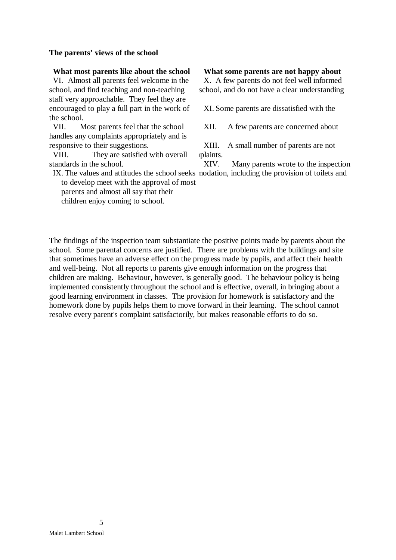#### **The parents' views of the school**

VI. Almost all parents feel welcome in the school, and find teaching and non-teaching staff very approachable. They feel they are encouraged to play a full part in the work of the school.

VII. Most parents feel that the school handles any complaints appropriately and is responsive to their suggestions.

VIII. They are satisfied with overall standards in the school.

to develop meet with the approval of most

parents and almost all say that their children enjoy coming to school.

**What most parents like about the school What some parents are not happy about**

X. A few parents do not feel well informed school, and do not have a clear understanding

XI. Some parents are dissatisfied with the

XII. A few parents are concerned about

XIII. A small number of parents are not mplaints.

IX. The values and attitudes the school seeks modation, including the provision of toilets and XIV. Many parents wrote to the inspection

The findings of the inspection team substantiate the positive points made by parents about the school. Some parental concerns are justified. There are problems with the buildings and site that sometimes have an adverse effect on the progress made by pupils, and affect their health and well-being. Not all reports to parents give enough information on the progress that children are making. Behaviour, however, is generally good. The behaviour policy is being implemented consistently throughout the school and is effective, overall, in bringing about a good learning environment in classes. The provision for homework is satisfactory and the homework done by pupils helps them to move forward in their learning. The school cannot resolve every parent's complaint satisfactorily, but makes reasonable efforts to do so.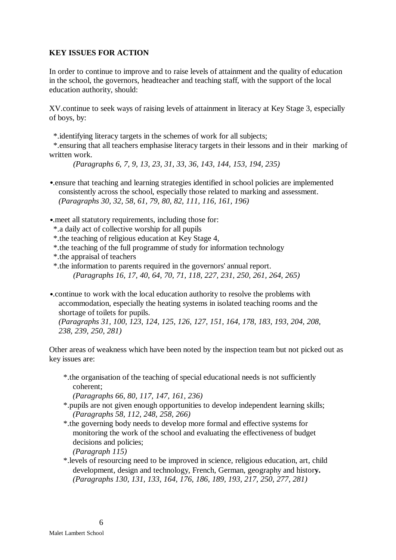#### **KEY ISSUES FOR ACTION**

In order to continue to improve and to raise levels of attainment and the quality of education in the school, the governors, headteacher and teaching staff, with the support of the local education authority, should:

XV.continue to seek ways of raising levels of attainment in literacy at Key Stage 3, especially of boys, by:

\*.identifying literacy targets in the schemes of work for all subjects;

 \*.ensuring that all teachers emphasise literacy targets in their lessons and in their marking of written work.

*(Paragraphs 6, 7, 9, 13, 23, 31, 33, 36, 143, 144, 153, 194, 235)*

- •.ensure that teaching and learning strategies identified in school policies are implemented consistently across the school, especially those related to marking and assessment. *(Paragraphs 30, 32, 58, 61, 79, 80, 82, 111, 116, 161, 196)*
- •.meet all statutory requirements, including those for:
	- \*.a daily act of collective worship for all pupils
	- \*.the teaching of religious education at Key Stage 4,
	- \*.the teaching of the full programme of study for information technology
	- \*.the appraisal of teachers
	- \*.the information to parents required in the governors' annual report. *(Paragraphs 16, 17, 40, 64, 70, 71, 118, 227, 231, 250, 261, 264, 265)*
- •.continue to work with the local education authority to resolve the problems with accommodation, especially the heating systems in isolated teaching rooms and the shortage of toilets for pupils.

*(Paragraphs 31, 100, 123, 124, 125, 126, 127, 151, 164, 178, 183, 193, 204, 208, 238, 239, 250, 281)*

Other areas of weakness which have been noted by the inspection team but not picked out as key issues are:

\*.the organisation of the teaching of special educational needs is not sufficiently coherent;

*(Paragraphs 66, 80, 117, 147, 161, 236)*

- \*.pupils are not given enough opportunities to develop independent learning skills; *(Paragraphs 58, 112, 248, 258, 266)*
- \*.the governing body needs to develop more formal and effective systems for monitoring the work of the school and evaluating the effectiveness of budget decisions and policies;
	- *(Paragraph 115)*
- \*.levels of resourcing need to be improved in science, religious education, art, child development, design and technology, French, German, geography and histor**y.** *(Paragraphs 130, 131, 133, 164, 176, 186, 189, 193, 217, 250, 277, 281)*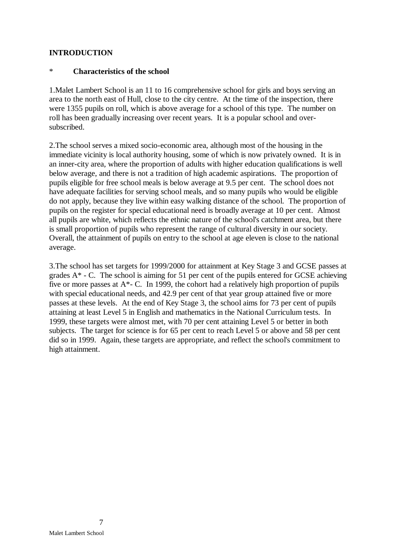## **INTRODUCTION**

## \* **Characteristics of the school**

1.Malet Lambert School is an 11 to 16 comprehensive school for girls and boys serving an area to the north east of Hull, close to the city centre. At the time of the inspection, there were 1355 pupils on roll, which is above average for a school of this type. The number on roll has been gradually increasing over recent years. It is a popular school and oversubscribed.

2.The school serves a mixed socio-economic area, although most of the housing in the immediate vicinity is local authority housing, some of which is now privately owned. It is in an inner-city area, where the proportion of adults with higher education qualifications is well below average, and there is not a tradition of high academic aspirations. The proportion of pupils eligible for free school meals is below average at 9.5 per cent. The school does not have adequate facilities for serving school meals, and so many pupils who would be eligible do not apply, because they live within easy walking distance of the school. The proportion of pupils on the register for special educational need is broadly average at 10 per cent. Almost all pupils are white, which reflects the ethnic nature of the school's catchment area, but there is small proportion of pupils who represent the range of cultural diversity in our society. Overall, the attainment of pupils on entry to the school at age eleven is close to the national average.

3.The school has set targets for 1999/2000 for attainment at Key Stage 3 and GCSE passes at grades A\* - C. The school is aiming for 51 per cent of the pupils entered for GCSE achieving five or more passes at A\*- C. In 1999, the cohort had a relatively high proportion of pupils with special educational needs, and 42.9 per cent of that year group attained five or more passes at these levels. At the end of Key Stage 3, the school aims for 73 per cent of pupils attaining at least Level 5 in English and mathematics in the National Curriculum tests. In 1999, these targets were almost met, with 70 per cent attaining Level 5 or better in both subjects. The target for science is for 65 per cent to reach Level 5 or above and 58 per cent did so in 1999. Again, these targets are appropriate, and reflect the school's commitment to high attainment.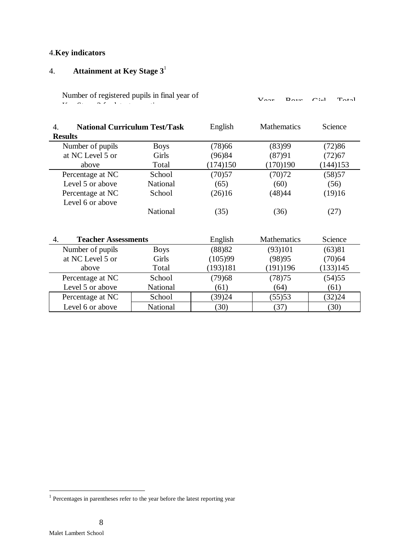## 4.**Key indicators**

# 4. **Attainment at Key Stage 3**<sup>1</sup>

Number of registered pupils in final year of Vegar Boys Girl Total

| <b>National Curriculum Test/Task</b><br>4. |                 | English  | <b>Mathematics</b> | Science  |
|--------------------------------------------|-----------------|----------|--------------------|----------|
| <b>Results</b>                             |                 |          |                    |          |
| Number of pupils                           | <b>Boys</b>     | (78)66   | (83)99             | (72)86   |
| at NC Level 5 or                           | Girls           | (96)84   | (87)91             | (72)67   |
| above                                      | Total           | (174)150 | (170)190           | (144)153 |
| Percentage at NC                           | School          | (70)57   | (70)72             | (58)57   |
| Level 5 or above                           | <b>National</b> | (65)     | (60)               | (56)     |
| Percentage at NC                           | School          | (26)16   | (48)44             | (19)16   |
| Level 6 or above                           |                 |          |                    |          |
|                                            | National        | (35)     | (36)               | (27)     |
|                                            |                 |          |                    |          |
| <b>Teacher Assessments</b><br>4.           |                 | English  | <b>Mathematics</b> | Science  |
| Number of pupils                           | <b>Boys</b>     | (88)82   | (93)101            | (63)81   |
| at NC Level 5 or                           | Girls           | (105)99  | (98)95             | (70)64   |
| above                                      | Total           | (193)181 | (191)196           | (133)145 |
| Percentage at NC                           | School          | (79)68   | (78)75             | (54)55   |
| Level 5 or above                           | National        | (61)     | (64)               | (61)     |
| Percentage at NC                           | School          | (39)24   | (55)53             | (32)24   |
| Level 6 or above                           | National        | (30)     | (37)               | (30)     |

 1 Percentages in parentheses refer to the year before the latest reporting year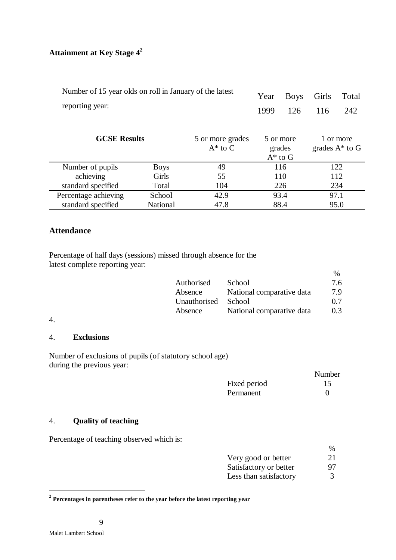# **Attainment at Key Stage 4<sup>2</sup>**

| Number of 15 year olds on roll in January of the latest<br>reporting year: |                 |                                | Year<br>1999 | <b>Boys</b><br>126                  | Girls<br>116 | Total<br>242                   |
|----------------------------------------------------------------------------|-----------------|--------------------------------|--------------|-------------------------------------|--------------|--------------------------------|
| <b>GCSE Results</b>                                                        |                 | 5 or more grades<br>$A^*$ to C |              | 5 or more<br>grades<br>$A^*$ to $G$ |              | 1 or more<br>grades $A^*$ to G |
| Number of pupils                                                           | <b>Boys</b>     | 49                             |              | 116                                 |              | 122                            |
| achieving                                                                  | Girls           | 55                             |              | 110                                 |              | 112                            |
| standard specified                                                         | Total           | 104                            |              | 226                                 |              | 234                            |
| Percentage achieving                                                       | School          | 42.9                           |              | 93.4                                |              | 97.1                           |
| standard specified                                                         | <b>National</b> | 47.8                           |              | 88.4                                |              | 95.0                           |

## **Attendance**

Percentage of half days (sessions) missed through absence for the latest complete reporting year:

|              |                           | $\%$ |
|--------------|---------------------------|------|
| Authorised   | School                    | 7.6  |
| Absence      | National comparative data | 7.9  |
| Unauthorised | School                    | 0.7  |
| Absence      | National comparative data | 0.3  |

#### 4.

## 4. **Exclusions**

Number of exclusions of pupils (of statutory school age) during the previous year:

|              | Number            |
|--------------|-------------------|
| Fixed period | 15                |
| Permanent    | $\mathbf{\Omega}$ |

## 4. **Quality of teaching**

Percentage of teaching observed which is:

|                        | $\frac{0}{0}$ |
|------------------------|---------------|
| Very good or better    | 21            |
| Satisfactory or better | 97            |
| Less than satisfactory |               |

 **2 Percentages in parentheses refer to the year before the latest reporting year**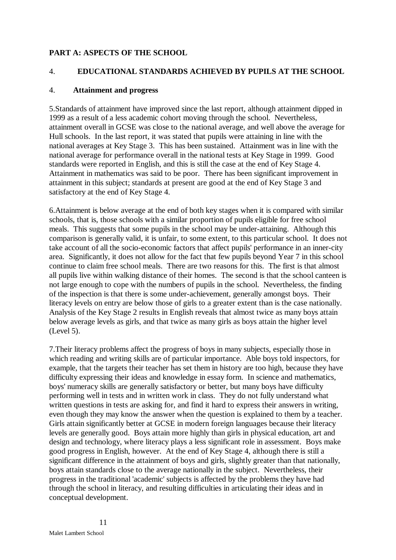## **PART A: ASPECTS OF THE SCHOOL**

## 4. **EDUCATIONAL STANDARDS ACHIEVED BY PUPILS AT THE SCHOOL**

## 4. **Attainment and progress**

5.Standards of attainment have improved since the last report, although attainment dipped in 1999 as a result of a less academic cohort moving through the school. Nevertheless, attainment overall in GCSE was close to the national average, and well above the average for Hull schools. In the last report, it was stated that pupils were attaining in line with the national averages at Key Stage 3. This has been sustained. Attainment was in line with the national average for performance overall in the national tests at Key Stage in 1999. Good standards were reported in English, and this is still the case at the end of Key Stage 4. Attainment in mathematics was said to be poor. There has been significant improvement in attainment in this subject; standards at present are good at the end of Key Stage 3 and satisfactory at the end of Key Stage 4.

6.Attainment is below average at the end of both key stages when it is compared with similar schools, that is, those schools with a similar proportion of pupils eligible for free school meals. This suggests that some pupils in the school may be under-attaining. Although this comparison is generally valid, it is unfair, to some extent, to this particular school. It does not take account of all the socio-economic factors that affect pupils' performance in an inner-city area. Significantly, it does not allow for the fact that few pupils beyond Year 7 in this school continue to claim free school meals. There are two reasons for this. The first is that almost all pupils live within walking distance of their homes. The second is that the school canteen is not large enough to cope with the numbers of pupils in the school. Nevertheless, the finding of the inspection is that there is some under-achievement, generally amongst boys. Their literacy levels on entry are below those of girls to a greater extent than is the case nationally. Analysis of the Key Stage 2 results in English reveals that almost twice as many boys attain below average levels as girls, and that twice as many girls as boys attain the higher level (Level 5).

7.Their literacy problems affect the progress of boys in many subjects, especially those in which reading and writing skills are of particular importance. Able boys told inspectors, for example, that the targets their teacher has set them in history are too high, because they have difficulty expressing their ideas and knowledge in essay form. In science and mathematics, boys' numeracy skills are generally satisfactory or better, but many boys have difficulty performing well in tests and in written work in class. They do not fully understand what written questions in tests are asking for, and find it hard to express their answers in writing. even though they may know the answer when the question is explained to them by a teacher. Girls attain significantly better at GCSE in modern foreign languages because their literacy levels are generally good. Boys attain more highly than girls in physical education, art and design and technology, where literacy plays a less significant role in assessment. Boys make good progress in English, however. At the end of Key Stage 4, although there is still a significant difference in the attainment of boys and girls, slightly greater than that nationally, boys attain standards close to the average nationally in the subject. Nevertheless, their progress in the traditional 'academic' subjects is affected by the problems they have had through the school in literacy, and resulting difficulties in articulating their ideas and in conceptual development.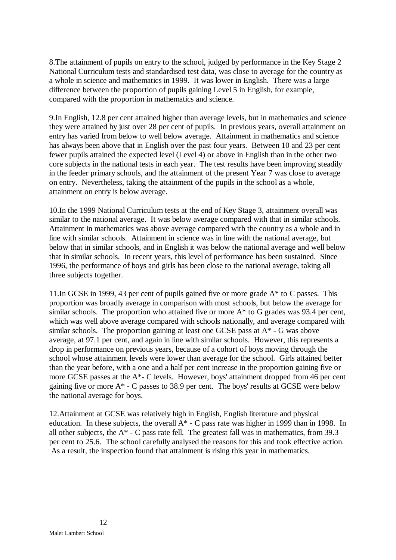8.The attainment of pupils on entry to the school, judged by performance in the Key Stage 2 National Curriculum tests and standardised test data, was close to average for the country as a whole in science and mathematics in 1999. It was lower in English. There was a large difference between the proportion of pupils gaining Level 5 in English, for example, compared with the proportion in mathematics and science.

9.In English, 12.8 per cent attained higher than average levels, but in mathematics and science they were attained by just over 28 per cent of pupils. In previous years, overall attainment on entry has varied from below to well below average. Attainment in mathematics and science has always been above that in English over the past four years. Between 10 and 23 per cent fewer pupils attained the expected level (Level 4) or above in English than in the other two core subjects in the national tests in each year. The test results have been improving steadily in the feeder primary schools, and the attainment of the present Year 7 was close to average on entry. Nevertheless, taking the attainment of the pupils in the school as a whole, attainment on entry is below average.

10.In the 1999 National Curriculum tests at the end of Key Stage 3, attainment overall was similar to the national average. It was below average compared with that in similar schools. Attainment in mathematics was above average compared with the country as a whole and in line with similar schools. Attainment in science was in line with the national average, but below that in similar schools, and in English it was below the national average and well below that in similar schools. In recent years, this level of performance has been sustained. Since 1996, the performance of boys and girls has been close to the national average, taking all three subjects together.

11.In GCSE in 1999, 43 per cent of pupils gained five or more grade A\* to C passes. This proportion was broadly average in comparison with most schools, but below the average for similar schools. The proportion who attained five or more  $A^*$  to G grades was 93.4 per cent, which was well above average compared with schools nationally, and average compared with similar schools. The proportion gaining at least one GCSE pass at A\* - G was above average, at 97.1 per cent, and again in line with similar schools. However, this represents a drop in performance on previous years, because of a cohort of boys moving through the school whose attainment levels were lower than average for the school. Girls attained better than the year before, with a one and a half per cent increase in the proportion gaining five or more GCSE passes at the A\*- C levels. However, boys' attainment dropped from 46 per cent gaining five or more A\* - C passes to 38.9 per cent. The boys' results at GCSE were below the national average for boys.

12.Attainment at GCSE was relatively high in English, English literature and physical education. In these subjects, the overall  $A^*$  - C pass rate was higher in 1999 than in 1998. In all other subjects, the  $A^*$  - C pass rate fell. The greatest fall was in mathematics, from 39.3 per cent to 25.6. The school carefully analysed the reasons for this and took effective action. As a result, the inspection found that attainment is rising this year in mathematics.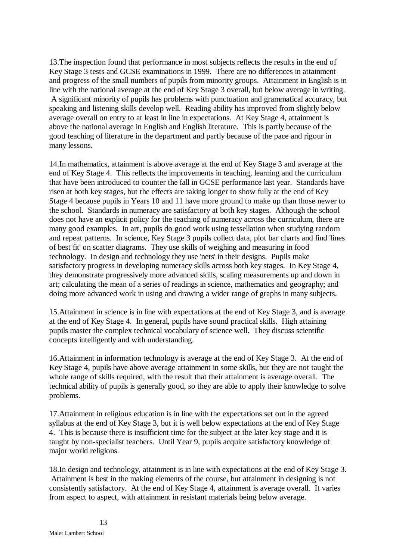13.The inspection found that performance in most subjects reflects the results in the end of Key Stage 3 tests and GCSE examinations in 1999. There are no differences in attainment and progress of the small numbers of pupils from minority groups. Attainment in English is in line with the national average at the end of Key Stage 3 overall, but below average in writing. A significant minority of pupils has problems with punctuation and grammatical accuracy, but speaking and listening skills develop well. Reading ability has improved from slightly below average overall on entry to at least in line in expectations. At Key Stage 4, attainment is above the national average in English and English literature. This is partly because of the good teaching of literature in the department and partly because of the pace and rigour in many lessons.

14.In mathematics, attainment is above average at the end of Key Stage 3 and average at the end of Key Stage 4. This reflects the improvements in teaching, learning and the curriculum that have been introduced to counter the fall in GCSE performance last year. Standards have risen at both key stages, but the effects are taking longer to show fully at the end of Key Stage 4 because pupils in Years 10 and 11 have more ground to make up than those newer to the school. Standards in numeracy are satisfactory at both key stages. Although the school does not have an explicit policy for the teaching of numeracy across the curriculum, there are many good examples. In art, pupils do good work using tessellation when studying random and repeat patterns. In science, Key Stage 3 pupils collect data, plot bar charts and find 'lines of best fit' on scatter diagrams. They use skills of weighing and measuring in food technology. In design and technology they use 'nets' in their designs. Pupils make satisfactory progress in developing numeracy skills across both key stages. In Key Stage 4, they demonstrate progressively more advanced skills, scaling measurements up and down in art; calculating the mean of a series of readings in science, mathematics and geography; and doing more advanced work in using and drawing a wider range of graphs in many subjects.

15.Attainment in science is in line with expectations at the end of Key Stage 3, and is average at the end of Key Stage 4. In general, pupils have sound practical skills. High attaining pupils master the complex technical vocabulary of science well. They discuss scientific concepts intelligently and with understanding.

16.Attainment in information technology is average at the end of Key Stage 3. At the end of Key Stage 4, pupils have above average attainment in some skills, but they are not taught the whole range of skills required, with the result that their attainment is average overall. The technical ability of pupils is generally good, so they are able to apply their knowledge to solve problems.

17.Attainment in religious education is in line with the expectations set out in the agreed syllabus at the end of Key Stage 3, but it is well below expectations at the end of Key Stage 4. This is because there is insufficient time for the subject at the later key stage and it is taught by non-specialist teachers. Until Year 9, pupils acquire satisfactory knowledge of major world religions.

18.In design and technology, attainment is in line with expectations at the end of Key Stage 3. Attainment is best in the making elements of the course, but attainment in designing is not consistently satisfactory. At the end of Key Stage 4, attainment is average overall. It varies from aspect to aspect, with attainment in resistant materials being below average.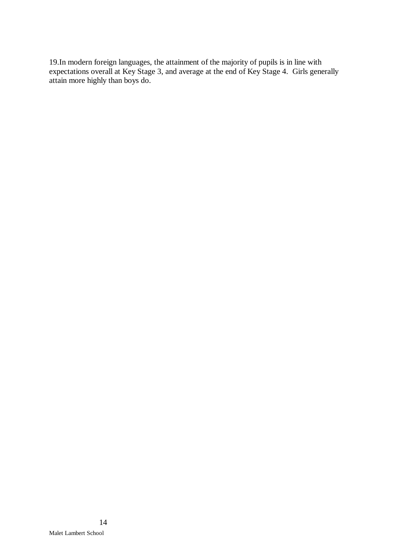19.In modern foreign languages, the attainment of the majority of pupils is in line with expectations overall at Key Stage 3, and average at the end of Key Stage 4. Girls generally attain more highly than boys do.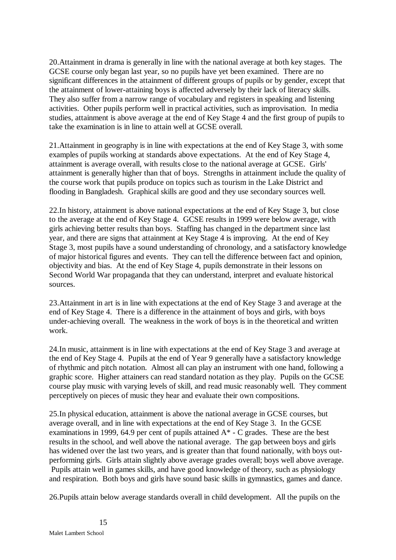20.Attainment in drama is generally in line with the national average at both key stages. The GCSE course only began last year, so no pupils have yet been examined. There are no significant differences in the attainment of different groups of pupils or by gender, except that the attainment of lower-attaining boys is affected adversely by their lack of literacy skills. They also suffer from a narrow range of vocabulary and registers in speaking and listening activities. Other pupils perform well in practical activities, such as improvisation. In media studies, attainment is above average at the end of Key Stage 4 and the first group of pupils to take the examination is in line to attain well at GCSE overall.

21.Attainment in geography is in line with expectations at the end of Key Stage 3, with some examples of pupils working at standards above expectations. At the end of Key Stage 4, attainment is average overall, with results close to the national average at GCSE. Girls' attainment is generally higher than that of boys. Strengths in attainment include the quality of the course work that pupils produce on topics such as tourism in the Lake District and flooding in Bangladesh. Graphical skills are good and they use secondary sources well.

22.In history, attainment is above national expectations at the end of Key Stage 3, but close to the average at the end of Key Stage 4. GCSE results in 1999 were below average, with girls achieving better results than boys. Staffing has changed in the department since last year, and there are signs that attainment at Key Stage 4 is improving. At the end of Key Stage 3, most pupils have a sound understanding of chronology, and a satisfactory knowledge of major historical figures and events. They can tell the difference between fact and opinion, objectivity and bias. At the end of Key Stage 4, pupils demonstrate in their lessons on Second World War propaganda that they can understand, interpret and evaluate historical sources.

23.Attainment in art is in line with expectations at the end of Key Stage 3 and average at the end of Key Stage 4. There is a difference in the attainment of boys and girls, with boys under-achieving overall. The weakness in the work of boys is in the theoretical and written work.

24.In music, attainment is in line with expectations at the end of Key Stage 3 and average at the end of Key Stage 4. Pupils at the end of Year 9 generally have a satisfactory knowledge of rhythmic and pitch notation. Almost all can play an instrument with one hand, following a graphic score. Higher attainers can read standard notation as they play. Pupils on the GCSE course play music with varying levels of skill, and read music reasonably well. They comment perceptively on pieces of music they hear and evaluate their own compositions.

25.In physical education, attainment is above the national average in GCSE courses, but average overall, and in line with expectations at the end of Key Stage 3. In the GCSE examinations in 1999, 64.9 per cent of pupils attained  $A^*$  - C grades. These are the best results in the school, and well above the national average. The gap between boys and girls has widened over the last two years, and is greater than that found nationally, with boys outperforming girls. Girls attain slightly above average grades overall; boys well above average. Pupils attain well in games skills, and have good knowledge of theory, such as physiology and respiration. Both boys and girls have sound basic skills in gymnastics, games and dance.

26.Pupils attain below average standards overall in child development. All the pupils on the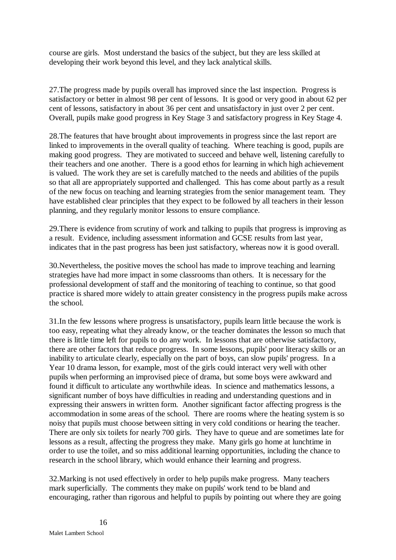course are girls. Most understand the basics of the subject, but they are less skilled at developing their work beyond this level, and they lack analytical skills.

27.The progress made by pupils overall has improved since the last inspection. Progress is satisfactory or better in almost 98 per cent of lessons. It is good or very good in about 62 per cent of lessons, satisfactory in about 36 per cent and unsatisfactory in just over 2 per cent. Overall, pupils make good progress in Key Stage 3 and satisfactory progress in Key Stage 4.

28.The features that have brought about improvements in progress since the last report are linked to improvements in the overall quality of teaching. Where teaching is good, pupils are making good progress. They are motivated to succeed and behave well, listening carefully to their teachers and one another. There is a good ethos for learning in which high achievement is valued. The work they are set is carefully matched to the needs and abilities of the pupils so that all are appropriately supported and challenged. This has come about partly as a result of the new focus on teaching and learning strategies from the senior management team. They have established clear principles that they expect to be followed by all teachers in their lesson planning, and they regularly monitor lessons to ensure compliance.

29.There is evidence from scrutiny of work and talking to pupils that progress is improving as a result. Evidence, including assessment information and GCSE results from last year, indicates that in the past progress has been just satisfactory, whereas now it is good overall.

30.Nevertheless, the positive moves the school has made to improve teaching and learning strategies have had more impact in some classrooms than others. It is necessary for the professional development of staff and the monitoring of teaching to continue, so that good practice is shared more widely to attain greater consistency in the progress pupils make across the school.

31.In the few lessons where progress is unsatisfactory, pupils learn little because the work is too easy, repeating what they already know, or the teacher dominates the lesson so much that there is little time left for pupils to do any work. In lessons that are otherwise satisfactory, there are other factors that reduce progress. In some lessons, pupils' poor literacy skills or an inability to articulate clearly, especially on the part of boys, can slow pupils' progress. In a Year 10 drama lesson, for example, most of the girls could interact very well with other pupils when performing an improvised piece of drama, but some boys were awkward and found it difficult to articulate any worthwhile ideas. In science and mathematics lessons, a significant number of boys have difficulties in reading and understanding questions and in expressing their answers in written form. Another significant factor affecting progress is the accommodation in some areas of the school. There are rooms where the heating system is so noisy that pupils must choose between sitting in very cold conditions or hearing the teacher. There are only six toilets for nearly 700 girls. They have to queue and are sometimes late for lessons as a result, affecting the progress they make. Many girls go home at lunchtime in order to use the toilet, and so miss additional learning opportunities, including the chance to research in the school library, which would enhance their learning and progress.

32.Marking is not used effectively in order to help pupils make progress. Many teachers mark superficially. The comments they make on pupils' work tend to be bland and encouraging, rather than rigorous and helpful to pupils by pointing out where they are going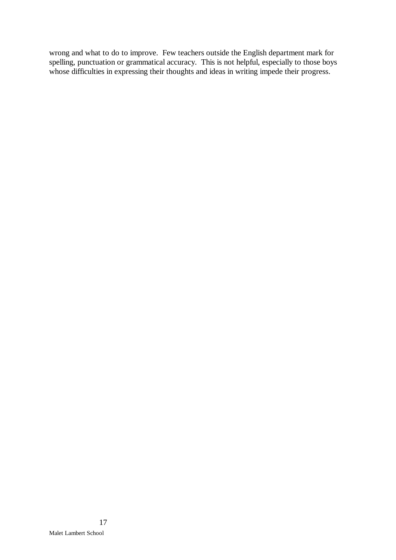wrong and what to do to improve. Few teachers outside the English department mark for spelling, punctuation or grammatical accuracy. This is not helpful, especially to those boys whose difficulties in expressing their thoughts and ideas in writing impede their progress.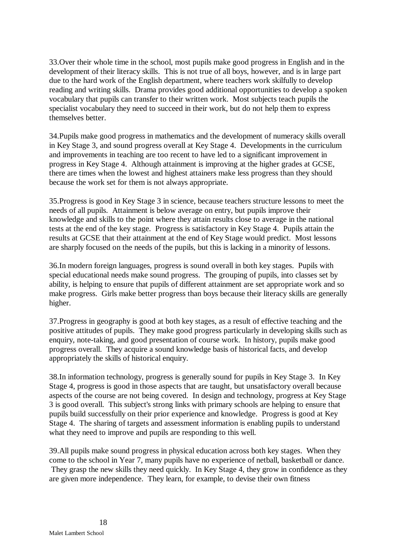33.Over their whole time in the school, most pupils make good progress in English and in the development of their literacy skills. This is not true of all boys, however, and is in large part due to the hard work of the English department, where teachers work skilfully to develop reading and writing skills. Drama provides good additional opportunities to develop a spoken vocabulary that pupils can transfer to their written work. Most subjects teach pupils the specialist vocabulary they need to succeed in their work, but do not help them to express themselves better.

34.Pupils make good progress in mathematics and the development of numeracy skills overall in Key Stage 3, and sound progress overall at Key Stage 4. Developments in the curriculum and improvements in teaching are too recent to have led to a significant improvement in progress in Key Stage 4. Although attainment is improving at the higher grades at GCSE, there are times when the lowest and highest attainers make less progress than they should because the work set for them is not always appropriate.

35.Progress is good in Key Stage 3 in science, because teachers structure lessons to meet the needs of all pupils. Attainment is below average on entry, but pupils improve their knowledge and skills to the point where they attain results close to average in the national tests at the end of the key stage. Progress is satisfactory in Key Stage 4. Pupils attain the results at GCSE that their attainment at the end of Key Stage would predict. Most lessons are sharply focused on the needs of the pupils, but this is lacking in a minority of lessons.

36.In modern foreign languages, progress is sound overall in both key stages. Pupils with special educational needs make sound progress. The grouping of pupils, into classes set by ability, is helping to ensure that pupils of different attainment are set appropriate work and so make progress. Girls make better progress than boys because their literacy skills are generally higher.

37.Progress in geography is good at both key stages, as a result of effective teaching and the positive attitudes of pupils. They make good progress particularly in developing skills such as enquiry, note-taking, and good presentation of course work. In history, pupils make good progress overall. They acquire a sound knowledge basis of historical facts, and develop appropriately the skills of historical enquiry.

38.In information technology, progress is generally sound for pupils in Key Stage 3. In Key Stage 4, progress is good in those aspects that are taught, but unsatisfactory overall because aspects of the course are not being covered. In design and technology, progress at Key Stage 3 is good overall. This subject's strong links with primary schools are helping to ensure that pupils build successfully on their prior experience and knowledge. Progress is good at Key Stage 4. The sharing of targets and assessment information is enabling pupils to understand what they need to improve and pupils are responding to this well.

39.All pupils make sound progress in physical education across both key stages. When they come to the school in Year 7, many pupils have no experience of netball, basketball or dance. They grasp the new skills they need quickly. In Key Stage 4, they grow in confidence as they are given more independence. They learn, for example, to devise their own fitness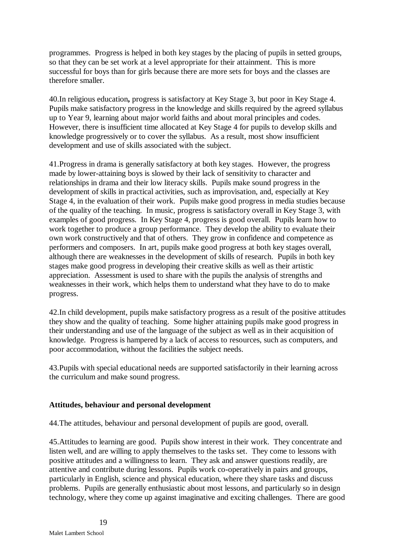programmes. Progress is helped in both key stages by the placing of pupils in setted groups, so that they can be set work at a level appropriate for their attainment. This is more successful for boys than for girls because there are more sets for boys and the classes are therefore smaller.

40.In religious education**,** progress is satisfactory at Key Stage 3, but poor in Key Stage 4. Pupils make satisfactory progress in the knowledge and skills required by the agreed syllabus up to Year 9, learning about major world faiths and about moral principles and codes. However, there is insufficient time allocated at Key Stage 4 for pupils to develop skills and knowledge progressively or to cover the syllabus. As a result, most show insufficient development and use of skills associated with the subject.

41.Progress in drama is generally satisfactory at both key stages. However, the progress made by lower-attaining boys is slowed by their lack of sensitivity to character and relationships in drama and their low literacy skills. Pupils make sound progress in the development of skills in practical activities, such as improvisation, and, especially at Key Stage 4, in the evaluation of their work. Pupils make good progress in media studies because of the quality of the teaching. In music, progress is satisfactory overall in Key Stage 3, with examples of good progress. In Key Stage 4, progress is good overall. Pupils learn how to work together to produce a group performance. They develop the ability to evaluate their own work constructively and that of others. They grow in confidence and competence as performers and composers. In art, pupils make good progress at both key stages overall, although there are weaknesses in the development of skills of research. Pupils in both key stages make good progress in developing their creative skills as well as their artistic appreciation. Assessment is used to share with the pupils the analysis of strengths and weaknesses in their work, which helps them to understand what they have to do to make progress.

42.In child development, pupils make satisfactory progress as a result of the positive attitudes they show and the quality of teaching. Some higher attaining pupils make good progress in their understanding and use of the language of the subject as well as in their acquisition of knowledge. Progress is hampered by a lack of access to resources, such as computers, and poor accommodation, without the facilities the subject needs.

43.Pupils with special educational needs are supported satisfactorily in their learning across the curriculum and make sound progress.

## **Attitudes, behaviour and personal development**

44.The attitudes, behaviour and personal development of pupils are good, overall.

45.Attitudes to learning are good. Pupils show interest in their work. They concentrate and listen well, and are willing to apply themselves to the tasks set. They come to lessons with positive attitudes and a willingness to learn. They ask and answer questions readily, are attentive and contribute during lessons. Pupils work co-operatively in pairs and groups, particularly in English, science and physical education, where they share tasks and discuss problems. Pupils are generally enthusiastic about most lessons, and particularly so in design technology, where they come up against imaginative and exciting challenges. There are good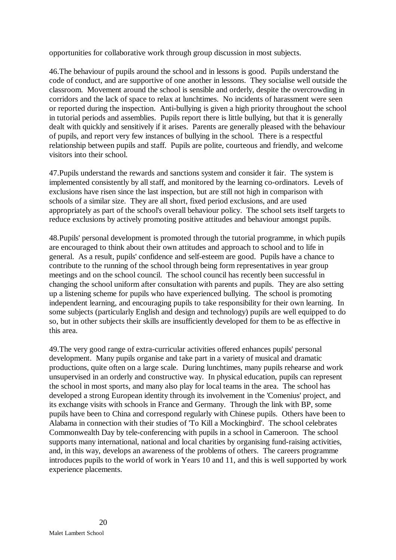opportunities for collaborative work through group discussion in most subjects.

46.The behaviour of pupils around the school and in lessons is good. Pupils understand the code of conduct, and are supportive of one another in lessons. They socialise well outside the classroom. Movement around the school is sensible and orderly, despite the overcrowding in corridors and the lack of space to relax at lunchtimes. No incidents of harassment were seen or reported during the inspection. Anti-bullying is given a high priority throughout the school in tutorial periods and assemblies. Pupils report there is little bullying, but that it is generally dealt with quickly and sensitively if it arises. Parents are generally pleased with the behaviour of pupils, and report very few instances of bullying in the school. There is a respectful relationship between pupils and staff. Pupils are polite, courteous and friendly, and welcome visitors into their school.

47.Pupils understand the rewards and sanctions system and consider it fair. The system is implemented consistently by all staff, and monitored by the learning co-ordinators. Levels of exclusions have risen since the last inspection, but are still not high in comparison with schools of a similar size. They are all short, fixed period exclusions, and are used appropriately as part of the school's overall behaviour policy. The school sets itself targets to reduce exclusions by actively promoting positive attitudes and behaviour amongst pupils.

48.Pupils' personal development is promoted through the tutorial programme, in which pupils are encouraged to think about their own attitudes and approach to school and to life in general. As a result, pupils' confidence and self-esteem are good. Pupils have a chance to contribute to the running of the school through being form representatives in year group meetings and on the school council. The school council has recently been successful in changing the school uniform after consultation with parents and pupils. They are also setting up a listening scheme for pupils who have experienced bullying. The school is promoting independent learning, and encouraging pupils to take responsibility for their own learning. In some subjects (particularly English and design and technology) pupils are well equipped to do so, but in other subjects their skills are insufficiently developed for them to be as effective in this area.

49.The very good range of extra-curricular activities offered enhances pupils' personal development. Many pupils organise and take part in a variety of musical and dramatic productions, quite often on a large scale. During lunchtimes, many pupils rehearse and work unsupervised in an orderly and constructive way. In physical education, pupils can represent the school in most sports, and many also play for local teams in the area. The school has developed a strong European identity through its involvement in the 'Comenius' project, and its exchange visits with schools in France and Germany. Through the link with BP, some pupils have been to China and correspond regularly with Chinese pupils. Others have been to Alabama in connection with their studies of 'To Kill a Mockingbird'. The school celebrates Commonwealth Day by tele-conferencing with pupils in a school in Cameroon. The school supports many international, national and local charities by organising fund-raising activities, and, in this way, develops an awareness of the problems of others. The careers programme introduces pupils to the world of work in Years 10 and 11, and this is well supported by work experience placements.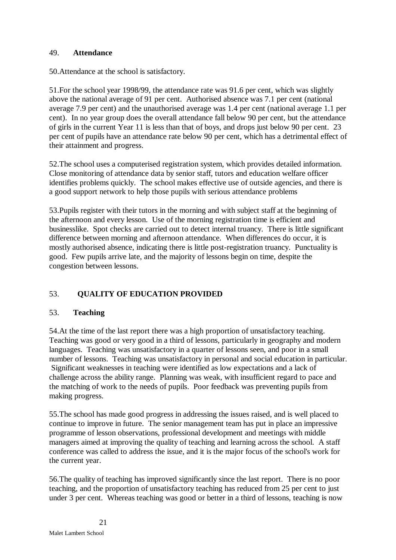#### 49. **Attendance**

50.Attendance at the school is satisfactory.

51.For the school year 1998/99, the attendance rate was 91.6 per cent, which was slightly above the national average of 91 per cent. Authorised absence was 7.1 per cent (national average 7.9 per cent) and the unauthorised average was 1.4 per cent (national average 1.1 per cent). In no year group does the overall attendance fall below 90 per cent, but the attendance of girls in the current Year 11 is less than that of boys, and drops just below 90 per cent. 23 per cent of pupils have an attendance rate below 90 per cent, which has a detrimental effect of their attainment and progress.

52.The school uses a computerised registration system, which provides detailed information. Close monitoring of attendance data by senior staff, tutors and education welfare officer identifies problems quickly. The school makes effective use of outside agencies, and there is a good support network to help those pupils with serious attendance problems

53.Pupils register with their tutors in the morning and with subject staff at the beginning of the afternoon and every lesson. Use of the morning registration time is efficient and businesslike. Spot checks are carried out to detect internal truancy. There is little significant difference between morning and afternoon attendance. When differences do occur, it is mostly authorised absence, indicating there is little post-registration truancy. Punctuality is good. Few pupils arrive late, and the majority of lessons begin on time, despite the congestion between lessons.

## 53. **QUALITY OF EDUCATION PROVIDED**

## 53. **Teaching**

54.At the time of the last report there was a high proportion of unsatisfactory teaching. Teaching was good or very good in a third of lessons, particularly in geography and modern languages. Teaching was unsatisfactory in a quarter of lessons seen, and poor in a small number of lessons. Teaching was unsatisfactory in personal and social education in particular. Significant weaknesses in teaching were identified as low expectations and a lack of challenge across the ability range. Planning was weak, with insufficient regard to pace and the matching of work to the needs of pupils. Poor feedback was preventing pupils from making progress.

55.The school has made good progress in addressing the issues raised, and is well placed to continue to improve in future. The senior management team has put in place an impressive programme of lesson observations, professional development and meetings with middle managers aimed at improving the quality of teaching and learning across the school. A staff conference was called to address the issue, and it is the major focus of the school's work for the current year.

56.The quality of teaching has improved significantly since the last report. There is no poor teaching, and the proportion of unsatisfactory teaching has reduced from 25 per cent to just under 3 per cent. Whereas teaching was good or better in a third of lessons, teaching is now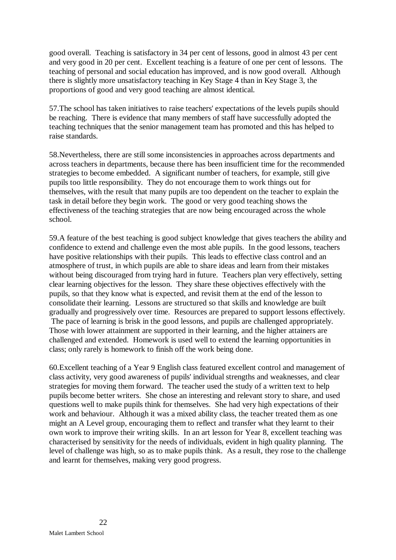good overall. Teaching is satisfactory in 34 per cent of lessons, good in almost 43 per cent and very good in 20 per cent. Excellent teaching is a feature of one per cent of lessons. The teaching of personal and social education has improved, and is now good overall. Although there is slightly more unsatisfactory teaching in Key Stage 4 than in Key Stage 3, the proportions of good and very good teaching are almost identical.

57.The school has taken initiatives to raise teachers' expectations of the levels pupils should be reaching. There is evidence that many members of staff have successfully adopted the teaching techniques that the senior management team has promoted and this has helped to raise standards.

58.Nevertheless, there are still some inconsistencies in approaches across departments and across teachers in departments, because there has been insufficient time for the recommended strategies to become embedded. A significant number of teachers, for example, still give pupils too little responsibility. They do not encourage them to work things out for themselves, with the result that many pupils are too dependent on the teacher to explain the task in detail before they begin work. The good or very good teaching shows the effectiveness of the teaching strategies that are now being encouraged across the whole school.

59.A feature of the best teaching is good subject knowledge that gives teachers the ability and confidence to extend and challenge even the most able pupils. In the good lessons, teachers have positive relationships with their pupils. This leads to effective class control and an atmosphere of trust, in which pupils are able to share ideas and learn from their mistakes without being discouraged from trying hard in future. Teachers plan very effectively, setting clear learning objectives for the lesson. They share these objectives effectively with the pupils, so that they know what is expected, and revisit them at the end of the lesson to consolidate their learning. Lessons are structured so that skills and knowledge are built gradually and progressively over time. Resources are prepared to support lessons effectively. The pace of learning is brisk in the good lessons, and pupils are challenged appropriately. Those with lower attainment are supported in their learning, and the higher attainers are challenged and extended. Homework is used well to extend the learning opportunities in class; only rarely is homework to finish off the work being done.

60.Excellent teaching of a Year 9 English class featured excellent control and management of class activity, very good awareness of pupils' individual strengths and weaknesses, and clear strategies for moving them forward. The teacher used the study of a written text to help pupils become better writers. She chose an interesting and relevant story to share, and used questions well to make pupils think for themselves. She had very high expectations of their work and behaviour. Although it was a mixed ability class, the teacher treated them as one might an A Level group, encouraging them to reflect and transfer what they learnt to their own work to improve their writing skills. In an art lesson for Year 8, excellent teaching was characterised by sensitivity for the needs of individuals, evident in high quality planning. The level of challenge was high, so as to make pupils think. As a result, they rose to the challenge and learnt for themselves, making very good progress.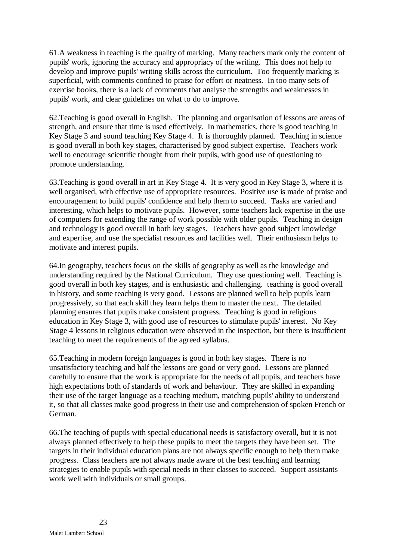61.A weakness in teaching is the quality of marking. Many teachers mark only the content of pupils' work, ignoring the accuracy and appropriacy of the writing. This does not help to develop and improve pupils' writing skills across the curriculum. Too frequently marking is superficial, with comments confined to praise for effort or neatness. In too many sets of exercise books, there is a lack of comments that analyse the strengths and weaknesses in pupils' work, and clear guidelines on what to do to improve.

62.Teaching is good overall in English. The planning and organisation of lessons are areas of strength, and ensure that time is used effectively. In mathematics, there is good teaching in Key Stage 3 and sound teaching Key Stage 4. It is thoroughly planned. Teaching in science is good overall in both key stages, characterised by good subject expertise. Teachers work well to encourage scientific thought from their pupils, with good use of questioning to promote understanding.

63.Teaching is good overall in art in Key Stage 4. It is very good in Key Stage 3, where it is well organised, with effective use of appropriate resources. Positive use is made of praise and encouragement to build pupils' confidence and help them to succeed. Tasks are varied and interesting, which helps to motivate pupils. However, some teachers lack expertise in the use of computers for extending the range of work possible with older pupils. Teaching in design and technology is good overall in both key stages. Teachers have good subject knowledge and expertise, and use the specialist resources and facilities well. Their enthusiasm helps to motivate and interest pupils.

64.In geography, teachers focus on the skills of geography as well as the knowledge and understanding required by the National Curriculum. They use questioning well. Teaching is good overall in both key stages, and is enthusiastic and challenging. teaching is good overall in history, and some teaching is very good. Lessons are planned well to help pupils learn progressively, so that each skill they learn helps them to master the next. The detailed planning ensures that pupils make consistent progress. Teaching is good in religious education in Key Stage 3, with good use of resources to stimulate pupils' interest. No Key Stage 4 lessons in religious education were observed in the inspection, but there is insufficient teaching to meet the requirements of the agreed syllabus.

65.Teaching in modern foreign languages is good in both key stages. There is no unsatisfactory teaching and half the lessons are good or very good. Lessons are planned carefully to ensure that the work is appropriate for the needs of all pupils, and teachers have high expectations both of standards of work and behaviour. They are skilled in expanding their use of the target language as a teaching medium, matching pupils' ability to understand it, so that all classes make good progress in their use and comprehension of spoken French or German.

66.The teaching of pupils with special educational needs is satisfactory overall, but it is not always planned effectively to help these pupils to meet the targets they have been set. The targets in their individual education plans are not always specific enough to help them make progress. Class teachers are not always made aware of the best teaching and learning strategies to enable pupils with special needs in their classes to succeed. Support assistants work well with individuals or small groups.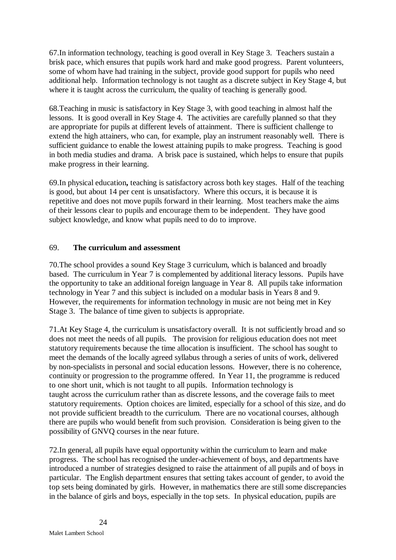67.In information technology, teaching is good overall in Key Stage 3. Teachers sustain a brisk pace, which ensures that pupils work hard and make good progress. Parent volunteers, some of whom have had training in the subject, provide good support for pupils who need additional help. Information technology is not taught as a discrete subject in Key Stage 4, but where it is taught across the curriculum, the quality of teaching is generally good.

68.Teaching in music is satisfactory in Key Stage 3, with good teaching in almost half the lessons. It is good overall in Key Stage 4. The activities are carefully planned so that they are appropriate for pupils at different levels of attainment. There is sufficient challenge to extend the high attainers, who can, for example, play an instrument reasonably well. There is sufficient guidance to enable the lowest attaining pupils to make progress. Teaching is good in both media studies and drama. A brisk pace is sustained, which helps to ensure that pupils make progress in their learning.

69.In physical education**,** teaching is satisfactory across both key stages. Half of the teaching is good, but about 14 per cent is unsatisfactory. Where this occurs, it is because it is repetitive and does not move pupils forward in their learning. Most teachers make the aims of their lessons clear to pupils and encourage them to be independent. They have good subject knowledge, and know what pupils need to do to improve.

#### 69. **The curriculum and assessment**

70.The school provides a sound Key Stage 3 curriculum, which is balanced and broadly based. The curriculum in Year 7 is complemented by additional literacy lessons. Pupils have the opportunity to take an additional foreign language in Year 8. All pupils take information technology in Year 7 and this subject is included on a modular basis in Years 8 and 9. However, the requirements for information technology in music are not being met in Key Stage 3. The balance of time given to subjects is appropriate.

71.At Key Stage 4, the curriculum is unsatisfactory overall. It is not sufficiently broad and so does not meet the needs of all pupils. The provision for religious education does not meet statutory requirements because the time allocation is insufficient. The school has sought to meet the demands of the locally agreed syllabus through a series of units of work, delivered by non-specialists in personal and social education lessons. However, there is no coherence, continuity or progression to the programme offered. In Year 11, the programme is reduced to one short unit, which is not taught to all pupils. Information technology is taught across the curriculum rather than as discrete lessons, and the coverage fails to meet statutory requirements. Option choices are limited, especially for a school of this size, and do not provide sufficient breadth to the curriculum. There are no vocational courses, although there are pupils who would benefit from such provision. Consideration is being given to the possibility of GNVQ courses in the near future.

72.In general, all pupils have equal opportunity within the curriculum to learn and make progress. The school has recognised the under-achievement of boys, and departments have introduced a number of strategies designed to raise the attainment of all pupils and of boys in particular. The English department ensures that setting takes account of gender, to avoid the top sets being dominated by girls. However, in mathematics there are still some discrepancies in the balance of girls and boys, especially in the top sets. In physical education, pupils are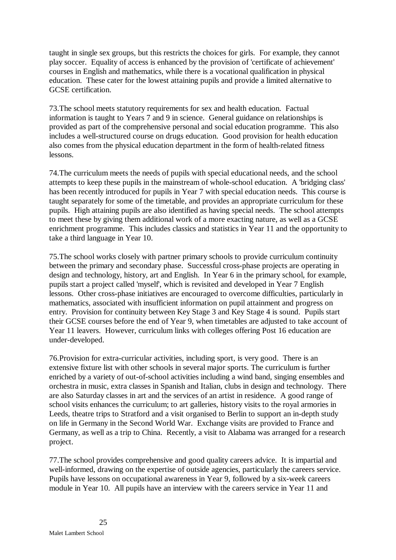taught in single sex groups, but this restricts the choices for girls. For example, they cannot play soccer. Equality of access is enhanced by the provision of 'certificate of achievement' courses in English and mathematics, while there is a vocational qualification in physical education. These cater for the lowest attaining pupils and provide a limited alternative to GCSE certification.

73.The school meets statutory requirements for sex and health education. Factual information is taught to Years 7 and 9 in science. General guidance on relationships is provided as part of the comprehensive personal and social education programme. This also includes a well-structured course on drugs education. Good provision for health education also comes from the physical education department in the form of health-related fitness lessons.

74.The curriculum meets the needs of pupils with special educational needs, and the school attempts to keep these pupils in the mainstream of whole-school education. A 'bridging class' has been recently introduced for pupils in Year 7 with special education needs. This course is taught separately for some of the timetable, and provides an appropriate curriculum for these pupils. High attaining pupils are also identified as having special needs. The school attempts to meet these by giving them additional work of a more exacting nature, as well as a GCSE enrichment programme. This includes classics and statistics in Year 11 and the opportunity to take a third language in Year 10.

75.The school works closely with partner primary schools to provide curriculum continuity between the primary and secondary phase. Successful cross-phase projects are operating in design and technology, history, art and English. In Year 6 in the primary school, for example, pupils start a project called 'myself', which is revisited and developed in Year 7 English lessons. Other cross-phase initiatives are encouraged to overcome difficulties, particularly in mathematics, associated with insufficient information on pupil attainment and progress on entry. Provision for continuity between Key Stage 3 and Key Stage 4 is sound. Pupils start their GCSE courses before the end of Year 9, when timetables are adjusted to take account of Year 11 leavers. However, curriculum links with colleges offering Post 16 education are under-developed.

76.Provision for extra-curricular activities, including sport, is very good. There is an extensive fixture list with other schools in several major sports. The curriculum is further enriched by a variety of out-of-school activities including a wind band, singing ensembles and orchestra in music, extra classes in Spanish and Italian, clubs in design and technology. There are also Saturday classes in art and the services of an artist in residence. A good range of school visits enhances the curriculum; to art galleries, history visits to the royal armories in Leeds, theatre trips to Stratford and a visit organised to Berlin to support an in-depth study on life in Germany in the Second World War. Exchange visits are provided to France and Germany, as well as a trip to China. Recently, a visit to Alabama was arranged for a research project.

77.The school provides comprehensive and good quality careers advice. It is impartial and well-informed, drawing on the expertise of outside agencies, particularly the careers service. Pupils have lessons on occupational awareness in Year 9, followed by a six-week careers module in Year 10. All pupils have an interview with the careers service in Year 11 and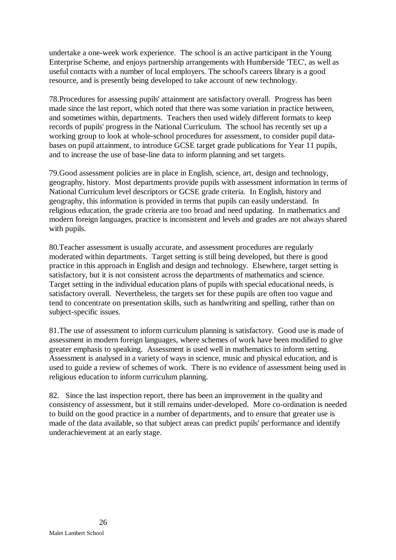undertake a one-week work experience. The school is an active participant in the Young Enterprise Scheme, and enjoys partnership arrangements with Humberside 'TEC', as well as useful contacts with a number of local employers. The school's careers library is a good resource, and is presently being developed to take account of new technology.

78.Procedures for assessing pupils' attainment are satisfactory overall. Progress has been made since the last report, which noted that there was some variation in practice between, and sometimes within, departments. Teachers then used widely different formats to keep records of pupils' progress in the National Curriculum. The school has recently set up a working group to look at whole-school procedures for assessment, to consider pupil databases on pupil attainment, to introduce GCSE target grade publications for Year 11 pupils, and to increase the use of base-line data to inform planning and set targets.

79.Good assessment policies are in place in English, science, art, design and technology, geography, history. Most departments provide pupils with assessment information in terms of National Curriculum level descriptors or GCSE grade criteria. In English, history and geography, this information is provided in terms that pupils can easily understand. In religious education, the grade criteria are too broad and need updating. In mathematics and modern foreign languages, practice is inconsistent and levels and grades are not always shared with pupils.

80.Teacher assessment is usually accurate, and assessment procedures are regularly moderated within departments. Target setting is still being developed, but there is good practice in this approach in English and design and technology. Elsewhere, target setting is satisfactory, but it is not consistent across the departments of mathematics and science. Target setting in the individual education plans of pupils with special educational needs, is satisfactory overall. Nevertheless, the targets set for these pupils are often too vague and tend to concentrate on presentation skills, such as handwriting and spelling, rather than on subject-specific issues.

81.The use of assessment to inform curriculum planning is satisfactory. Good use is made of assessment in modern foreign languages, where schemes of work have been modified to give greater emphasis to speaking. Assessment is used well in mathematics to inform setting. Assessment is analysed in a variety of ways in science, music and physical education, and is used to guide a review of schemes of work. There is no evidence of assessment being used in religious education to inform curriculum planning.

82. Since the last inspection report, there has been an improvement in the quality and consistency of assessment, but it still remains under-developed. More co-ordination is needed to build on the good practice in a number of departments, and to ensure that greater use is made of the data available, so that subject areas can predict pupils' performance and identify underachievement at an early stage.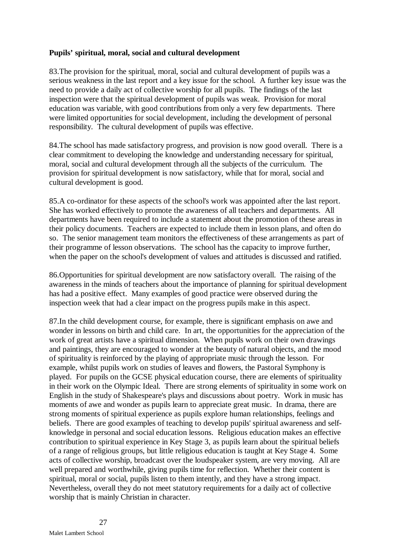#### **Pupils' spiritual, moral, social and cultural development**

83.The provision for the spiritual, moral, social and cultural development of pupils was a serious weakness in the last report and a key issue for the school. A further key issue was the need to provide a daily act of collective worship for all pupils. The findings of the last inspection were that the spiritual development of pupils was weak. Provision for moral education was variable, with good contributions from only a very few departments. There were limited opportunities for social development, including the development of personal responsibility. The cultural development of pupils was effective.

84.The school has made satisfactory progress, and provision is now good overall. There is a clear commitment to developing the knowledge and understanding necessary for spiritual, moral, social and cultural development through all the subjects of the curriculum. The provision for spiritual development is now satisfactory, while that for moral, social and cultural development is good.

85.A co-ordinator for these aspects of the school's work was appointed after the last report. She has worked effectively to promote the awareness of all teachers and departments. All departments have been required to include a statement about the promotion of these areas in their policy documents. Teachers are expected to include them in lesson plans, and often do so. The senior management team monitors the effectiveness of these arrangements as part of their programme of lesson observations. The school has the capacity to improve further, when the paper on the school's development of values and attitudes is discussed and ratified.

86.Opportunities for spiritual development are now satisfactory overall. The raising of the awareness in the minds of teachers about the importance of planning for spiritual development has had a positive effect. Many examples of good practice were observed during the inspection week that had a clear impact on the progress pupils make in this aspect.

87.In the child development course, for example, there is significant emphasis on awe and wonder in lessons on birth and child care. In art, the opportunities for the appreciation of the work of great artists have a spiritual dimension. When pupils work on their own drawings and paintings, they are encouraged to wonder at the beauty of natural objects, and the mood of spirituality is reinforced by the playing of appropriate music through the lesson. For example, whilst pupils work on studies of leaves and flowers, the Pastoral Symphony is played. For pupils on the GCSE physical education course, there are elements of spirituality in their work on the Olympic Ideal. There are strong elements of spirituality in some work on English in the study of Shakespeare's plays and discussions about poetry. Work in music has moments of awe and wonder as pupils learn to appreciate great music. In drama, there are strong moments of spiritual experience as pupils explore human relationships, feelings and beliefs. There are good examples of teaching to develop pupils' spiritual awareness and selfknowledge in personal and social education lessons. Religious education makes an effective contribution to spiritual experience in Key Stage 3, as pupils learn about the spiritual beliefs of a range of religious groups, but little religious education is taught at Key Stage 4. Some acts of collective worship, broadcast over the loudspeaker system, are very moving. All are well prepared and worthwhile, giving pupils time for reflection. Whether their content is spiritual, moral or social, pupils listen to them intently, and they have a strong impact. Nevertheless, overall they do not meet statutory requirements for a daily act of collective worship that is mainly Christian in character.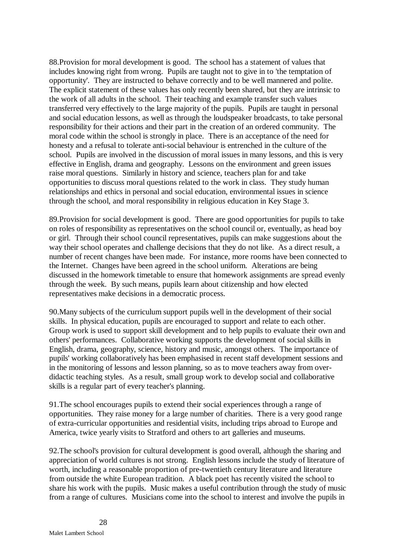88.Provision for moral development is good. The school has a statement of values that includes knowing right from wrong. Pupils are taught not to give in to 'the temptation of opportunity'. They are instructed to behave correctly and to be well mannered and polite. The explicit statement of these values has only recently been shared, but they are intrinsic to the work of all adults in the school. Their teaching and example transfer such values transferred very effectively to the large majority of the pupils. Pupils are taught in personal and social education lessons, as well as through the loudspeaker broadcasts, to take personal responsibility for their actions and their part in the creation of an ordered community. The moral code within the school is strongly in place. There is an acceptance of the need for honesty and a refusal to tolerate anti-social behaviour is entrenched in the culture of the school. Pupils are involved in the discussion of moral issues in many lessons, and this is very effective in English, drama and geography. Lessons on the environment and green issues raise moral questions. Similarly in history and science, teachers plan for and take opportunities to discuss moral questions related to the work in class. They study human relationships and ethics in personal and social education, environmental issues in science through the school, and moral responsibility in religious education in Key Stage 3.

89.Provision for social development is good. There are good opportunities for pupils to take on roles of responsibility as representatives on the school council or, eventually, as head boy or girl. Through their school council representatives, pupils can make suggestions about the way their school operates and challenge decisions that they do not like. As a direct result, a number of recent changes have been made. For instance, more rooms have been connected to the Internet. Changes have been agreed in the school uniform. Alterations are being discussed in the homework timetable to ensure that homework assignments are spread evenly through the week. By such means, pupils learn about citizenship and how elected representatives make decisions in a democratic process.

90.Many subjects of the curriculum support pupils well in the development of their social skills. In physical education, pupils are encouraged to support and relate to each other. Group work is used to support skill development and to help pupils to evaluate their own and others' performances. Collaborative working supports the development of social skills in English, drama, geography, science, history and music, amongst others. The importance of pupils' working collaboratively has been emphasised in recent staff development sessions and in the monitoring of lessons and lesson planning, so as to move teachers away from overdidactic teaching styles. As a result, small group work to develop social and collaborative skills is a regular part of every teacher's planning.

91.The school encourages pupils to extend their social experiences through a range of opportunities. They raise money for a large number of charities. There is a very good range of extra-curricular opportunities and residential visits, including trips abroad to Europe and America, twice yearly visits to Stratford and others to art galleries and museums.

92.The school's provision for cultural development is good overall, although the sharing and appreciation of world cultures is not strong. English lessons include the study of literature of worth, including a reasonable proportion of pre-twentieth century literature and literature from outside the white European tradition. A black poet has recently visited the school to share his work with the pupils. Music makes a useful contribution through the study of music from a range of cultures. Musicians come into the school to interest and involve the pupils in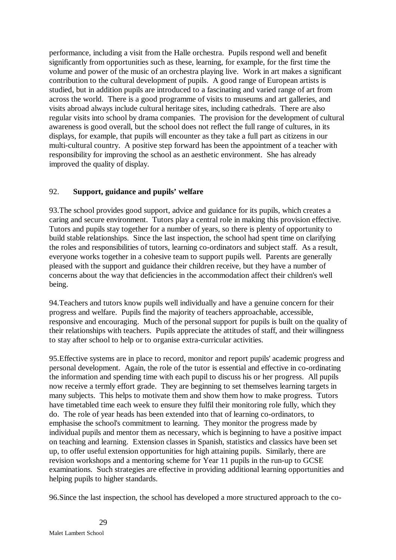performance, including a visit from the Halle orchestra. Pupils respond well and benefit significantly from opportunities such as these, learning, for example, for the first time the volume and power of the music of an orchestra playing live. Work in art makes a significant contribution to the cultural development of pupils. A good range of European artists is studied, but in addition pupils are introduced to a fascinating and varied range of art from across the world. There is a good programme of visits to museums and art galleries, and visits abroad always include cultural heritage sites, including cathedrals. There are also regular visits into school by drama companies. The provision for the development of cultural awareness is good overall, but the school does not reflect the full range of cultures, in its displays, for example, that pupils will encounter as they take a full part as citizens in our multi-cultural country. A positive step forward has been the appointment of a teacher with responsibility for improving the school as an aesthetic environment. She has already improved the quality of display.

## 92. **Support, guidance and pupils' welfare**

93.The school provides good support, advice and guidance for its pupils, which creates a caring and secure environment. Tutors play a central role in making this provision effective. Tutors and pupils stay together for a number of years, so there is plenty of opportunity to build stable relationships. Since the last inspection, the school had spent time on clarifying the roles and responsibilities of tutors, learning co-ordinators and subject staff. As a result, everyone works together in a cohesive team to support pupils well. Parents are generally pleased with the support and guidance their children receive, but they have a number of concerns about the way that deficiencies in the accommodation affect their children's well being.

94.Teachers and tutors know pupils well individually and have a genuine concern for their progress and welfare. Pupils find the majority of teachers approachable, accessible, responsive and encouraging. Much of the personal support for pupils is built on the quality of their relationships with teachers. Pupils appreciate the attitudes of staff, and their willingness to stay after school to help or to organise extra-curricular activities.

95.Effective systems are in place to record, monitor and report pupils' academic progress and personal development. Again, the role of the tutor is essential and effective in co-ordinating the information and spending time with each pupil to discuss his or her progress. All pupils now receive a termly effort grade. They are beginning to set themselves learning targets in many subjects. This helps to motivate them and show them how to make progress. Tutors have timetabled time each week to ensure they fulfil their monitoring role fully, which they do. The role of year heads has been extended into that of learning co-ordinators, to emphasise the school's commitment to learning. They monitor the progress made by individual pupils and mentor them as necessary, which is beginning to have a positive impact on teaching and learning. Extension classes in Spanish, statistics and classics have been set up, to offer useful extension opportunities for high attaining pupils. Similarly, there are revision workshops and a mentoring scheme for Year 11 pupils in the run-up to GCSE examinations. Such strategies are effective in providing additional learning opportunities and helping pupils to higher standards.

96.Since the last inspection, the school has developed a more structured approach to the co-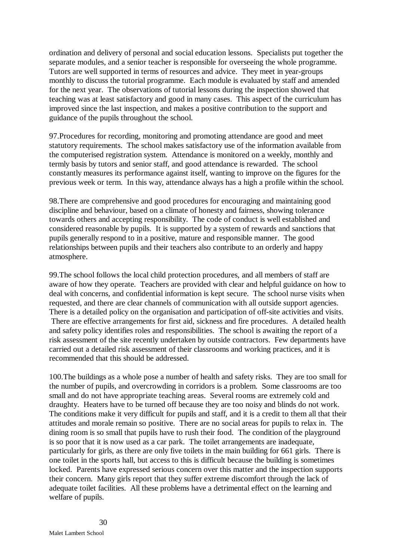ordination and delivery of personal and social education lessons. Specialists put together the separate modules, and a senior teacher is responsible for overseeing the whole programme. Tutors are well supported in terms of resources and advice. They meet in year-groups monthly to discuss the tutorial programme. Each module is evaluated by staff and amended for the next year. The observations of tutorial lessons during the inspection showed that teaching was at least satisfactory and good in many cases. This aspect of the curriculum has improved since the last inspection, and makes a positive contribution to the support and guidance of the pupils throughout the school.

97.Procedures for recording, monitoring and promoting attendance are good and meet statutory requirements. The school makes satisfactory use of the information available from the computerised registration system. Attendance is monitored on a weekly, monthly and termly basis by tutors and senior staff, and good attendance is rewarded. The school constantly measures its performance against itself, wanting to improve on the figures for the previous week or term. In this way, attendance always has a high a profile within the school.

98.There are comprehensive and good procedures for encouraging and maintaining good discipline and behaviour, based on a climate of honesty and fairness, showing tolerance towards others and accepting responsibility. The code of conduct is well established and considered reasonable by pupils. It is supported by a system of rewards and sanctions that pupils generally respond to in a positive, mature and responsible manner. The good relationships between pupils and their teachers also contribute to an orderly and happy atmosphere.

99.The school follows the local child protection procedures, and all members of staff are aware of how they operate. Teachers are provided with clear and helpful guidance on how to deal with concerns, and confidential information is kept secure. The school nurse visits when requested, and there are clear channels of communication with all outside support agencies. There is a detailed policy on the organisation and participation of off-site activities and visits. There are effective arrangements for first aid, sickness and fire procedures. A detailed health and safety policy identifies roles and responsibilities. The school is awaiting the report of a risk assessment of the site recently undertaken by outside contractors. Few departments have carried out a detailed risk assessment of their classrooms and working practices, and it is recommended that this should be addressed.

100.The buildings as a whole pose a number of health and safety risks. They are too small for the number of pupils, and overcrowding in corridors is a problem. Some classrooms are too small and do not have appropriate teaching areas. Several rooms are extremely cold and draughty. Heaters have to be turned off because they are too noisy and blinds do not work. The conditions make it very difficult for pupils and staff, and it is a credit to them all that their attitudes and morale remain so positive. There are no social areas for pupils to relax in. The dining room is so small that pupils have to rush their food. The condition of the playground is so poor that it is now used as a car park. The toilet arrangements are inadequate, particularly for girls, as there are only five toilets in the main building for 661 girls. There is one toilet in the sports hall, but access to this is difficult because the building is sometimes locked. Parents have expressed serious concern over this matter and the inspection supports their concern. Many girls report that they suffer extreme discomfort through the lack of adequate toilet facilities. All these problems have a detrimental effect on the learning and welfare of pupils.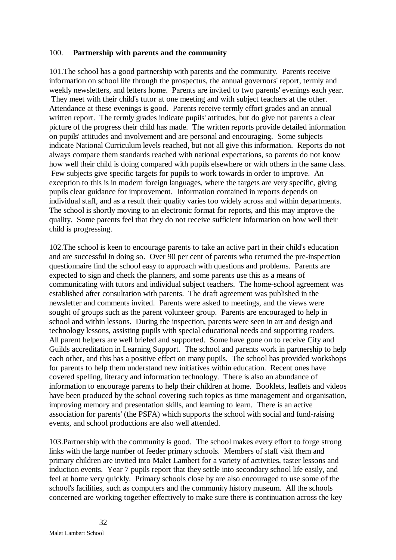#### 100. **Partnership with parents and the community**

101.The school has a good partnership with parents and the community.Parents receive information on school life through the prospectus, the annual governors' report, termly and weekly newsletters, and letters home. Parents are invited to two parents' evenings each year. They meet with their child's tutor at one meeting and with subject teachers at the other. Attendance at these evenings is good. Parents receive termly effort grades and an annual written report. The termly grades indicate pupils' attitudes, but do give not parents a clear picture of the progress their child has made. The written reports provide detailed information on pupils' attitudes and involvement and are personal and encouraging. Some subjects indicate National Curriculum levels reached, but not all give this information. Reports do not always compare them standards reached with national expectations, so parents do not know how well their child is doing compared with pupils elsewhere or with others in the same class. Few subjects give specific targets for pupils to work towards in order to improve. An exception to this is in modern foreign languages, where the targets are very specific, giving pupils clear guidance for improvement. Information contained in reports depends on individual staff, and as a result their quality varies too widely across and within departments. The school is shortly moving to an electronic format for reports, and this may improve the quality. Some parents feel that they do not receive sufficient information on how well their child is progressing.

102.The school is keen to encourage parents to take an active part in their child's education and are successful in doing so. Over 90 per cent of parents who returned the pre-inspection questionnaire find the school easy to approach with questions and problems. Parents are expected to sign and check the planners, and some parents use this as a means of communicating with tutors and individual subject teachers. The home-school agreement was established after consultation with parents. The draft agreement was published in the newsletter and comments invited. Parents were asked to meetings, and the views were sought of groups such as the parent volunteer group. Parents are encouraged to help in school and within lessons. During the inspection, parents were seen in art and design and technology lessons, assisting pupils with special educational needs and supporting readers. All parent helpers are well briefed and supported. Some have gone on to receive City and Guilds accreditation in Learning Support. The school and parents work in partnership to help each other, and this has a positive effect on many pupils. The school has provided workshops for parents to help them understand new initiatives within education. Recent ones have covered spelling, literacy and information technology. There is also an abundance of information to encourage parents to help their children at home. Booklets, leaflets and videos have been produced by the school covering such topics as time management and organisation, improving memory and presentation skills, and learning to learn. There is an active association for parents' (the PSFA) which supports the school with social and fund-raising events, and school productions are also well attended.

103.Partnership with the community is good. The school makes every effort to forge strong links with the large number of feeder primary schools. Members of staff visit them and primary children are invited into Malet Lambert for a variety of activities, taster lessons and induction events. Year 7 pupils report that they settle into secondary school life easily, and feel at home very quickly. Primary schools close by are also encouraged to use some of the school's facilities, such as computers and the community history museum. All the schools concerned are working together effectively to make sure there is continuation across the key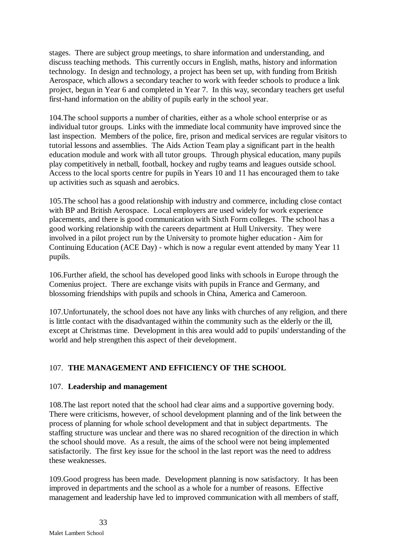stages. There are subject group meetings, to share information and understanding, and discuss teaching methods. This currently occurs in English, maths, history and information technology. In design and technology, a project has been set up, with funding from British Aerospace, which allows a secondary teacher to work with feeder schools to produce a link project, begun in Year 6 and completed in Year 7. In this way, secondary teachers get useful first-hand information on the ability of pupils early in the school year.

104.The school supports a number of charities, either as a whole school enterprise or as individual tutor groups. Links with the immediate local community have improved since the last inspection. Members of the police, fire, prison and medical services are regular visitors to tutorial lessons and assemblies. The Aids Action Team play a significant part in the health education module and work with all tutor groups. Through physical education, many pupils play competitively in netball, football, hockey and rugby teams and leagues outside school. Access to the local sports centre for pupils in Years 10 and 11 has encouraged them to take up activities such as squash and aerobics.

105.The school has a good relationship with industry and commerce, including close contact with BP and British Aerospace. Local employers are used widely for work experience placements, and there is good communication with Sixth Form colleges. The school has a good working relationship with the careers department at Hull University. They were involved in a pilot project run by the University to promote higher education - Aim for Continuing Education (ACE Day) - which is now a regular event attended by many Year 11 pupils.

106.Further afield, the school has developed good links with schools in Europe through the Comenius project. There are exchange visits with pupils in France and Germany, and blossoming friendships with pupils and schools in China, America and Cameroon.

107.Unfortunately, the school does not have any links with churches of any religion, and there is little contact with the disadvantaged within the community such as the elderly or the ill, except at Christmas time. Development in this area would add to pupils' understanding of the world and help strengthen this aspect of their development.

## 107. **THE MANAGEMENT AND EFFICIENCY OF THE SCHOOL**

## 107. **Leadership and management**

108.The last report noted that the school had clear aims and a supportive governing body. There were criticisms, however, of school development planning and of the link between the process of planning for whole school development and that in subject departments. The staffing structure was unclear and there was no shared recognition of the direction in which the school should move. As a result, the aims of the school were not being implemented satisfactorily. The first key issue for the school in the last report was the need to address these weaknesses.

109.Good progress has been made. Development planning is now satisfactory. It has been improved in departments and the school as a whole for a number of reasons. Effective management and leadership have led to improved communication with all members of staff,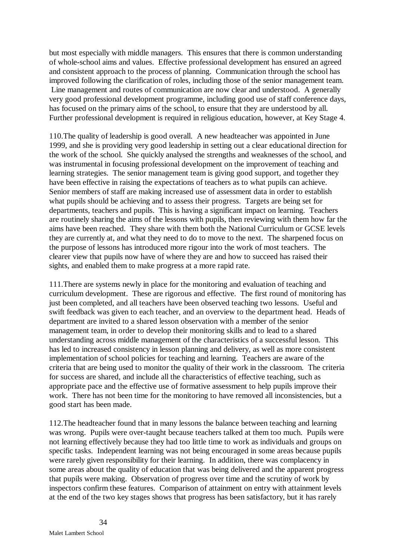but most especially with middle managers. This ensures that there is common understanding of whole-school aims and values. Effective professional development has ensured an agreed and consistent approach to the process of planning. Communication through the school has improved following the clarification of roles, including those of the senior management team. Line management and routes of communication are now clear and understood. A generally very good professional development programme, including good use of staff conference days, has focused on the primary aims of the school, to ensure that they are understood by all. Further professional development is required in religious education, however, at Key Stage 4.

110.The quality of leadership is good overall. A new headteacher was appointed in June 1999, and she is providing very good leadership in setting out a clear educational direction for the work of the school. She quickly analysed the strengths and weaknesses of the school, and was instrumental in focusing professional development on the improvement of teaching and learning strategies. The senior management team is giving good support, and together they have been effective in raising the expectations of teachers as to what pupils can achieve. Senior members of staff are making increased use of assessment data in order to establish what pupils should be achieving and to assess their progress. Targets are being set for departments, teachers and pupils. This is having a significant impact on learning. Teachers are routinely sharing the aims of the lessons with pupils, then reviewing with them how far the aims have been reached. They share with them both the National Curriculum or GCSE levels they are currently at, and what they need to do to move to the next. The sharpened focus on the purpose of lessons has introduced more rigour into the work of most teachers. The clearer view that pupils now have of where they are and how to succeed has raised their sights, and enabled them to make progress at a more rapid rate.

111.There are systems newly in place for the monitoring and evaluation of teaching and curriculum development. These are rigorous and effective. The first round of monitoring has just been completed, and all teachers have been observed teaching two lessons. Useful and swift feedback was given to each teacher, and an overview to the department head. Heads of department are invited to a shared lesson observation with a member of the senior management team, in order to develop their monitoring skills and to lead to a shared understanding across middle management of the characteristics of a successful lesson. This has led to increased consistency in lesson planning and delivery, as well as more consistent implementation of school policies for teaching and learning. Teachers are aware of the criteria that are being used to monitor the quality of their work in the classroom. The criteria for success are shared, and include all the characteristics of effective teaching, such as appropriate pace and the effective use of formative assessment to help pupils improve their work. There has not been time for the monitoring to have removed all inconsistencies, but a good start has been made.

112.The headteacher found that in many lessons the balance between teaching and learning was wrong. Pupils were over-taught because teachers talked at them too much. Pupils were not learning effectively because they had too little time to work as individuals and groups on specific tasks. Independent learning was not being encouraged in some areas because pupils were rarely given responsibility for their learning. In addition, there was complacency in some areas about the quality of education that was being delivered and the apparent progress that pupils were making. Observation of progress over time and the scrutiny of work by inspectors confirm these features. Comparison of attainment on entry with attainment levels at the end of the two key stages shows that progress has been satisfactory, but it has rarely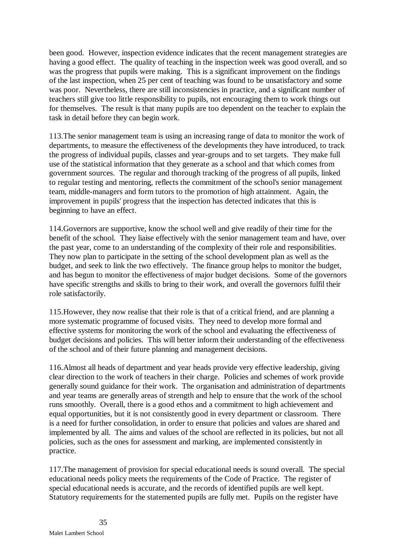been good. However, inspection evidence indicates that the recent management strategies are having a good effect. The quality of teaching in the inspection week was good overall, and so was the progress that pupils were making. This is a significant improvement on the findings of the last inspection, when 25 per cent of teaching was found to be unsatisfactory and some was poor. Nevertheless, there are still inconsistencies in practice, and a significant number of teachers still give too little responsibility to pupils, not encouraging them to work things out for themselves. The result is that many pupils are too dependent on the teacher to explain the task in detail before they can begin work.

113.The senior management team is using an increasing range of data to monitor the work of departments, to measure the effectiveness of the developments they have introduced, to track the progress of individual pupils, classes and year-groups and to set targets. They make full use of the statistical information that they generate as a school and that which comes from government sources. The regular and thorough tracking of the progress of all pupils, linked to regular testing and mentoring, reflects the commitment of the school's senior management team, middle-managers and form tutors to the promotion of high attainment. Again, the improvement in pupils' progress that the inspection has detected indicates that this is beginning to have an effect.

114.Governors are supportive, know the school well and give readily of their time for the benefit of the school. They liaise effectively with the senior management team and have, over the past year, come to an understanding of the complexity of their role and responsibilities. They now plan to participate in the setting of the school development plan as well as the budget, and seek to link the two effectively. The finance group helps to monitor the budget, and has begun to monitor the effectiveness of major budget decisions. Some of the governors have specific strengths and skills to bring to their work, and overall the governors fulfil their role satisfactorily.

115.However, they now realise that their role is that of a critical friend, and are planning a more systematic programme of focused visits. They need to develop more formal and effective systems for monitoring the work of the school and evaluating the effectiveness of budget decisions and policies. This will better inform their understanding of the effectiveness of the school and of their future planning and management decisions.

116.Almost all heads of department and year heads provide very effective leadership, giving clear direction to the work of teachers in their charge. Policies and schemes of work provide generally sound guidance for their work. The organisation and administration of departments and year teams are generally areas of strength and help to ensure that the work of the school runs smoothly. Overall, there is a good ethos and a commitment to high achievement and equal opportunities, but it is not consistently good in every department or classroom. There is a need for further consolidation, in order to ensure that policies and values are shared and implemented by all. The aims and values of the school are reflected in its policies, but not all policies, such as the ones for assessment and marking, are implemented consistently in practice.

117.The management of provision for special educational needs is sound overall. The special educational needs policy meets the requirements of the Code of Practice. The register of special educational needs is accurate, and the records of identified pupils are well kept. Statutory requirements for the statemented pupils are fully met. Pupils on the register have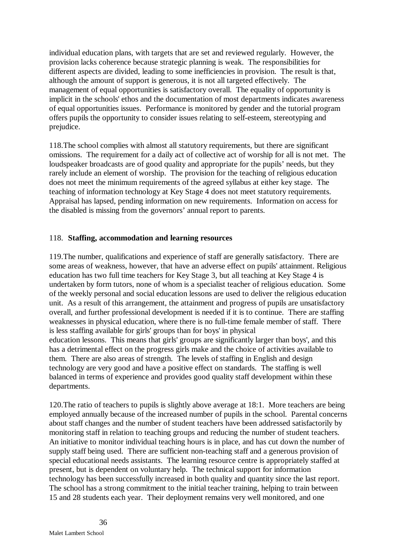individual education plans, with targets that are set and reviewed regularly. However, the provision lacks coherence because strategic planning is weak. The responsibilities for different aspects are divided, leading to some inefficiencies in provision. The result is that, although the amount of support is generous, it is not all targeted effectively. The management of equal opportunities is satisfactory overall. The equality of opportunity is implicit in the schools' ethos and the documentation of most departments indicates awareness of equal opportunities issues. Performance is monitored by gender and the tutorial program offers pupils the opportunity to consider issues relating to self-esteem, stereotyping and prejudice.

118.The school complies with almost all statutory requirements, but there are significant omissions. The requirement for a daily act of collective act of worship for all is not met. The loudspeaker broadcasts are of good quality and appropriate for the pupils' needs, but they rarely include an element of worship. The provision for the teaching of religious education does not meet the minimum requirements of the agreed syllabus at either key stage. The teaching of information technology at Key Stage 4 does not meet statutory requirements. Appraisal has lapsed, pending information on new requirements. Information on access for the disabled is missing from the governors' annual report to parents.

## 118. **Staffing, accommodation and learning resources**

119.The number, qualifications and experience of staff are generally satisfactory. There are some areas of weakness, however, that have an adverse effect on pupils' attainment. Religious education has two full time teachers for Key Stage 3, but all teaching at Key Stage 4 is undertaken by form tutors, none of whom is a specialist teacher of religious education. Some of the weekly personal and social education lessons are used to deliver the religious education unit. As a result of this arrangement, the attainment and progress of pupils are unsatisfactory overall, and further professional development is needed if it is to continue. There are staffing weaknesses in physical education, where there is no full-time female member of staff. There is less staffing available for girls' groups than for boys' in physical education lessons. This means that girls' groups are significantly larger than boys', and this has a detrimental effect on the progress girls make and the choice of activities available to them. There are also areas of strength. The levels of staffing in English and design technology are very good and have a positive effect on standards. The staffing is well balanced in terms of experience and provides good quality staff development within these departments.

120.The ratio of teachers to pupils is slightly above average at 18:1. More teachers are being employed annually because of the increased number of pupils in the school. Parental concerns about staff changes and the number of student teachers have been addressed satisfactorily by monitoring staff in relation to teaching groups and reducing the number of student teachers. An initiative to monitor individual teaching hours is in place, and has cut down the number of supply staff being used. There are sufficient non-teaching staff and a generous provision of special educational needs assistants. The learning resource centre is appropriately staffed at present, but is dependent on voluntary help. The technical support for information technology has been successfully increased in both quality and quantity since the last report. The school has a strong commitment to the initial teacher training, helping to train between 15 and 28 students each year. Their deployment remains very well monitored, and one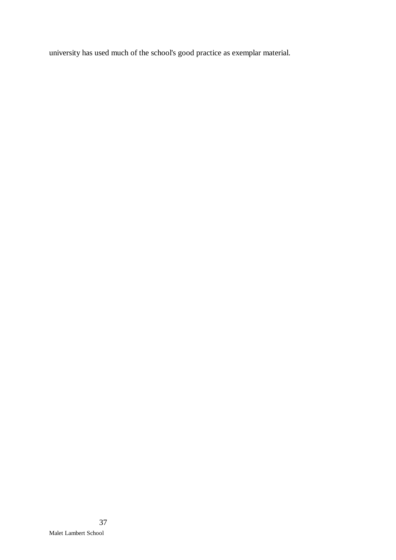university has used much of the school's good practice as exemplar material.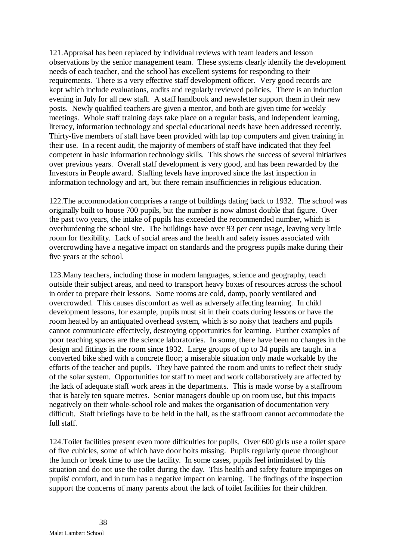121.Appraisal has been replaced by individual reviews with team leaders and lesson observations by the senior management team. These systems clearly identify the development needs of each teacher, and the school has excellent systems for responding to their requirements. There is a very effective staff development officer. Very good records are kept which include evaluations, audits and regularly reviewed policies. There is an induction evening in July for all new staff. A staff handbook and newsletter support them in their new posts. Newly qualified teachers are given a mentor, and both are given time for weekly meetings. Whole staff training days take place on a regular basis, and independent learning, literacy, information technology and special educational needs have been addressed recently. Thirty-five members of staff have been provided with lap top computers and given training in their use. In a recent audit, the majority of members of staff have indicated that they feel competent in basic information technology skills. This shows the success of several initiatives over previous years. Overall staff development is very good, and has been rewarded by the Investors in People award. Staffing levels have improved since the last inspection in information technology and art, but there remain insufficiencies in religious education.

122.The accommodation comprises a range of buildings dating back to 1932. The school was originally built to house 700 pupils, but the number is now almost double that figure. Over the past two years, the intake of pupils has exceeded the recommended number, which is overburdening the school site. The buildings have over 93 per cent usage, leaving very little room for flexibility. Lack of social areas and the health and safety issues associated with overcrowding have a negative impact on standards and the progress pupils make during their five years at the school.

123.Many teachers, including those in modern languages, science and geography, teach outside their subject areas, and need to transport heavy boxes of resources across the school in order to prepare their lessons. Some rooms are cold, damp, poorly ventilated and overcrowded. This causes discomfort as well as adversely affecting learning. In child development lessons, for example, pupils must sit in their coats during lessons or have the room heated by an antiquated overhead system, which is so noisy that teachers and pupils cannot communicate effectively, destroying opportunities for learning. Further examples of poor teaching spaces are the science laboratories. In some, there have been no changes in the design and fittings in the room since 1932. Large groups of up to 34 pupils are taught in a converted bike shed with a concrete floor; a miserable situation only made workable by the efforts of the teacher and pupils. They have painted the room and units to reflect their study of the solar system. Opportunities for staff to meet and work collaboratively are affected by the lack of adequate staff work areas in the departments. This is made worse by a staffroom that is barely ten square metres. Senior managers double up on room use, but this impacts negatively on their whole-school role and makes the organisation of documentation very difficult. Staff briefings have to be held in the hall, as the staffroom cannot accommodate the full staff.

124.Toilet facilities present even more difficulties for pupils. Over 600 girls use a toilet space of five cubicles, some of which have door bolts missing. Pupils regularly queue throughout the lunch or break time to use the facility. In some cases, pupils feel intimidated by this situation and do not use the toilet during the day. This health and safety feature impinges on pupils' comfort, and in turn has a negative impact on learning. The findings of the inspection support the concerns of many parents about the lack of toilet facilities for their children.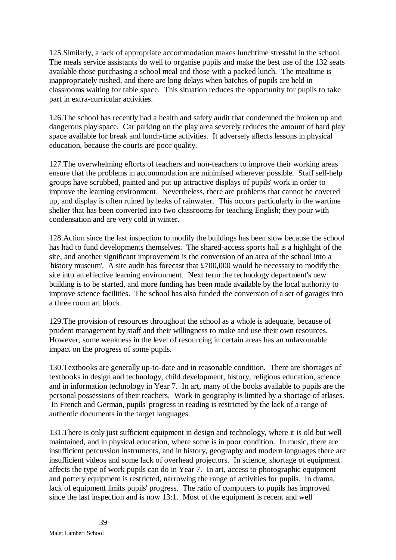125.Similarly, a lack of appropriate accommodation makes lunchtime stressful in the school. The meals service assistants do well to organise pupils and make the best use of the 132 seats available those purchasing a school meal and those with a packed lunch. The mealtime is inappropriately rushed, and there are long delays when batches of pupils are held in classrooms waiting for table space. This situation reduces the opportunity for pupils to take part in extra-curricular activities.

126.The school has recently had a health and safety audit that condemned the broken up and dangerous play space. Car parking on the play area severely reduces the amount of hard play space available for break and lunch-time activities. It adversely affects lessons in physical education, because the courts are poor quality.

127.The overwhelming efforts of teachers and non-teachers to improve their working areas ensure that the problems in accommodation are minimised wherever possible. Staff self-help groups have scrubbed, painted and put up attractive displays of pupils' work in order to improve the learning environment. Nevertheless, there are problems that cannot be covered up, and display is often ruined by leaks of rainwater. This occurs particularly in the wartime shelter that has been converted into two classrooms for teaching English; they pour with condensation and are very cold in winter.

128.Action since the last inspection to modify the buildings has been slow because the school has had to fund developments themselves. The shared-access sports hall is a highlight of the site, and another significant improvement is the conversion of an area of the school into a 'history museum'. A site audit has forecast that £700,000 would be necessary to modify the site into an effective learning environment. Next term the technology department's new building is to be started, and more funding has been made available by the local authority to improve science facilities. The school has also funded the conversion of a set of garages into a three room art block.

129.The provision of resources throughout the school as a whole is adequate, because of prudent management by staff and their willingness to make and use their own resources. However, some weakness in the level of resourcing in certain areas has an unfavourable impact on the progress of some pupils.

130.Textbooks are generally up-to-date and in reasonable condition. There are shortages of textbooks in design and technology, child development, history, religious education, science and in information technology in Year 7. In art, many of the books available to pupils are the personal possessions of their teachers. Work in geography is limited by a shortage of atlases. In French and German, pupils' progress in reading is restricted by the lack of a range of authentic documents in the target languages.

131.There is only just sufficient equipment in design and technology, where it is old but well maintained, and in physical education, where some is in poor condition. In music, there are insufficient percussion instruments, and in history, geography and modern languages there are insufficient videos and some lack of overhead projectors. In science, shortage of equipment affects the type of work pupils can do in Year 7. In art, access to photographic equipment and pottery equipment is restricted, narrowing the range of activities for pupils. In drama, lack of equipment limits pupils' progress. The ratio of computers to pupils has improved since the last inspection and is now 13:1. Most of the equipment is recent and well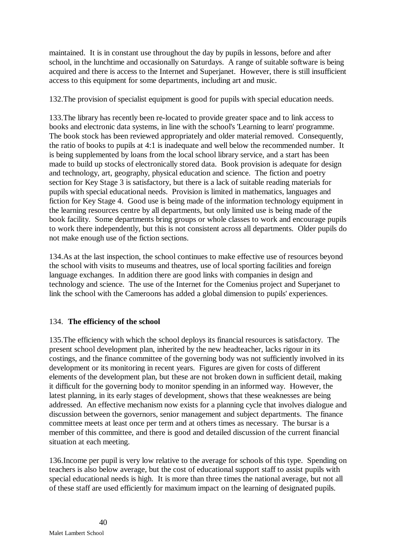maintained. It is in constant use throughout the day by pupils in lessons, before and after school, in the lunchtime and occasionally on Saturdays. A range of suitable software is being acquired and there is access to the Internet and Superjanet. However, there is still insufficient access to this equipment for some departments, including art and music.

132.The provision of specialist equipment is good for pupils with special education needs.

133.The library has recently been re-located to provide greater space and to link access to books and electronic data systems, in line with the school's 'Learning to learn' programme. The book stock has been reviewed appropriately and older material removed. Consequently, the ratio of books to pupils at 4:1 is inadequate and well below the recommended number. It is being supplemented by loans from the local school library service, and a start has been made to build up stocks of electronically stored data. Book provision is adequate for design and technology, art, geography, physical education and science. The fiction and poetry section for Key Stage 3 is satisfactory, but there is a lack of suitable reading materials for pupils with special educational needs. Provision is limited in mathematics, languages and fiction for Key Stage 4. Good use is being made of the information technology equipment in the learning resources centre by all departments, but only limited use is being made of the book facility. Some departments bring groups or whole classes to work and encourage pupils to work there independently, but this is not consistent across all departments. Older pupils do not make enough use of the fiction sections.

134.As at the last inspection, the school continues to make effective use of resources beyond the school with visits to museums and theatres, use of local sporting facilities and foreign language exchanges. In addition there are good links with companies in design and technology and science. The use of the Internet for the Comenius project and Superjanet to link the school with the Cameroons has added a global dimension to pupils' experiences.

# 134. **The efficiency of the school**

135.The efficiency with which the school deploys its financial resources is satisfactory. The present school development plan, inherited by the new headteacher, lacks rigour in its costings, and the finance committee of the governing body was not sufficiently involved in its development or its monitoring in recent years. Figures are given for costs of different elements of the development plan, but these are not broken down in sufficient detail, making it difficult for the governing body to monitor spending in an informed way. However, the latest planning, in its early stages of development, shows that these weaknesses are being addressed. An effective mechanism now exists for a planning cycle that involves dialogue and discussion between the governors, senior management and subject departments. The finance committee meets at least once per term and at others times as necessary. The bursar is a member of this committee, and there is good and detailed discussion of the current financial situation at each meeting.

136.Income per pupil is very low relative to the average for schools of this type. Spending on teachers is also below average, but the cost of educational support staff to assist pupils with special educational needs is high. It is more than three times the national average, but not all of these staff are used efficiently for maximum impact on the learning of designated pupils.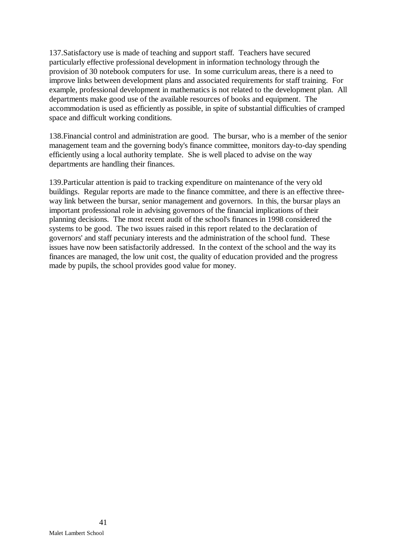137.Satisfactory use is made of teaching and support staff. Teachers have secured particularly effective professional development in information technology through the provision of 30 notebook computers for use. In some curriculum areas, there is a need to improve links between development plans and associated requirements for staff training. For example, professional development in mathematics is not related to the development plan. All departments make good use of the available resources of books and equipment. The accommodation is used as efficiently as possible, in spite of substantial difficulties of cramped space and difficult working conditions.

138.Financial control and administration are good. The bursar, who is a member of the senior management team and the governing body's finance committee, monitors day-to-day spending efficiently using a local authority template. She is well placed to advise on the way departments are handling their finances.

139.Particular attention is paid to tracking expenditure on maintenance of the very old buildings. Regular reports are made to the finance committee, and there is an effective threeway link between the bursar, senior management and governors. In this, the bursar plays an important professional role in advising governors of the financial implications of their planning decisions. The most recent audit of the school's finances in 1998 considered the systems to be good. The two issues raised in this report related to the declaration of governors' and staff pecuniary interests and the administration of the school fund. These issues have now been satisfactorily addressed. In the context of the school and the way its finances are managed, the low unit cost, the quality of education provided and the progress made by pupils, the school provides good value for money.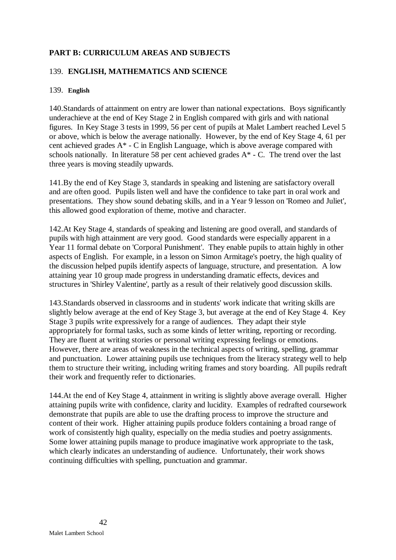# **PART B: CURRICULUM AREAS AND SUBJECTS**

## 139. **ENGLISH, MATHEMATICS AND SCIENCE**

### 139. **English**

140.Standards of attainment on entry are lower than national expectations. Boys significantly underachieve at the end of Key Stage 2 in English compared with girls and with national figures. In Key Stage 3 tests in 1999, 56 per cent of pupils at Malet Lambert reached Level 5 or above, which is below the average nationally. However, by the end of Key Stage 4, 61 per cent achieved grades A\* - C in English Language, which is above average compared with schools nationally. In literature 58 per cent achieved grades A\* - C. The trend over the last three years is moving steadily upwards.

141.By the end of Key Stage 3, standards in speaking and listening are satisfactory overall and are often good. Pupils listen well and have the confidence to take part in oral work and presentations. They show sound debating skills, and in a Year 9 lesson on 'Romeo and Juliet', this allowed good exploration of theme, motive and character.

142.At Key Stage 4, standards of speaking and listening are good overall, and standards of pupils with high attainment are very good. Good standards were especially apparent in a Year 11 formal debate on 'Corporal Punishment'. They enable pupils to attain highly in other aspects of English. For example, in a lesson on Simon Armitage's poetry, the high quality of the discussion helped pupils identify aspects of language, structure, and presentation. A low attaining year 10 group made progress in understanding dramatic effects, devices and structures in 'Shirley Valentine', partly as a result of their relatively good discussion skills.

143.Standards observed in classrooms and in students' work indicate that writing skills are slightly below average at the end of Key Stage 3, but average at the end of Key Stage 4. Key Stage 3 pupils write expressively for a range of audiences. They adapt their style appropriately for formal tasks, such as some kinds of letter writing, reporting or recording. They are fluent at writing stories or personal writing expressing feelings or emotions. However, there are areas of weakness in the technical aspects of writing, spelling, grammar and punctuation. Lower attaining pupils use techniques from the literacy strategy well to help them to structure their writing, including writing frames and story boarding. All pupils redraft their work and frequently refer to dictionaries.

144.At the end of Key Stage 4, attainment in writing is slightly above average overall. Higher attaining pupils write with confidence, clarity and lucidity. Examples of redrafted coursework demonstrate that pupils are able to use the drafting process to improve the structure and content of their work. Higher attaining pupils produce folders containing a broad range of work of consistently high quality, especially on the media studies and poetry assignments. Some lower attaining pupils manage to produce imaginative work appropriate to the task, which clearly indicates an understanding of audience. Unfortunately, their work shows continuing difficulties with spelling, punctuation and grammar.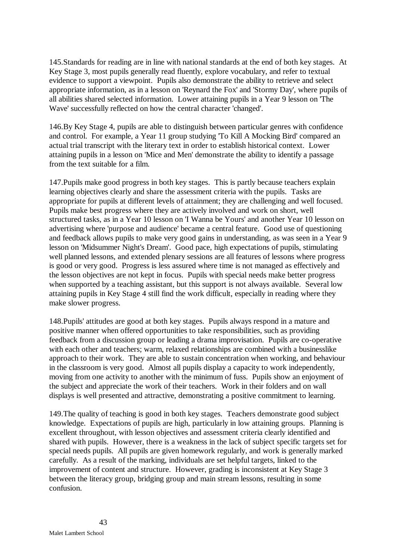145.Standards for reading are in line with national standards at the end of both key stages. At Key Stage 3, most pupils generally read fluently, explore vocabulary, and refer to textual evidence to support a viewpoint. Pupils also demonstrate the ability to retrieve and select appropriate information, as in a lesson on 'Reynard the Fox' and 'Stormy Day', where pupils of all abilities shared selected information. Lower attaining pupils in a Year 9 lesson on 'The Wave' successfully reflected on how the central character 'changed'.

146.By Key Stage 4, pupils are able to distinguish between particular genres with confidence and control. For example, a Year 11 group studying 'To Kill A Mocking Bird' compared an actual trial transcript with the literary text in order to establish historical context. Lower attaining pupils in a lesson on 'Mice and Men' demonstrate the ability to identify a passage from the text suitable for a film.

147.Pupils make good progress in both key stages. This is partly because teachers explain learning objectives clearly and share the assessment criteria with the pupils. Tasks are appropriate for pupils at different levels of attainment; they are challenging and well focused. Pupils make best progress where they are actively involved and work on short, well structured tasks, as in a Year 10 lesson on 'I Wanna be Yours' and another Year 10 lesson on advertising where 'purpose and audience' became a central feature. Good use of questioning and feedback allows pupils to make very good gains in understanding, as was seen in a Year 9 lesson on 'Midsummer Night's Dream'. Good pace, high expectations of pupils, stimulating well planned lessons, and extended plenary sessions are all features of lessons where progress is good or very good. Progress is less assured where time is not managed as effectively and the lesson objectives are not kept in focus. Pupils with special needs make better progress when supported by a teaching assistant, but this support is not always available. Several low attaining pupils in Key Stage 4 still find the work difficult, especially in reading where they make slower progress.

148.Pupils' attitudes are good at both key stages. Pupils always respond in a mature and positive manner when offered opportunities to take responsibilities, such as providing feedback from a discussion group or leading a drama improvisation. Pupils are co-operative with each other and teachers; warm, relaxed relationships are combined with a businesslike approach to their work. They are able to sustain concentration when working, and behaviour in the classroom is very good. Almost all pupils display a capacity to work independently, moving from one activity to another with the minimum of fuss. Pupils show an enjoyment of the subject and appreciate the work of their teachers. Work in their folders and on wall displays is well presented and attractive, demonstrating a positive commitment to learning.

149.The quality of teaching is good in both key stages. Teachers demonstrate good subject knowledge. Expectations of pupils are high, particularly in low attaining groups. Planning is excellent throughout, with lesson objectives and assessment criteria clearly identified and shared with pupils. However, there is a weakness in the lack of subject specific targets set for special needs pupils. All pupils are given homework regularly, and work is generally marked carefully. As a result of the marking, individuals are set helpful targets, linked to the improvement of content and structure. However, grading is inconsistent at Key Stage 3 between the literacy group, bridging group and main stream lessons, resulting in some confusion.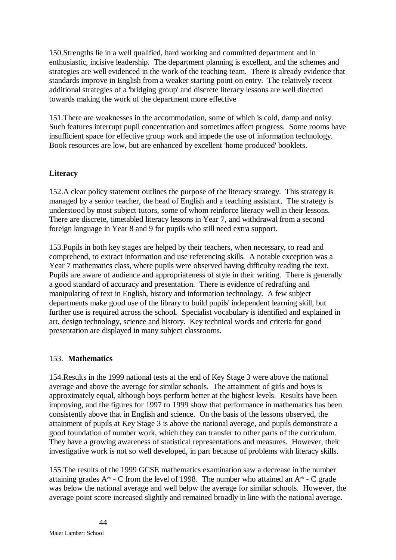150.Strengths lie in a well qualified, hard working and committed department and in enthusiastic, incisive leadership. The department planning is excellent, and the schemes and strategies are well evidenced in the work of the teaching team. There is already evidence that standards improve in English from a weaker starting point on entry. The relatively recent additional strategies of a 'bridging group' and discrete literacy lessons are well directed towards making the work of the department more effective

151.There are weaknesses in the accommodation, some of which is cold, damp and noisy. Such features interrupt pupil concentration and sometimes affect progress. Some rooms have insufficient space for effective group work and impede the use of information technology. Book resources are low, but are enhanced by excellent 'home produced' booklets.

## **Literacy**

152.A clear policy statement outlines the purpose of the literacy strategy. This strategy is managed by a senior teacher, the head of English and a teaching assistant. The strategy is understood by most subject tutors, some of whom reinforce literacy well in their lessons. There are discrete, timetabled literacy lessons in Year 7, and withdrawal from a second foreign language in Year 8 and 9 for pupils who still need extra support.

153.Pupils in both key stages are helped by their teachers, when necessary, to read and comprehend, to extract information and use referencing skills. A notable exception was a Year 7 mathematics class, where pupils were observed having difficulty reading the text. Pupils are aware of audience and appropriateness of style in their writing. There is generally a good standard of accuracy and presentation. There is evidence of redrafting and manipulating of text in English, history and information technology. A few subject departments make good use of the library to build pupils' independent learning skill, but further use is required across the school*.* Specialist vocabulary is identified and explained in art, design technology, science and history. Key technical words and criteria for good presentation are displayed in many subject classrooms.

### 153. **Mathematics**

154.Results in the 1999 national tests at the end of Key Stage 3 were above the national average and above the average for similar schools. The attainment of girls and boys is approximately equal, although boys perform better at the highest levels. Results have been improving, and the figures for 1997 to 1999 show that performance in mathematics has been consistently above that in English and science. On the basis of the lessons observed, the attainment of pupils at Key Stage 3 is above the national average, and pupils demonstrate a good foundation of number work, which they can transfer to other parts of the curriculum. They have a growing awareness of statistical representations and measures. However, their investigative work is not so well developed, in part because of problems with literacy skills.

155.The results of the 1999 GCSE mathematics examination saw a decrease in the number attaining grades  $A^*$  - C from the level of 1998. The number who attained an  $A^*$  - C grade was below the national average and well below the average for similar schools. However, the average point score increased slightly and remained broadly in line with the national average.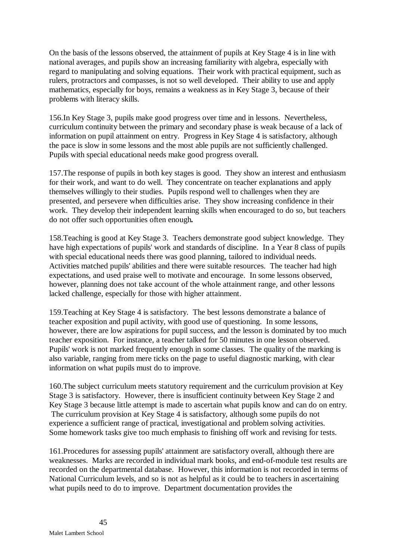On the basis of the lessons observed, the attainment of pupils at Key Stage 4 is in line with national averages, and pupils show an increasing familiarity with algebra, especially with regard to manipulating and solving equations. Their work with practical equipment, such as rulers, protractors and compasses, is not so well developed. Their ability to use and apply mathematics, especially for boys, remains a weakness as in Key Stage 3, because of their problems with literacy skills.

156.In Key Stage 3, pupils make good progress over time and in lessons. Nevertheless, curriculum continuity between the primary and secondary phase is weak because of a lack of information on pupil attainment on entry. Progress in Key Stage 4 is satisfactory, although the pace is slow in some lessons and the most able pupils are not sufficiently challenged. Pupils with special educational needs make good progress overall.

157.The response of pupils in both key stages is good. They show an interest and enthusiasm for their work, and want to do well. They concentrate on teacher explanations and apply themselves willingly to their studies. Pupils respond well to challenges when they are presented, and persevere when difficulties arise. They show increasing confidence in their work. They develop their independent learning skills when encouraged to do so, but teachers do not offer such opportunities often enough*.*

158.Teaching is good at Key Stage 3. Teachers demonstrate good subject knowledge. They have high expectations of pupils' work and standards of discipline. In a Year 8 class of pupils with special educational needs there was good planning, tailored to individual needs. Activities matched pupils' abilities and there were suitable resources. The teacher had high expectations, and used praise well to motivate and encourage. In some lessons observed, however, planning does not take account of the whole attainment range, and other lessons lacked challenge, especially for those with higher attainment.

159.Teaching at Key Stage 4 is satisfactory. The best lessons demonstrate a balance of teacher exposition and pupil activity, with good use of questioning. In some lessons, however, there are low aspirations for pupil success, and the lesson is dominated by too much teacher exposition. For instance, a teacher talked for 50 minutes in one lesson observed. Pupils' work is not marked frequently enough in some classes. The quality of the marking is also variable, ranging from mere ticks on the page to useful diagnostic marking, with clear information on what pupils must do to improve.

160.The subject curriculum meets statutory requirement and the curriculum provision at Key Stage 3 is satisfactory. However, there is insufficient continuity between Key Stage 2 and Key Stage 3 because little attempt is made to ascertain what pupils know and can do on entry. The curriculum provision at Key Stage 4 is satisfactory, although some pupils do not experience a sufficient range of practical, investigational and problem solving activities. Some homework tasks give too much emphasis to finishing off work and revising for tests.

161.Procedures for assessing pupils' attainment are satisfactory overall, although there are weaknesses. Marks are recorded in individual mark books, and end-of-module test results are recorded on the departmental database. However, this information is not recorded in terms of National Curriculum levels, and so is not as helpful as it could be to teachers in ascertaining what pupils need to do to improve. Department documentation provides the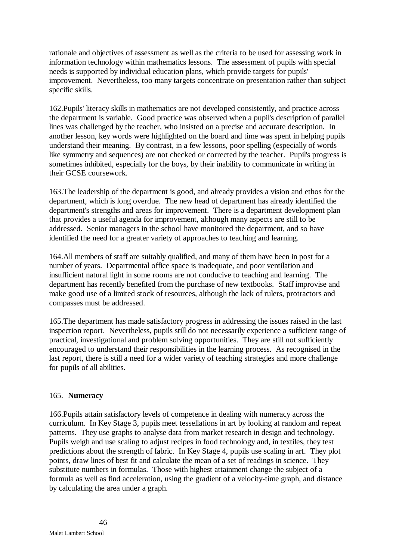rationale and objectives of assessment as well as the criteria to be used for assessing work in information technology within mathematics lessons. The assessment of pupils with special needs is supported by individual education plans, which provide targets for pupils' improvement. Nevertheless, too many targets concentrate on presentation rather than subject specific skills.

162.Pupils' literacy skills in mathematics are not developed consistently, and practice across the department is variable. Good practice was observed when a pupil's description of parallel lines was challenged by the teacher, who insisted on a precise and accurate description. In another lesson, key words were highlighted on the board and time was spent in helping pupils understand their meaning. By contrast, in a few lessons, poor spelling (especially of words like symmetry and sequences) are not checked or corrected by the teacher. Pupil's progress is sometimes inhibited, especially for the boys, by their inability to communicate in writing in their GCSE coursework.

163.The leadership of the department is good, and already provides a vision and ethos for the department, which is long overdue. The new head of department has already identified the department's strengths and areas for improvement. There is a department development plan that provides a useful agenda for improvement, although many aspects are still to be addressed. Senior managers in the school have monitored the department, and so have identified the need for a greater variety of approaches to teaching and learning.

164.All members of staff are suitably qualified, and many of them have been in post for a number of years. Departmental office space is inadequate, and poor ventilation and insufficient natural light in some rooms are not conducive to teaching and learning. The department has recently benefited from the purchase of new textbooks. Staff improvise and make good use of a limited stock of resources, although the lack of rulers, protractors and compasses must be addressed.

165.The department has made satisfactory progress in addressing the issues raised in the last inspection report. Nevertheless, pupils still do not necessarily experience a sufficient range of practical, investigational and problem solving opportunities. They are still not sufficiently encouraged to understand their responsibilities in the learning process. As recognised in the last report, there is still a need for a wider variety of teaching strategies and more challenge for pupils of all abilities.

## 165. **Numeracy**

166.Pupils attain satisfactory levels of competence in dealing with numeracy across the curriculum. In Key Stage 3, pupils meet tessellations in art by looking at random and repeat patterns. They use graphs to analyse data from market research in design and technology. Pupils weigh and use scaling to adjust recipes in food technology and, in textiles, they test predictions about the strength of fabric. In Key Stage 4, pupils use scaling in art. They plot points, draw lines of best fit and calculate the mean of a set of readings in science. They substitute numbers in formulas. Those with highest attainment change the subject of a formula as well as find acceleration, using the gradient of a velocity-time graph, and distance by calculating the area under a graph.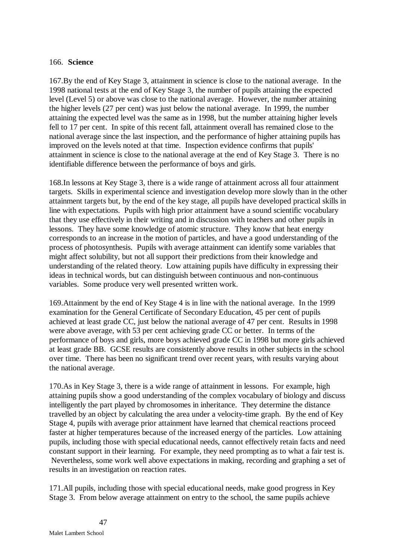### 166. **Science**

167.By the end of Key Stage 3, attainment in science is close to the national average.In the 1998 national tests at the end of Key Stage 3, the number of pupils attaining the expected level (Level 5) or above was close to the national average. However, the number attaining the higher levels (27 per cent) was just below the national average. In 1999, the number attaining the expected level was the same as in 1998, but the number attaining higher levels fell to 17 per cent. In spite of this recent fall, attainment overall has remained close to the national average since the last inspection, and the performance of higher attaining pupils has improved on the levels noted at that time. Inspection evidence confirms that pupils' attainment in science is close to the national average at the end of Key Stage 3. There is no identifiable difference between the performance of boys and girls.

168.In lessons at Key Stage 3, there is a wide range of attainment across all four attainment targets. Skills in experimental science and investigation develop more slowly than in the other attainment targets but, by the end of the key stage, all pupils have developed practical skills in line with expectations. Pupils with high prior attainment have a sound scientific vocabulary that they use effectively in their writing and in discussion with teachers and other pupils in lessons. They have some knowledge of atomic structure. They know that heat energy corresponds to an increase in the motion of particles, and have a good understanding of the process of photosynthesis. Pupils with average attainment can identify some variables that might affect solubility, but not all support their predictions from their knowledge and understanding of the related theory. Low attaining pupils have difficulty in expressing their ideas in technical words, but can distinguish between continuous and non-continuous variables. Some produce very well presented written work.

169.Attainment by the end of Key Stage 4 is in line with the national average. In the 1999 examination for the General Certificate of Secondary Education, 45 per cent of pupils achieved at least grade CC, just below the national average of 47 per cent. Results in 1998 were above average, with 53 per cent achieving grade CC or better. In terms of the performance of boys and girls, more boys achieved grade CC in 1998 but more girls achieved at least grade BB. GCSE results are consistently above results in other subjects in the school over time. There has been no significant trend over recent years, with results varying about the national average.

170.As in Key Stage 3, there is a wide range of attainment in lessons. For example, high attaining pupils show a good understanding of the complex vocabulary of biology and discuss intelligently the part played by chromosomes in inheritance. They determine the distance travelled by an object by calculating the area under a velocity-time graph. By the end of Key Stage 4, pupils with average prior attainment have learned that chemical reactions proceed faster at higher temperatures because of the increased energy of the particles. Low attaining pupils, including those with special educational needs, cannot effectively retain facts and need constant support in their learning. For example, they need prompting as to what a fair test is. Nevertheless, some work well above expectations in making, recording and graphing a set of results in an investigation on reaction rates.

171.All pupils, including those with special educational needs, make good progress in Key Stage 3. From below average attainment on entry to the school, the same pupils achieve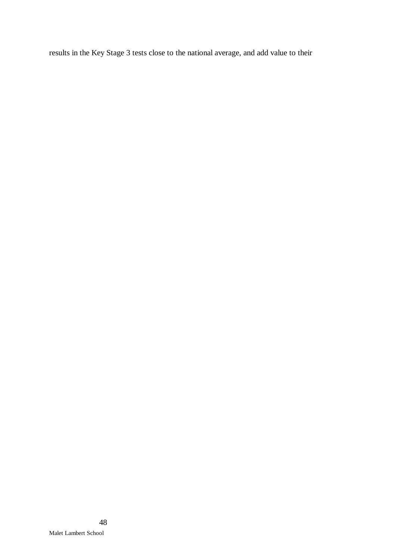results in the Key Stage 3 tests close to the national average, and add value to their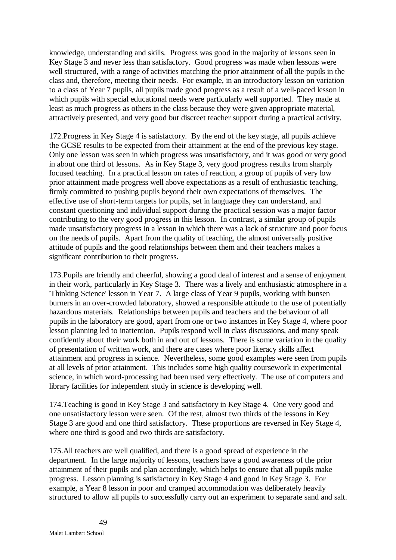knowledge, understanding and skills. Progress was good in the majority of lessons seen in Key Stage 3 and never less than satisfactory. Good progress was made when lessons were well structured, with a range of activities matching the prior attainment of all the pupils in the class and, therefore, meeting their needs. For example, in an introductory lesson on variation to a class of Year 7 pupils, all pupils made good progress as a result of a well-paced lesson in which pupils with special educational needs were particularly well supported. They made at least as much progress as others in the class because they were given appropriate material, attractively presented, and very good but discreet teacher support during a practical activity.

172.Progress in Key Stage 4 is satisfactory. By the end of the key stage, all pupils achieve the GCSE results to be expected from their attainment at the end of the previous key stage. Only one lesson was seen in which progress was unsatisfactory, and it was good or very good in about one third of lessons. As in Key Stage 3, very good progress results from sharply focused teaching. In a practical lesson on rates of reaction, a group of pupils of very low prior attainment made progress well above expectations as a result of enthusiastic teaching, firmly committed to pushing pupils beyond their own expectations of themselves. The effective use of short-term targets for pupils, set in language they can understand, and constant questioning and individual support during the practical session was a major factor contributing to the very good progress in this lesson. In contrast, a similar group of pupils made unsatisfactory progress in a lesson in which there was a lack of structure and poor focus on the needs of pupils. Apart from the quality of teaching, the almost universally positive attitude of pupils and the good relationships between them and their teachers makes a significant contribution to their progress.

173.Pupils are friendly and cheerful, showing a good deal of interest and a sense of enjoyment in their work, particularly in Key Stage 3. There was a lively and enthusiastic atmosphere in a 'Thinking Science' lesson in Year 7. A large class of Year 9 pupils, working with bunsen burners in an over-crowded laboratory, showed a responsible attitude to the use of potentially hazardous materials. Relationships between pupils and teachers and the behaviour of all pupils in the laboratory are good, apart from one or two instances in Key Stage 4, where poor lesson planning led to inattention. Pupils respond well in class discussions, and many speak confidently about their work both in and out of lessons. There is some variation in the quality of presentation of written work, and there are cases where poor literacy skills affect attainment and progress in science. Nevertheless, some good examples were seen from pupils at all levels of prior attainment. This includes some high quality coursework in experimental science, in which word-processing had been used very effectively. The use of computers and library facilities for independent study in science is developing well.

174.Teaching is good in Key Stage 3 and satisfactory in Key Stage 4. One very good and one unsatisfactory lesson were seen. Of the rest, almost two thirds of the lessons in Key Stage 3 are good and one third satisfactory. These proportions are reversed in Key Stage 4, where one third is good and two thirds are satisfactory.

175.All teachers are well qualified, and there is a good spread of experience in the department. In the large majority of lessons, teachers have a good awareness of the prior attainment of their pupils and plan accordingly, which helps to ensure that all pupils make progress. Lesson planning is satisfactory in Key Stage 4 and good in Key Stage 3. For example, a Year 8 lesson in poor and cramped accommodation was deliberately heavily structured to allow all pupils to successfully carry out an experiment to separate sand and salt.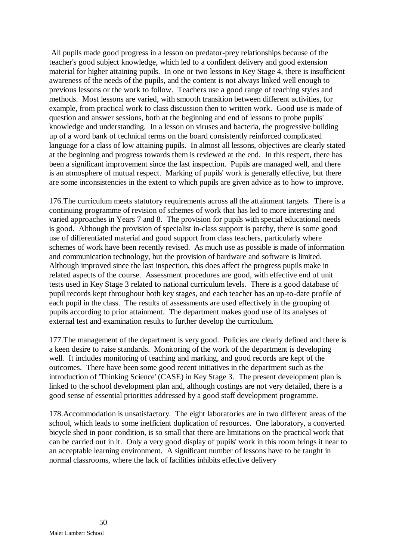All pupils made good progress in a lesson on predator-prey relationships because of the teacher's good subject knowledge, which led to a confident delivery and good extension material for higher attaining pupils. In one or two lessons in Key Stage 4, there is insufficient awareness of the needs of the pupils, and the content is not always linked well enough to previous lessons or the work to follow. Teachers use a good range of teaching styles and methods. Most lessons are varied, with smooth transition between different activities, for example, from practical work to class discussion then to written work. Good use is made of question and answer sessions, both at the beginning and end of lessons to probe pupils' knowledge and understanding. In a lesson on viruses and bacteria, the progressive building up of a word bank of technical terms on the board consistently reinforced complicated language for a class of low attaining pupils. In almost all lessons, objectives are clearly stated at the beginning and progress towards them is reviewed at the end. In this respect, there has been a significant improvement since the last inspection. Pupils are managed well, and there is an atmosphere of mutual respect. Marking of pupils' work is generally effective, but there are some inconsistencies in the extent to which pupils are given advice as to how to improve.

176.The curriculum meets statutory requirements across all the attainment targets. There is a continuing programme of revision of schemes of work that has led to more interesting and varied approaches in Years 7 and 8. The provision for pupils with special educational needs is good. Although the provision of specialist in-class support is patchy, there is some good use of differentiated material and good support from class teachers, particularly where schemes of work have been recently revised. As much use as possible is made of information and communication technology, but the provision of hardware and software is limited. Although improved since the last inspection, this does affect the progress pupils make in related aspects of the course. Assessment procedures are good, with effective end of unit tests used in Key Stage 3 related to national curriculum levels. There is a good database of pupil records kept throughout both key stages, and each teacher has an up-to-date profile of each pupil in the class. The results of assessments are used effectively in the grouping of pupils according to prior attainment. The department makes good use of its analyses of external test and examination results to further develop the curriculum.

177.The management of the department is very good. Policies are clearly defined and there is a keen desire to raise standards. Monitoring of the work of the department is developing well. It includes monitoring of teaching and marking, and good records are kept of the outcomes. There have been some good recent initiatives in the department such as the introduction of 'Thinking Science' (CASE) in Key Stage 3. The present development plan is linked to the school development plan and, although costings are not very detailed, there is a good sense of essential priorities addressed by a good staff development programme.

178.Accommodation is unsatisfactory. The eight laboratories are in two different areas of the school, which leads to some inefficient duplication of resources. One laboratory, a converted bicycle shed in poor condition, is so small that there are limitations on the practical work that can be carried out in it. Only a very good display of pupils' work in this room brings it near to an acceptable learning environment. A significant number of lessons have to be taught in normal classrooms, where the lack of facilities inhibits effective delivery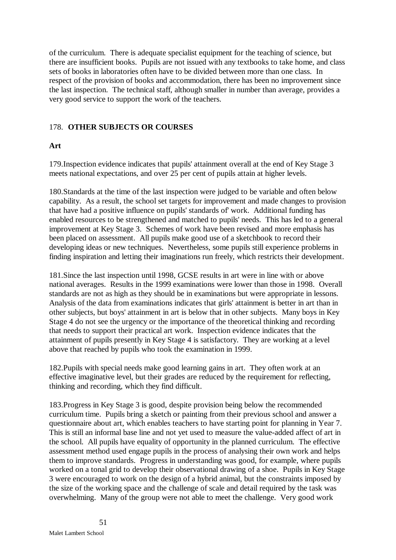of the curriculum. There is adequate specialist equipment for the teaching of science, but there are insufficient books. Pupils are not issued with any textbooks to take home, and class sets of books in laboratories often have to be divided between more than one class. In respect of the provision of books and accommodation, there has been no improvement since the last inspection. The technical staff, although smaller in number than average, provides a very good service to support the work of the teachers.

## 178. **OTHER SUBJECTS OR COURSES**

## **Art**

179.Inspection evidence indicates that pupils' attainment overall at the end of Key Stage 3 meets national expectations, and over 25 per cent of pupils attain at higher levels.

180.Standards at the time of the last inspection were judged to be variable and often below capability. As a result, the school set targets for improvement and made changes to provision that have had a positive influence on pupils' standards of' work. Additional funding has enabled resources to be strengthened and matched to pupils' needs. This has led to a general improvement at Key Stage 3. Schemes of work have been revised and more emphasis has been placed on assessment. All pupils make good use of a sketchbook to record their developing ideas or new techniques. Nevertheless, some pupils still experience problems in finding inspiration and letting their imaginations run freely, which restricts their development.

181.Since the last inspection until 1998, GCSE results in art were in line with or above national averages. Results in the 1999 examinations were lower than those in 1998. Overall standards are not as high as they should be in examinations but were appropriate in lessons. Analysis of the data from examinations indicates that girls' attainment is better in art than in other subjects, but boys' attainment in art is below that in other subjects. Many boys in Key Stage 4 do not see the urgency or the importance of the theoretical thinking and recording that needs to support their practical art work. Inspection evidence indicates that the attainment of pupils presently in Key Stage 4 is satisfactory. They are working at a level above that reached by pupils who took the examination in 1999.

182.Pupils with special needs make good learning gains in art. They often work at an effective imaginative level, but their grades are reduced by the requirement for reflecting, thinking and recording, which they find difficult.

183.Progress in Key Stage 3 is good, despite provision being below the recommended curriculum time. Pupils bring a sketch or painting from their previous school and answer a questionnaire about art, which enables teachers to have starting point for planning in Year 7. This is still an informal base line and not yet used to measure the value-added affect of art in the school. All pupils have equality of opportunity in the planned curriculum. The effective assessment method used engage pupils in the process of analysing their own work and helps them to improve standards. Progress in understanding was good, for example, where pupils worked on a tonal grid to develop their observational drawing of a shoe. Pupils in Key Stage 3 were encouraged to work on the design of a hybrid animal, but the constraints imposed by the size of the working space and the challenge of scale and detail required by the task was overwhelming. Many of the group were not able to meet the challenge. Very good work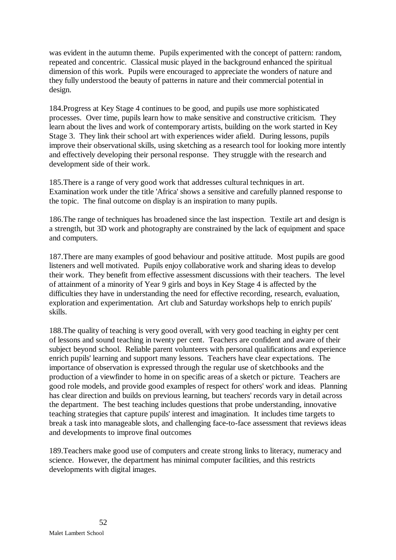was evident in the autumn theme. Pupils experimented with the concept of pattern: random, repeated and concentric. Classical music played in the background enhanced the spiritual dimension of this work. Pupils were encouraged to appreciate the wonders of nature and they fully understood the beauty of patterns in nature and their commercial potential in design.

184.Progress at Key Stage 4 continues to be good, and pupils use more sophisticated processes. Over time, pupils learn how to make sensitive and constructive criticism. They learn about the lives and work of contemporary artists, building on the work started in Key Stage 3. They link their school art with experiences wider afield. During lessons, pupils improve their observational skills, using sketching as a research tool for looking more intently and effectively developing their personal response. They struggle with the research and development side of their work.

185.There is a range of very good work that addresses cultural techniques in art. Examination work under the title 'Africa' shows a sensitive and carefully planned response to the topic. The final outcome on display is an inspiration to many pupils.

186.The range of techniques has broadened since the last inspection. Textile art and design is a strength, but 3D work and photography are constrained by the lack of equipment and space and computers.

187.There are many examples of good behaviour and positive attitude. Most pupils are good listeners and well motivated. Pupils enjoy collaborative work and sharing ideas to develop their work. They benefit from effective assessment discussions with their teachers. The level of attainment of a minority of Year 9 girls and boys in Key Stage 4 is affected by the difficulties they have in understanding the need for effective recording, research, evaluation, exploration and experimentation. Art club and Saturday workshops help to enrich pupils' skills.

188.The quality of teaching is very good overall, with very good teaching in eighty per cent of lessons and sound teaching in twenty per cent. Teachers are confident and aware of their subject beyond school. Reliable parent volunteers with personal qualifications and experience enrich pupils' learning and support many lessons. Teachers have clear expectations. The importance of observation is expressed through the regular use of sketchbooks and the production of a viewfinder to home in on specific areas of a sketch or picture. Teachers are good role models, and provide good examples of respect for others' work and ideas. Planning has clear direction and builds on previous learning, but teachers' records vary in detail across the department. The best teaching includes questions that probe understanding, innovative teaching strategies that capture pupils' interest and imagination. It includes time targets to break a task into manageable slots, and challenging face-to-face assessment that reviews ideas and developments to improve final outcomes

189.Teachers make good use of computers and create strong links to literacy, numeracy and science. However, the department has minimal computer facilities, and this restricts developments with digital images.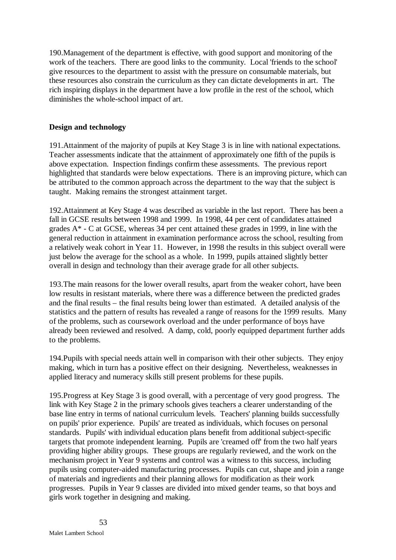190.Management of the department is effective, with good support and monitoring of the work of the teachers. There are good links to the community. Local 'friends to the school' give resources to the department to assist with the pressure on consumable materials, but these resources also constrain the curriculum as they can dictate developments in art. The rich inspiring displays in the department have a low profile in the rest of the school, which diminishes the whole-school impact of art.

## **Design and technology**

191.Attainment of the majority of pupils at Key Stage 3 is in line with national expectations. Teacher assessments indicate that the attainment of approximately one fifth of the pupils is above expectation. Inspection findings confirm these assessments. The previous report highlighted that standards were below expectations. There is an improving picture, which can be attributed to the common approach across the department to the way that the subject is taught.Making remains the strongest attainment target.

192.Attainment at Key Stage 4 was described as variable in the last report. There has been a fall in GCSE results between 1998 and 1999. In 1998, 44 per cent of candidates attained grades A\* - C at GCSE, whereas 34 per cent attained these grades in 1999, in line with the general reduction in attainment in examination performance across the school, resulting from a relatively weak cohort in Year 11. However, in 1998 the results in this subject overall were just below the average for the school as a whole. In 1999, pupils attained slightly better overall in design and technology than their average grade for all other subjects.

193.The main reasons for the lower overall results, apart from the weaker cohort, have been low results in resistant materials, where there was a difference between the predicted grades and the final results – the final results being lower than estimated. A detailed analysis of the statistics and the pattern of results has revealed a range of reasons for the 1999 results. Many of the problems, such as coursework overload and the under performance of boys have already been reviewed and resolved. A damp, cold, poorly equipped department further adds to the problems.

194.Pupils with special needs attain well in comparison with their other subjects. They enjoy making, which in turn has a positive effect on their designing. Nevertheless, weaknesses in applied literacy and numeracy skills still present problems for these pupils.

195.Progress at Key Stage 3 is good overall, with a percentage of very good progress. The link with Key Stage 2 in the primary schools gives teachers a clearer understanding of the base line entry in terms of national curriculum levels. Teachers' planning builds successfully on pupils' prior experience. Pupils' are treated as individuals, which focuses on personal standards. Pupils' with individual education plans benefit from additional subject-specific targets that promote independent learning. Pupils are 'creamed off' from the two half years providing higher ability groups. These groups are regularly reviewed, and the work on the mechanism project in Year 9 systems and control was a witness to this success, including pupils using computer-aided manufacturing processes. Pupils can cut, shape and join a range of materials and ingredients and their planning allows for modification as their work progresses. Pupils in Year 9 classes are divided into mixed gender teams, so that boys and girls work together in designing and making.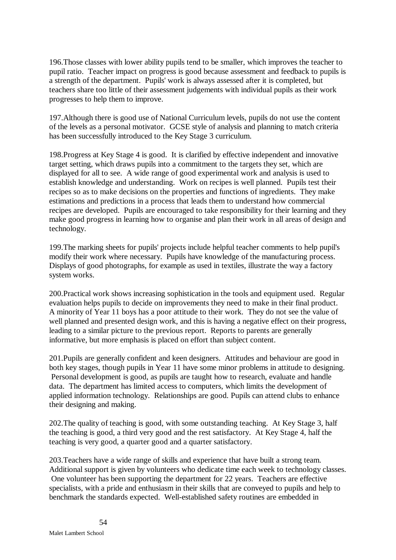196.Those classes with lower ability pupils tend to be smaller, which improves the teacher to pupil ratio. Teacher impact on progress is good because assessment and feedback to pupils is a strength of the department. Pupils' work is always assessed after it is completed, but teachers share too little of their assessment judgements with individual pupils as their work progresses to help them to improve.

197.Although there is good use of National Curriculum levels, pupils do not use the content of the levels as a personal motivator. GCSE style of analysis and planning to match criteria has been successfully introduced to the Key Stage 3 curriculum.

198.Progress at Key Stage 4 is good. It is clarified by effective independent and innovative target setting, which draws pupils into a commitment to the targets they set, which are displayed for all to see. A wide range of good experimental work and analysis is used to establish knowledge and understanding. Work on recipes is well planned. Pupils test their recipes so as to make decisions on the properties and functions of ingredients. They make estimations and predictions in a process that leads them to understand how commercial recipes are developed. Pupils are encouraged to take responsibility for their learning and they make good progress in learning how to organise and plan their work in all areas of design and technology.

199.The marking sheets for pupils' projects include helpful teacher comments to help pupil's modify their work where necessary. Pupils have knowledge of the manufacturing process. Displays of good photographs, for example as used in textiles, illustrate the way a factory system works.

200.Practical work shows increasing sophistication in the tools and equipment used. Regular evaluation helps pupils to decide on improvements they need to make in their final product. A minority of Year 11 boys has a poor attitude to their work. They do not see the value of well planned and presented design work, and this is having a negative effect on their progress, leading to a similar picture to the previous report. Reports to parents are generally informative, but more emphasis is placed on effort than subject content.

201.Pupils are generally confident and keen designers. Attitudes and behaviour are good in both key stages, though pupils in Year 11 have some minor problems in attitude to designing. Personal development is good, as pupils are taught how to research, evaluate and handle data. The department has limited access to computers, which limits the development of applied information technology. Relationships are good. Pupils can attend clubs to enhance their designing and making.

202.The quality of teaching is good, with some outstanding teaching. At Key Stage 3, half the teaching is good, a third very good and the rest satisfactory. At Key Stage 4, half the teaching is very good, a quarter good and a quarter satisfactory.

203.Teachers have a wide range of skills and experience that have built a strong team. Additional support is given by volunteers who dedicate time each week to technology classes. One volunteer has been supporting the department for 22 years. Teachers are effective specialists, with a pride and enthusiasm in their skills that are conveyed to pupils and help to benchmark the standards expected. Well-established safety routines are embedded in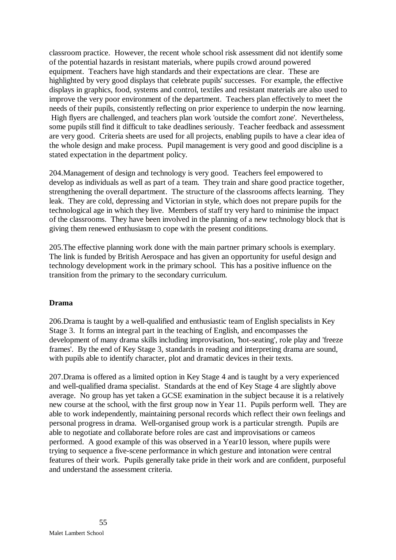classroom practice. However, the recent whole school risk assessment did not identify some of the potential hazards in resistant materials, where pupils crowd around powered equipment. Teachers have high standards and their expectations are clear. These are highlighted by very good displays that celebrate pupils' successes. For example, the effective displays in graphics, food, systems and control, textiles and resistant materials are also used to improve the very poor environment of the department. Teachers plan effectively to meet the needs of their pupils, consistently reflecting on prior experience to underpin the now learning. High flyers are challenged, and teachers plan work 'outside the comfort zone'. Nevertheless, some pupils still find it difficult to take deadlines seriously. Teacher feedback and assessment are very good. Criteria sheets are used for all projects, enabling pupils to have a clear idea of the whole design and make process. Pupil management is very good and good discipline is a stated expectation in the department policy.

204.Management of design and technology is very good. Teachers feel empowered to develop as individuals as well as part of a team. They train and share good practice together, strengthening the overall department. The structure of the classrooms affects learning. They leak. They are cold, depressing and Victorian in style, which does not prepare pupils for the technological age in which they live. Members of staff try very hard to minimise the impact of the classrooms. They have been involved in the planning of a new technology block that is giving them renewed enthusiasm to cope with the present conditions.

205.The effective planning work done with the main partner primary schools is exemplary. The link is funded by British Aerospace and has given an opportunity for useful design and technology development work in the primary school. This has a positive influence on the transition from the primary to the secondary curriculum.

## **Drama**

206.Drama is taught by a well-qualified and enthusiastic team of English specialists in Key Stage 3. It forms an integral part in the teaching of English, and encompasses the development of many drama skills including improvisation, 'hot-seating', role play and 'freeze frames'. By the end of Key Stage 3, standards in reading and interpreting drama are sound, with pupils able to identify character, plot and dramatic devices in their texts.

207.Drama is offered as a limited option in Key Stage 4 and is taught by a very experienced and well-qualified drama specialist. Standards at the end of Key Stage 4 are slightly above average. No group has yet taken a GCSE examination in the subject because it is a relatively new course at the school, with the first group now in Year 11. Pupils perform well. They are able to work independently, maintaining personal records which reflect their own feelings and personal progress in drama. Well-organised group work is a particular strength. Pupils are able to negotiate and collaborate before roles are cast and improvisations or cameos performed. A good example of this was observed in a Year10 lesson, where pupils were trying to sequence a five-scene performance in which gesture and intonation were central features of their work. Pupils generally take pride in their work and are confident, purposeful and understand the assessment criteria.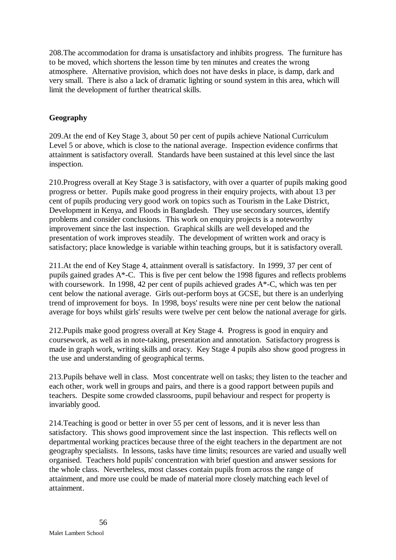208.The accommodation for drama is unsatisfactory and inhibits progress. The furniture has to be moved, which shortens the lesson time by ten minutes and creates the wrong atmosphere. Alternative provision, which does not have desks in place, is damp, dark and very small. There is also a lack of dramatic lighting or sound system in this area, which will limit the development of further theatrical skills.

# **Geography**

209.At the end of Key Stage 3, about 50 per cent of pupils achieve National Curriculum Level 5 or above, which is close to the national average. Inspection evidence confirms that attainment is satisfactory overall. Standards have been sustained at this level since the last inspection.

210.Progress overall at Key Stage 3 is satisfactory, with over a quarter of pupils making good progress or better. Pupils make good progress in their enquiry projects, with about 13 per cent of pupils producing very good work on topics such as Tourism in the Lake District, Development in Kenya, and Floods in Bangladesh. They use secondary sources, identify problems and consider conclusions. This work on enquiry projects is a noteworthy improvement since the last inspection. Graphical skills are well developed and the presentation of work improves steadily. The development of written work and oracy is satisfactory; place knowledge is variable within teaching groups, but it is satisfactory overall.

211.At the end of Key Stage 4, attainment overall is satisfactory. In 1999, 37 per cent of pupils gained grades A\*-C. This is five per cent below the 1998 figures and reflects problems with coursework. In 1998, 42 per cent of pupils achieved grades A\*-C, which was ten per cent below the national average. Girls out-perform boys at GCSE, but there is an underlying trend of improvement for boys. In 1998, boys' results were nine per cent below the national average for boys whilst girls' results were twelve per cent below the national average for girls.

212.Pupils make good progress overall at Key Stage 4. Progress is good in enquiry and coursework, as well as in note-taking, presentation and annotation. Satisfactory progress is made in graph work, writing skills and oracy. Key Stage 4 pupils also show good progress in the use and understanding of geographical terms.

213.Pupils behave well in class. Most concentrate well on tasks; they listen to the teacher and each other, work well in groups and pairs, and there is a good rapport between pupils and teachers. Despite some crowded classrooms, pupil behaviour and respect for property is invariably good.

214.Teaching is good or better in over 55 per cent of lessons, and it is never less than satisfactory. This shows good improvement since the last inspection. This reflects well on departmental working practices because three of the eight teachers in the department are not geography specialists. In lessons, tasks have time limits; resources are varied and usually well organised. Teachers hold pupils' concentration with brief question and answer sessions for the whole class. Nevertheless, most classes contain pupils from across the range of attainment, and more use could be made of material more closely matching each level of attainment.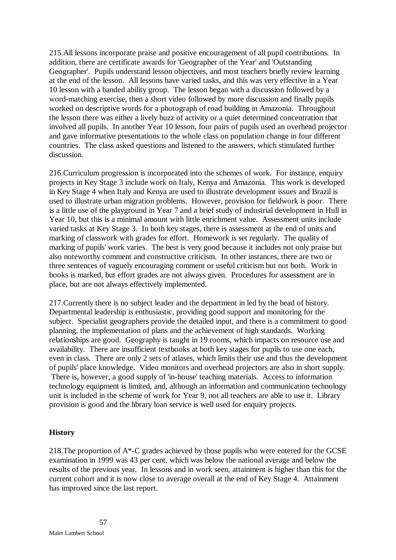215.All lessons incorporate praise and positive encouragement of all pupil contributions. In addition, there are certificate awards for 'Geographer of the Year' and 'Outstanding Geographer'. Pupils understand lesson objectives, and most teachers briefly review learning at the end of the lesson. All lessons have varied tasks, and this was very effective in a Year 10 lesson with a banded ability group. The lesson began with a discussion followed by a word-matching exercise, then a short video followed by more discussion and finally pupils worked on descriptive words for a photograph of road building in Amazonia. Throughout the lesson there was either a lively buzz of activity or a quiet determined concentration that involved all pupils. In another Year 10 lesson, four pairs of pupils used an overhead projector and gave informative presentations to the whole class on population change in four different countries. The class asked questions and listened to the answers, which stimulated further discussion.

216.Curriculum progression is incorporated into the schemes of work. For instance, enquiry projects in Key Stage 3 include work on Italy, Kenya and Amazonia. This work is developed in Key Stage 4 when Italy and Kenya are used to illustrate development issues and Brazil is used to illustrate urban migration problems. However, provision for fieldwork is poor. There is a little use of the playground in Year 7 and a brief study of industrial development in Hull in Year 10, but this is a minimal amount with little enrichment value. Assessment units include varied tasks at Key Stage 3. In both key stages, there is assessment at the end of units and marking of classwork with grades for effort. Homework is set regularly. The quality of marking of pupils' work varies. The best is very good because it includes not only praise but also noteworthy comment and constructive criticism. In other instances, there are two or three sentences of vaguely encouraging comment or useful criticism but not both. Work in books is marked, but effort grades are not always given. Procedures for assessment are in place, but are not always effectively implemented.

217.Currently there is no subject leader and the department in led by the head of history. Departmental leadership is enthusiastic, providing good support and monitoring for the subject. Specialist geographers provide the detailed input, and there is a commitment to good planning, the implementation of plans and the achievement of high standards. Working relationships are good. Geography is taught in 19 rooms, which impacts on resource use and availability. There are insufficient textbooks at both key stages for pupils to use one each, even in class. There are only 2 sets of atlases, which limits their use and thus the development of pupils' place knowledge. Video monitors and overhead projectors are also in short supply. There is, however, a good supply of 'in-house' teaching materials. Access to information technology equipment is limited, and, although an information and communication technology unit is included in the scheme of work for Year 9, not all teachers are able to use it. Library provision is good and the library loan service is well used for enquiry projects.

## **History**

218.The proportion of A\*-C grades achieved by those pupils who were entered for the GCSE examination in 1999 was 43 per cent, which was below the national average and below the results of the previous year. In lessons and in work seen, attainment is higher than this for the current cohort and it is now close to average overall at the end of Key Stage 4. Attainment has improved since the last report.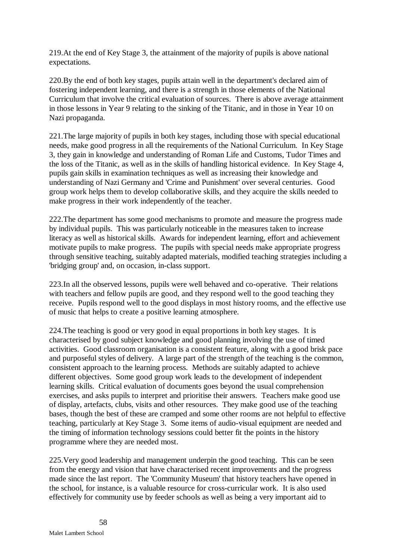219.At the end of Key Stage 3, the attainment of the majority of pupils is above national expectations.

220.By the end of both key stages, pupils attain well in the department's declared aim of fostering independent learning, and there is a strength in those elements of the National Curriculum that involve the critical evaluation of sources. There is above average attainment in those lessons in Year 9 relating to the sinking of the Titanic, and in those in Year 10 on Nazi propaganda.

221.The large majority of pupils in both key stages, including those with special educational needs, make good progress in all the requirements of the National Curriculum. In Key Stage 3, they gain in knowledge and understanding of Roman Life and Customs, Tudor Times and the loss of the Titanic, as well as in the skills of handling historical evidence. In Key Stage 4, pupils gain skills in examination techniques as well as increasing their knowledge and understanding of Nazi Germany and 'Crime and Punishment' over several centuries. Good group work helps them to develop collaborative skills, and they acquire the skills needed to make progress in their work independently of the teacher.

222.The department has some good mechanisms to promote and measure the progress made by individual pupils. This was particularly noticeable in the measures taken to increase literacy as well as historical skills. Awards for independent learning, effort and achievement motivate pupils to make progress. The pupils with special needs make appropriate progress through sensitive teaching, suitably adapted materials, modified teaching strategies including a 'bridging group' and, on occasion, in-class support.

223.In all the observed lessons, pupils were well behaved and co-operative. Their relations with teachers and fellow pupils are good, and they respond well to the good teaching they receive. Pupils respond well to the good displays in most history rooms, and the effective use of music that helps to create a positive learning atmosphere.

224.The teaching is good or very good in equal proportions in both key stages. It is characterised by good subject knowledge and good planning involving the use of timed activities. Good classroom organisation is a consistent feature, along with a good brisk pace and purposeful styles of delivery. A large part of the strength of the teaching is the common, consistent approach to the learning process. Methods are suitably adapted to achieve different objectives. Some good group work leads to the development of independent learning skills. Critical evaluation of documents goes beyond the usual comprehension exercises, and asks pupils to interpret and prioritise their answers. Teachers make good use of display, artefacts, clubs, visits and other resources. They make good use of the teaching bases, though the best of these are cramped and some other rooms are not helpful to effective teaching, particularly at Key Stage 3. Some items of audio-visual equipment are needed and the timing of information technology sessions could better fit the points in the history programme where they are needed most.

225.Very good leadership and management underpin the good teaching. This can be seen from the energy and vision that have characterised recent improvements and the progress made since the last report. The 'Community Museum' that history teachers have opened in the school, for instance, is a valuable resource for cross-curricular work. It is also used effectively for community use by feeder schools as well as being a very important aid to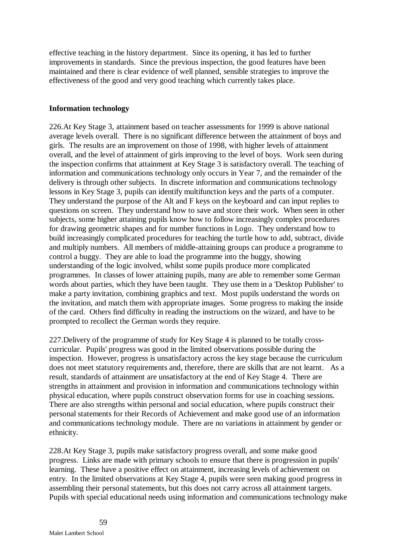effective teaching in the history department. Since its opening, it has led to further improvements in standards. Since the previous inspection, the good features have been maintained and there is clear evidence of well planned, sensible strategies to improve the effectiveness of the good and very good teaching which currently takes place.

### **Information technology**

226.At Key Stage 3, attainment based on teacher assessments for 1999 is above national average levels overall. There is no significant difference between the attainment of boys and girls. The results are an improvement on those of 1998, with higher levels of attainment overall, and the level of attainment of girls improving to the level of boys. Work seen during the inspection confirms that attainment at Key Stage 3 is satisfactory overall. The teaching of information and communications technology only occurs in Year 7, and the remainder of the delivery is through other subjects. In discrete information and communications technology lessons in Key Stage 3, pupils can identify multifunction keys and the parts of a computer. They understand the purpose of the Alt and F keys on the keyboard and can input replies to questions on screen. They understand how to save and store their work. When seen in other subjects, some higher attaining pupils know how to follow increasingly complex procedures for drawing geometric shapes and for number functions in Logo. They understand how to build increasingly complicated procedures for teaching the turtle how to add, subtract, divide and multiply numbers. All members of middle-attaining groups can produce a programme to control a buggy. They are able to load the programme into the buggy, showing understanding of the logic involved, whilst some pupils produce more complicated programmes. In classes of lower attaining pupils, many are able to remember some German words about parties, which they have been taught. They use them in a 'Desktop Publisher' to make a party invitation, combining graphics and text. Most pupils understand the words on the invitation, and match them with appropriate images. Some progress to making the inside of the card. Others find difficulty in reading the instructions on the wizard, and have to be prompted to recollect the German words they require.

227.Delivery of the programme of study for Key Stage 4 is planned to be totally crosscurricular. Pupils' progress was good in the limited observations possible during the inspection. However, progress is unsatisfactory across the key stage because the curriculum does not meet statutory requirements and, therefore, there are skills that are not learnt. As a result, standards of attainment are unsatisfactory at the end of Key Stage 4. There are strengths in attainment and provision in information and communications technology within physical education, where pupils construct observation forms for use in coaching sessions. There are also strengths within personal and social education, where pupils construct their personal statements for their Records of Achievement and make good use of an information and communications technology module. There are no variations in attainment by gender or ethnicity.

228.At Key Stage 3, pupils make satisfactory progress overall, and some make good progress. Links are made with primary schools to ensure that there is progression in pupils' learning. These have a positive effect on attainment, increasing levels of achievement on entry. In the limited observations at Key Stage 4, pupils were seen making good progress in assembling their personal statements, but this does not carry across all attainment targets. Pupils with special educational needs using information and communications technology make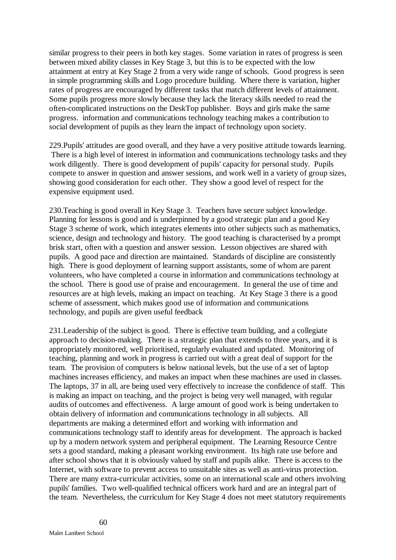similar progress to their peers in both key stages. Some variation in rates of progress is seen between mixed ability classes in Key Stage 3, but this is to be expected with the low attainment at entry at Key Stage 2 from a very wide range of schools. Good progress is seen in simple programming skills and Logo procedure building. Where there is variation, higher rates of progress are encouraged by different tasks that match different levels of attainment. Some pupils progress more slowly because they lack the literacy skills needed to read the often-complicated instructions on the DeskTop publisher. Boys and girls make the same progress. information and communications technology teaching makes a contribution to social development of pupils as they learn the impact of technology upon society.

229.Pupils' attitudes are good overall, and they have a very positive attitude towards learning. There is a high level of interest in information and communications technology tasks and they work diligently. There is good development of pupils' capacity for personal study. Pupils compete to answer in question and answer sessions, and work well in a variety of group sizes, showing good consideration for each other. They show a good level of respect for the expensive equipment used.

230.Teaching is good overall in Key Stage 3. Teachers have secure subject knowledge. Planning for lessons is good and is underpinned by a good strategic plan and a good Key Stage 3 scheme of work, which integrates elements into other subjects such as mathematics, science, design and technology and history. The good teaching is characterised by a prompt brisk start, often with a question and answer session. Lesson objectives are shared with pupils. A good pace and direction are maintained. Standards of discipline are consistently high. There is good deployment of learning support assistants, some of whom are parent volunteers, who have completed a course in information and communications technology at the school. There is good use of praise and encouragement. In general the use of time and resources are at high levels, making an impact on teaching. At Key Stage 3 there is a good scheme of assessment, which makes good use of information and communications technology, and pupils are given useful feedback

231.Leadership of the subject is good. There is effective team building, and a collegiate approach to decision-making. There is a strategic plan that extends to three years, and it is appropriately monitored, well prioritised, regularly evaluated and updated. Monitoring of teaching, planning and work in progress is carried out with a great deal of support for the team. The provision of computers is below national levels, but the use of a set of laptop machines increases efficiency, and makes an impact when these machines are used in classes. The laptops, 37 in all, are being used very effectively to increase the confidence of staff. This is making an impact on teaching, and the project is being very well managed, with regular audits of outcomes and effectiveness. A large amount of good work is being undertaken to obtain delivery of information and communications technology in all subjects. All departments are making a determined effort and working with information and communications technology staff to identify areas for development. The approach is backed up by a modern network system and peripheral equipment. The Learning Resource Centre sets a good standard, making a pleasant working environment. Its high rate use before and after school shows that it is obviously valued by staff and pupils alike. There is access to the Internet, with software to prevent access to unsuitable sites as well as anti-virus protection. There are many extra-curricular activities, some on an international scale and others involving pupils' families. Two well-qualified technical officers work hard and are an integral part of the team. Nevertheless, the curriculum for Key Stage 4 does not meet statutory requirements

60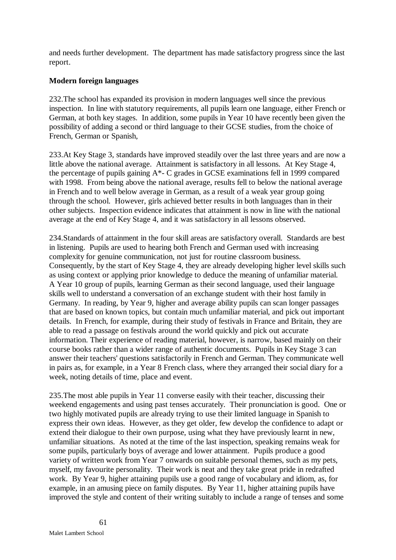and needs further development. The department has made satisfactory progress since the last report.

## **Modern foreign languages**

232.The school has expanded its provision in modern languages well since the previous inspection. In line with statutory requirements, all pupils learn one language, either French or German, at both key stages. In addition, some pupils in Year 10 have recently been given the possibility of adding a second or third language to their GCSE studies, from the choice of French, German or Spanish,

233.At Key Stage 3, standards have improved steadily over the last three years and are now a little above the national average. Attainment is satisfactory in all lessons. At Key Stage 4, the percentage of pupils gaining A\*- C grades in GCSE examinations fell in 1999 compared with 1998. From being above the national average, results fell to below the national average in French and to well below average in German, as a result of a weak year group going through the school. However, girls achieved better results in both languages than in their other subjects. Inspection evidence indicates that attainment is now in line with the national average at the end of Key Stage 4, and it was satisfactory in all lessons observed.

234.Standards of attainment in the four skill areas are satisfactory overall. Standards are best in listening. Pupils are used to hearing both French and German used with increasing complexity for genuine communication, not just for routine classroom business. Consequently, by the start of Key Stage 4, they are already developing higher level skills such as using context or applying prior knowledge to deduce the meaning of unfamiliar material. A Year 10 group of pupils, learning German as their second language, used their language skills well to understand a conversation of an exchange student with their host family in Germany. In reading, by Year 9, higher and average ability pupils can scan longer passages that are based on known topics, but contain much unfamiliar material, and pick out important details. In French, for example, during their study of festivals in France and Britain, they are able to read a passage on festivals around the world quickly and pick out accurate information. Their experience of reading material, however, is narrow, based mainly on their course books rather than a wider range of authentic documents. Pupils in Key Stage 3 can answer their teachers' questions satisfactorily in French and German. They communicate well in pairs as, for example, in a Year 8 French class, where they arranged their social diary for a week, noting details of time, place and event.

235.The most able pupils in Year 11 converse easily with their teacher, discussing their weekend engagements and using past tenses accurately. Their pronunciation is good. One or two highly motivated pupils are already trying to use their limited language in Spanish to express their own ideas. However, as they get older, few develop the confidence to adapt or extend their dialogue to their own purpose, using what they have previously learnt in new, unfamiliar situations. As noted at the time of the last inspection, speaking remains weak for some pupils, particularly boys of average and lower attainment. Pupils produce a good variety of written work from Year 7 onwards on suitable personal themes, such as my pets, myself, my favourite personality. Their work is neat and they take great pride in redrafted work. By Year 9, higher attaining pupils use a good range of vocabulary and idiom, as, for example, in an amusing piece on family disputes. By Year 11, higher attaining pupils have improved the style and content of their writing suitably to include a range of tenses and some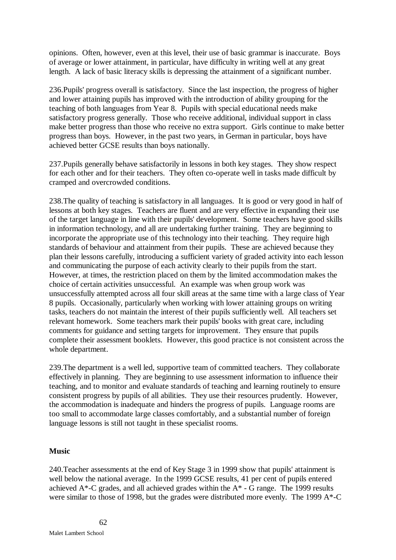opinions. Often, however, even at this level, their use of basic grammar is inaccurate. Boys of average or lower attainment, in particular, have difficulty in writing well at any great length. A lack of basic literacy skills is depressing the attainment of a significant number.

236.Pupils' progress overall is satisfactory. Since the last inspection, the progress of higher and lower attaining pupils has improved with the introduction of ability grouping for the teaching of both languages from Year 8. Pupils with special educational needs make satisfactory progress generally. Those who receive additional, individual support in class make better progress than those who receive no extra support. Girls continue to make better progress than boys. However, in the past two years, in German in particular, boys have achieved better GCSE results than boys nationally.

237.Pupils generally behave satisfactorily in lessons in both key stages. They show respect for each other and for their teachers. They often co-operate well in tasks made difficult by cramped and overcrowded conditions.

238.The quality of teaching is satisfactory in all languages. It is good or very good in half of lessons at both key stages. Teachers are fluent and are very effective in expanding their use of the target language in line with their pupils' development. Some teachers have good skills in information technology, and all are undertaking further training. They are beginning to incorporate the appropriate use of this technology into their teaching. They require high standards of behaviour and attainment from their pupils. These are achieved because they plan their lessons carefully, introducing a sufficient variety of graded activity into each lesson and communicating the purpose of each activity clearly to their pupils from the start. However, at times, the restriction placed on them by the limited accommodation makes the choice of certain activities unsuccessful. An example was when group work was unsuccessfully attempted across all four skill areas at the same time with a large class of Year 8 pupils. Occasionally, particularly when working with lower attaining groups on writing tasks, teachers do not maintain the interest of their pupils sufficiently well. All teachers set relevant homework. Some teachers mark their pupils' books with great care, including comments for guidance and setting targets for improvement. They ensure that pupils complete their assessment booklets. However, this good practice is not consistent across the whole department.

239.The department is a well led, supportive team of committed teachers. They collaborate effectively in planning. They are beginning to use assessment information to influence their teaching, and to monitor and evaluate standards of teaching and learning routinely to ensure consistent progress by pupils of all abilities. They use their resources prudently. However, the accommodation is inadequate and hinders the progress of pupils. Language rooms are too small to accommodate large classes comfortably, and a substantial number of foreign language lessons is still not taught in these specialist rooms.

### **Music**

240.Teacher assessments at the end of Key Stage 3 in 1999 show that pupils' attainment is well below the national average. In the 1999 GCSE results, 41 per cent of pupils entered achieved  $A^*$ -C grades, and all achieved grades within the  $A^*$  - G range. The 1999 results were similar to those of 1998, but the grades were distributed more evenly. The 1999 A\*-C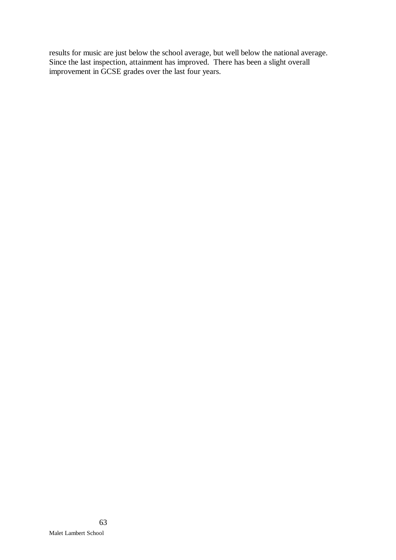results for music are just below the school average, but well below the national average. Since the last inspection, attainment has improved. There has been a slight overall improvement in GCSE grades over the last four years.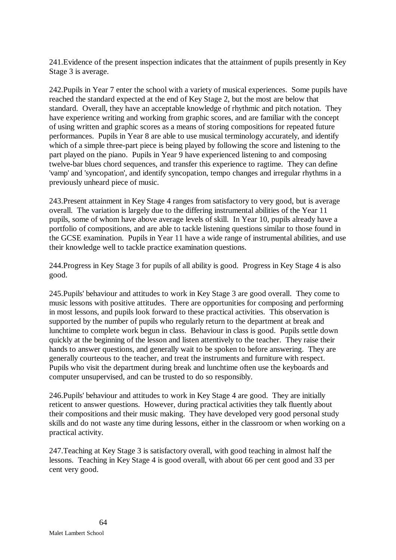241.Evidence of the present inspection indicates that the attainment of pupils presently in Key Stage 3 is average.

242.Pupils in Year 7 enter the school with a variety of musical experiences. Some pupils have reached the standard expected at the end of Key Stage 2, but the most are below that standard. Overall, they have an acceptable knowledge of rhythmic and pitch notation. They have experience writing and working from graphic scores, and are familiar with the concept of using written and graphic scores as a means of storing compositions for repeated future performances. Pupils in Year 8 are able to use musical terminology accurately, and identify which of a simple three-part piece is being played by following the score and listening to the part played on the piano. Pupils in Year 9 have experienced listening to and composing twelve-bar blues chord sequences, and transfer this experience to ragtime. They can define 'vamp' and 'syncopation', and identify syncopation, tempo changes and irregular rhythms in a previously unheard piece of music.

243.Present attainment in Key Stage 4 ranges from satisfactory to very good, but is average overall. The variation is largely due to the differing instrumental abilities of the Year 11 pupils, some of whom have above average levels of skill. In Year 10, pupils already have a portfolio of compositions, and are able to tackle listening questions similar to those found in the GCSE examination. Pupils in Year 11 have a wide range of instrumental abilities, and use their knowledge well to tackle practice examination questions.

244.Progress in Key Stage 3 for pupils of all ability is good. Progress in Key Stage 4 is also good.

245.Pupils' behaviour and attitudes to work in Key Stage 3 are good overall. They come to music lessons with positive attitudes. There are opportunities for composing and performing in most lessons, and pupils look forward to these practical activities. This observation is supported by the number of pupils who regularly return to the department at break and lunchtime to complete work begun in class. Behaviour in class is good. Pupils settle down quickly at the beginning of the lesson and listen attentively to the teacher. They raise their hands to answer questions, and generally wait to be spoken to before answering. They are generally courteous to the teacher, and treat the instruments and furniture with respect. Pupils who visit the department during break and lunchtime often use the keyboards and computer unsupervised, and can be trusted to do so responsibly.

246.Pupils' behaviour and attitudes to work in Key Stage 4 are good. They are initially reticent to answer questions. However, during practical activities they talk fluently about their compositions and their music making. They have developed very good personal study skills and do not waste any time during lessons, either in the classroom or when working on a practical activity.

247.Teaching at Key Stage 3 is satisfactory overall, with good teaching in almost half the lessons. Teaching in Key Stage 4 is good overall, with about 66 per cent good and 33 per cent very good.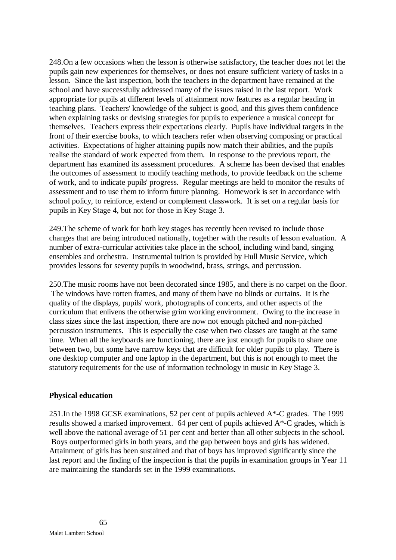248.On a few occasions when the lesson is otherwise satisfactory, the teacher does not let the pupils gain new experiences for themselves, or does not ensure sufficient variety of tasks in a lesson. Since the last inspection, both the teachers in the department have remained at the school and have successfully addressed many of the issues raised in the last report. Work appropriate for pupils at different levels of attainment now features as a regular heading in teaching plans. Teachers' knowledge of the subject is good, and this gives them confidence when explaining tasks or devising strategies for pupils to experience a musical concept for themselves. Teachers express their expectations clearly. Pupils have individual targets in the front of their exercise books, to which teachers refer when observing composing or practical activities. Expectations of higher attaining pupils now match their abilities, and the pupils realise the standard of work expected from them. In response to the previous report, the department has examined its assessment procedures. A scheme has been devised that enables the outcomes of assessment to modify teaching methods, to provide feedback on the scheme of work, and to indicate pupils' progress. Regular meetings are held to monitor the results of assessment and to use them to inform future planning. Homework is set in accordance with school policy, to reinforce, extend or complement classwork. It is set on a regular basis for pupils in Key Stage 4, but not for those in Key Stage 3.

249.The scheme of work for both key stages has recently been revised to include those changes that are being introduced nationally, together with the results of lesson evaluation. A number of extra-curricular activities take place in the school, including wind band, singing ensembles and orchestra. Instrumental tuition is provided by Hull Music Service, which provides lessons for seventy pupils in woodwind, brass, strings, and percussion.

250.The music rooms have not been decorated since 1985, and there is no carpet on the floor. The windows have rotten frames, and many of them have no blinds or curtains. It is the quality of the displays, pupils' work, photographs of concerts, and other aspects of the curriculum that enlivens the otherwise grim working environment. Owing to the increase in class sizes since the last inspection, there are now not enough pitched and non-pitched percussion instruments. This is especially the case when two classes are taught at the same time. When all the keyboards are functioning, there are just enough for pupils to share one between two, but some have narrow keys that are difficult for older pupils to play. There is one desktop computer and one laptop in the department, but this is not enough to meet the statutory requirements for the use of information technology in music in Key Stage 3.

### **Physical education**

251.In the 1998 GCSE examinations, 52 per cent of pupils achieved A\*-C grades. The 1999 results showed a marked improvement. 64 per cent of pupils achieved A\*-C grades, which is well above the national average of 51 per cent and better than all other subjects in the school. Boys outperformed girls in both years, and the gap between boys and girls has widened. Attainment of girls has been sustained and that of boys has improved significantly since the last report and the finding of the inspection is that the pupils in examination groups in Year 11 are maintaining the standards set in the 1999 examinations.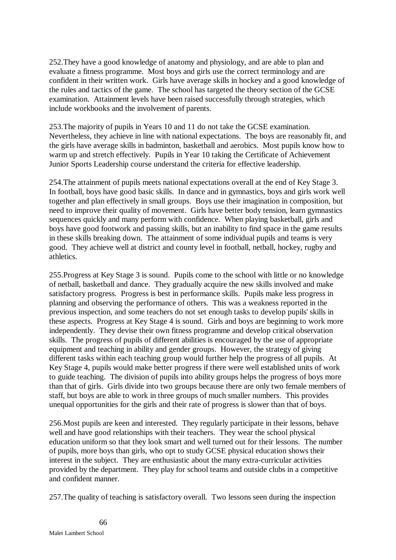252.They have a good knowledge of anatomy and physiology, and are able to plan and evaluate a fitness programme. Most boys and girls use the correct terminology and are confident in their written work. Girls have average skills in hockey and a good knowledge of the rules and tactics of the game. The school has targeted the theory section of the GCSE examination. Attainment levels have been raised successfully through strategies, which include workbooks and the involvement of parents.

253.The majority of pupils in Years 10 and 11 do not take the GCSE examination. Nevertheless, they achieve in line with national expectations. The boys are reasonably fit, and the girls have average skills in badminton, basketball and aerobics. Most pupils know how to warm up and stretch effectively. Pupils in Year 10 taking the Certificate of Achievement Junior Sports Leadership course understand the criteria for effective leadership.

254.The attainment of pupils meets national expectations overall at the end of Key Stage 3. In football, boys have good basic skills. In dance and in gymnastics, boys and girls work well together and plan effectively in small groups. Boys use their imagination in composition, but need to improve their quality of movement. Girls have better body tension, learn gymnastics sequences quickly and many perform with confidence. When playing basketball, girls and boys have good footwork and passing skills, but an inability to find space in the game results in these skills breaking down. The attainment of some individual pupils and teams is very good. They achieve well at district and county level in football, netball, hockey, rugby and athletics.

255.Progress at Key Stage 3 is sound. Pupils come to the school with little or no knowledge of netball, basketball and dance. They gradually acquire the new skills involved and make satisfactory progress. Progress is best in performance skills. Pupils make less progress in planning and observing the performance of others. This was a weakness reported in the previous inspection, and some teachers do not set enough tasks to develop pupils' skills in these aspects. Progress at Key Stage 4 is sound. Girls and boys are beginning to work more independently. They devise their own fitness programme and develop critical observation skills. The progress of pupils of different abilities is encouraged by the use of appropriate equipment and teaching in ability and gender groups. However, the strategy of giving different tasks within each teaching group would further help the progress of all pupils. At Key Stage 4, pupils would make better progress if there were well established units of work to guide teaching. The division of pupils into ability groups helps the progress of boys more than that of girls. Girls divide into two groups because there are only two female members of staff, but boys are able to work in three groups of much smaller numbers. This provides unequal opportunities for the girls and their rate of progress is slower than that of boys.

256.Most pupils are keen and interested. They regularly participate in their lessons, behave well and have good relationships with their teachers. They wear the school physical education uniform so that they look smart and well turned out for their lessons. The number of pupils, more boys than girls, who opt to study GCSE physical education shows their interest in the subject. They are enthusiastic about the many extra-curricular activities provided by the department. They play for school teams and outside clubs in a competitive and confident manner.

257.The quality of teaching is satisfactory overall. Two lessons seen during the inspection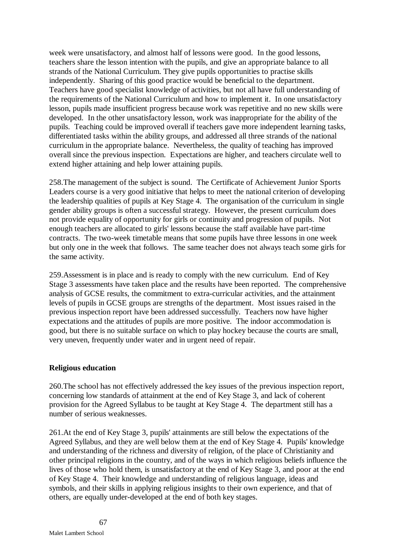week were unsatisfactory, and almost half of lessons were good. In the good lessons, teachers share the lesson intention with the pupils, and give an appropriate balance to all strands of the National Curriculum. They give pupils opportunities to practise skills independently. Sharing of this good practice would be beneficial to the department. Teachers have good specialist knowledge of activities, but not all have full understanding of the requirements of the National Curriculum and how to implement it. In one unsatisfactory lesson, pupils made insufficient progress because work was repetitive and no new skills were developed. In the other unsatisfactory lesson, work was inappropriate for the ability of the pupils. Teaching could be improved overall if teachers gave more independent learning tasks, differentiated tasks within the ability groups, and addressed all three strands of the national curriculum in the appropriate balance. Nevertheless, the quality of teaching has improved overall since the previous inspection. Expectations are higher, and teachers circulate well to extend higher attaining and help lower attaining pupils.

258.The management of the subject is sound. The Certificate of Achievement Junior Sports Leaders course is a very good initiative that helps to meet the national criterion of developing the leadership qualities of pupils at Key Stage 4. The organisation of the curriculum in single gender ability groups is often a successful strategy. However, the present curriculum does not provide equality of opportunity for girls or continuity and progression of pupils. Not enough teachers are allocated to girls' lessons because the staff available have part-time contracts. The two-week timetable means that some pupils have three lessons in one week but only one in the week that follows. The same teacher does not always teach some girls for the same activity.

259.Assessment is in place and is ready to comply with the new curriculum. End of Key Stage 3 assessments have taken place and the results have been reported. The comprehensive analysis of GCSE results, the commitment to extra-curricular activities, and the attainment levels of pupils in GCSE groups are strengths of the department.Most issues raised in the previous inspection report have been addressed successfully. Teachers now have higher expectations and the attitudes of pupils are more positive. The indoor accommodation is good, but there is no suitable surface on which to play hockey because the courts are small, very uneven, frequently under water and in urgent need of repair.

### **Religious education**

260.The school has not effectively addressed the key issues of the previous inspection report, concerning low standards of attainment at the end of Key Stage 3, and lack of coherent provision for the Agreed Syllabus to be taught at Key Stage 4. The department still has a number of serious weaknesses.

261.At the end of Key Stage 3, pupils' attainments are still below the expectations of the Agreed Syllabus, and they are well below them at the end of Key Stage 4. Pupils' knowledge and understanding of the richness and diversity of religion, of the place of Christianity and other principal religions in the country, and of the ways in which religious beliefs influence the lives of those who hold them, is unsatisfactory at the end of Key Stage 3, and poor at the end of Key Stage 4. Their knowledge and understanding of religious language, ideas and symbols, and their skills in applying religious insights to their own experience, and that of others, are equally under-developed at the end of both key stages.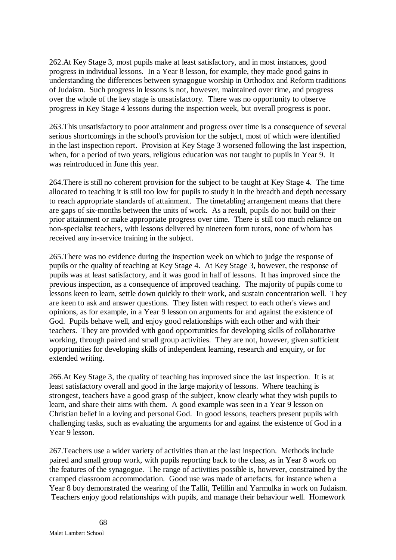262.At Key Stage 3, most pupils make at least satisfactory, and in most instances, good progress in individual lessons. In a Year 8 lesson, for example, they made good gains in understanding the differences between synagogue worship in Orthodox and Reform traditions of Judaism. Such progress in lessons is not, however, maintained over time, and progress over the whole of the key stage is unsatisfactory. There was no opportunity to observe progress in Key Stage 4 lessons during the inspection week, but overall progress is poor.

263.This unsatisfactory to poor attainment and progress over time is a consequence of several serious shortcomings in the school's provision for the subject, most of which were identified in the last inspection report. Provision at Key Stage 3 worsened following the last inspection, when, for a period of two years, religious education was not taught to pupils in Year 9. It was reintroduced in June this year.

264.There is still no coherent provision for the subject to be taught at Key Stage 4. The time allocated to teaching it is still too low for pupils to study it in the breadth and depth necessary to reach appropriate standards of attainment. The timetabling arrangement means that there are gaps of six-months between the units of work. As a result, pupils do not build on their prior attainment or make appropriate progress over time. There is still too much reliance on non-specialist teachers, with lessons delivered by nineteen form tutors, none of whom has received any in-service training in the subject.

265.There was no evidence during the inspection week on which to judge the response of pupils or the quality of teaching at Key Stage 4. At Key Stage 3, however, the response of pupils was at least satisfactory, and it was good in half of lessons. It has improved since the previous inspection, as a consequence of improved teaching. The majority of pupils come to lessons keen to learn, settle down quickly to their work, and sustain concentration well. They are keen to ask and answer questions. They listen with respect to each other's views and opinions, as for example, in a Year 9 lesson on arguments for and against the existence of God. Pupils behave well, and enjoy good relationships with each other and with their teachers. They are provided with good opportunities for developing skills of collaborative working, through paired and small group activities. They are not, however, given sufficient opportunities for developing skills of independent learning, research and enquiry, or for extended writing.

266.At Key Stage 3, the quality of teaching has improved since the last inspection. It is at least satisfactory overall and good in the large majority of lessons. Where teaching is strongest, teachers have a good grasp of the subject, know clearly what they wish pupils to learn, and share their aims with them. A good example was seen in a Year 9 lesson on Christian belief in a loving and personal God. In good lessons, teachers present pupils with challenging tasks, such as evaluating the arguments for and against the existence of God in a Year 9 lesson.

267.Teachers use a wider variety of activities than at the last inspection. Methods include paired and small group work, with pupils reporting back to the class, as in Year 8 work on the features of the synagogue. The range of activities possible is, however, constrained by the cramped classroom accommodation. Good use was made of artefacts, for instance when a Year 8 boy demonstrated the wearing of the Tallit, Tefillin and Yarmulka in work on Judaism. Teachers enjoy good relationships with pupils, and manage their behaviour well. Homework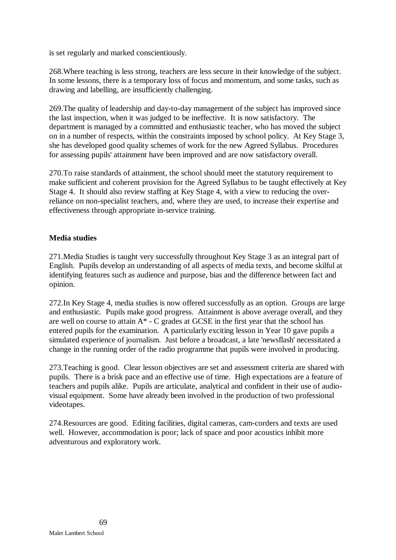is set regularly and marked conscientiously.

268.Where teaching is less strong, teachers are less secure in their knowledge of the subject. In some lessons, there is a temporary loss of focus and momentum, and some tasks, such as drawing and labelling, are insufficiently challenging.

269.The quality of leadership and day-to-day management of the subject has improved since the last inspection, when it was judged to be ineffective. It is now satisfactory. The department is managed by a committed and enthusiastic teacher, who has moved the subject on in a number of respects, within the constraints imposed by school policy. At Key Stage 3, she has developed good quality schemes of work for the new Agreed Syllabus. Procedures for assessing pupils' attainment have been improved and are now satisfactory overall.

270.To raise standards of attainment, the school should meet the statutory requirement to make sufficient and coherent provision for the Agreed Syllabus to be taught effectively at Key Stage 4. It should also review staffing at Key Stage 4, with a view to reducing the overreliance on non-specialist teachers, and, where they are used, to increase their expertise and effectiveness through appropriate in-service training.

## **Media studies**

271.Media Studies is taught very successfully throughout Key Stage 3 as an integral part of English. Pupils develop an understanding of all aspects of media texts, and become skilful at identifying features such as audience and purpose, bias and the difference between fact and opinion.

272.In Key Stage 4, media studies is now offered successfully as an option. Groups are large and enthusiastic. Pupils make good progress. Attainment is above average overall, and they are well on course to attain  $A^*$  - C grades at GCSE in the first year that the school has entered pupils for the examination. A particularly exciting lesson in Year 10 gave pupils a simulated experience of journalism. Just before a broadcast, a late 'newsflash' necessitated a change in the running order of the radio programme that pupils were involved in producing.

273.Teaching is good. Clear lesson objectives are set and assessment criteria are shared with pupils. There is a brisk pace and an effective use of time. High expectations are a feature of teachers and pupils alike. Pupils are articulate, analytical and confident in their use of audiovisual equipment. Some have already been involved in the production of two professional videotapes.

274.Resources are good. Editing facilities, digital cameras, cam-corders and texts are used well. However, accommodation is poor; lack of space and poor acoustics inhibit more adventurous and exploratory work.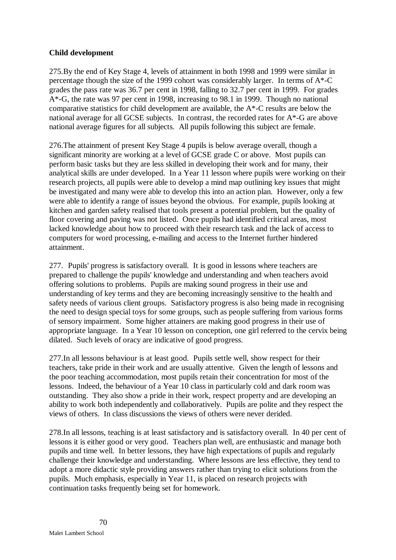## **Child development**

275.By the end of Key Stage 4, levels of attainment in both 1998 and 1999 were similar in percentage though the size of the 1999 cohort was considerably larger. In terms of A\*-C grades the pass rate was 36.7 per cent in 1998, falling to 32.7 per cent in 1999. For grades A\*-G, the rate was 97 per cent in 1998, increasing to 98.1 in 1999. Though no national comparative statistics for child development are available, the A\*-C results are below the national average for all GCSE subjects. In contrast, the recorded rates for A\*-G are above national average figures for all subjects. All pupils following this subject are female.

276.The attainment of present Key Stage 4 pupils is below average overall, though a significant minority are working at a level of GCSE grade C or above. Most pupils can perform basic tasks but they are less skilled in developing their work and for many, their analytical skills are under developed. In a Year 11 lesson where pupils were working on their research projects, all pupils were able to develop a mind map outlining key issues that might be investigated and many were able to develop this into an action plan. However, only a few were able to identify a range of issues beyond the obvious. For example, pupils looking at kitchen and garden safety realised that tools present a potential problem, but the quality of floor covering and paving was not listed. Once pupils had identified critical areas, most lacked knowledge about how to proceed with their research task and the lack of access to computers for word processing, e-mailing and access to the Internet further hindered attainment.

277. Pupils' progress is satisfactory overall. It is good in lessons where teachers are prepared to challenge the pupils' knowledge and understanding and when teachers avoid offering solutions to problems. Pupils are making sound progress in their use and understanding of key terms and they are becoming increasingly sensitive to the health and safety needs of various client groups. Satisfactory progress is also being made in recognising the need to design special toys for some groups, such as people suffering from various forms of sensory impairment. Some higher attainers are making good progress in their use of appropriate language. In a Year 10 lesson on conception, one girl referred to the cervix being dilated. Such levels of oracy are indicative of good progress.

277.In all lessons behaviour is at least good. Pupils settle well, show respect for their teachers, take pride in their work and are usually attentive. Given the length of lessons and the poor teaching accommodation, most pupils retain their concentration for most of the lessons. Indeed, the behaviour of a Year 10 class in particularly cold and dark room was outstanding. They also show a pride in their work, respect property and are developing an ability to work both independently and collaboratively. Pupils are polite and they respect the views of others. In class discussions the views of others were never derided.

278.In all lessons, teaching is at least satisfactory and is satisfactory overall. In 40 per cent of lessons it is either good or very good. Teachers plan well, are enthusiastic and manage both pupils and time well. In better lessons, they have high expectations of pupils and regularly challenge their knowledge and understanding. Where lessons are less effective, they tend to adopt a more didactic style providing answers rather than trying to elicit solutions from the pupils. Much emphasis, especially in Year 11, is placed on research projects with continuation tasks frequently being set for homework.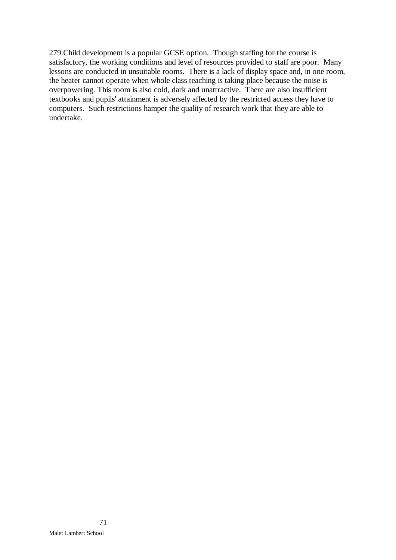279.Child development is a popular GCSE option. Though staffing for the course is satisfactory, the working conditions and level of resources provided to staff are poor. Many lessons are conducted in unsuitable rooms. There is a lack of display space and, in one room, the heater cannot operate when whole class teaching is taking place because the noise is overpowering. This room is also cold, dark and unattractive. There are also insufficient textbooks and pupils' attainment is adversely affected by the restricted access they have to computers. Such restrictions hamper the quality of research work that they are able to undertake.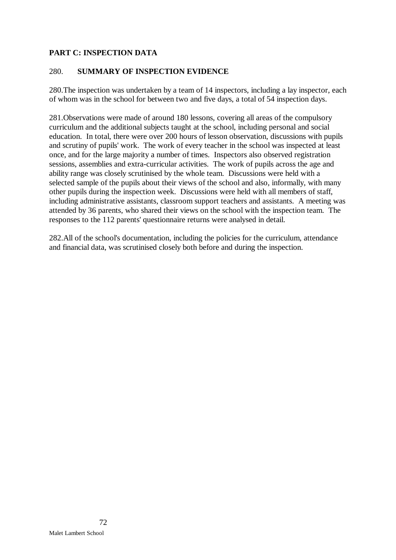# **PART C: INSPECTION DATA**

## 280. **SUMMARY OF INSPECTION EVIDENCE**

280.The inspection was undertaken by a team of 14 inspectors, including a lay inspector, each of whom was in the school for between two and five days, a total of 54 inspection days.

281.Observations were made of around 180 lessons, covering all areas of the compulsory curriculum and the additional subjects taught at the school, including personal and social education. In total, there were over 200 hours of lesson observation, discussions with pupils and scrutiny of pupils' work. The work of every teacher in the school was inspected at least once, and for the large majority a number of times. Inspectors also observed registration sessions, assemblies and extra-curricular activities. The work of pupils across the age and ability range was closely scrutinised by the whole team. Discussions were held with a selected sample of the pupils about their views of the school and also, informally, with many other pupils during the inspection week. Discussions were held with all members of staff, including administrative assistants, classroom support teachers and assistants. A meeting was attended by 36 parents, who shared their views on the school with the inspection team. The responses to the 112 parents' questionnaire returns were analysed in detail.

282.All of the school's documentation, including the policies for the curriculum, attendance and financial data, was scrutinised closely both before and during the inspection.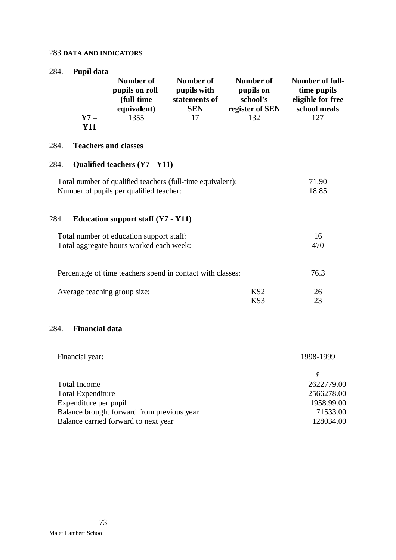#### 283.**DATA AND INDICATORS**

| 284.                                                                                                  | Pupil data                  | <b>Number of</b><br>pupils on roll<br>(full-time<br>equivalent) | Number of<br>pupils with<br>statements of<br><b>SEN</b> | <b>Number of</b><br>pupils on<br>school's<br>register of SEN | Number of full-<br>time pupils<br>eligible for free<br>school meals |
|-------------------------------------------------------------------------------------------------------|-----------------------------|-----------------------------------------------------------------|---------------------------------------------------------|--------------------------------------------------------------|---------------------------------------------------------------------|
|                                                                                                       | $Y7 -$<br><b>Y11</b>        | 1355                                                            | 17                                                      | 132                                                          | 127                                                                 |
| 284.                                                                                                  | <b>Teachers and classes</b> |                                                                 |                                                         |                                                              |                                                                     |
| 284.                                                                                                  |                             | <b>Qualified teachers (Y7 - Y11)</b>                            |                                                         |                                                              |                                                                     |
| Total number of qualified teachers (full-time equivalent):<br>Number of pupils per qualified teacher: | 71.90<br>18.85              |                                                                 |                                                         |                                                              |                                                                     |
| 284.                                                                                                  |                             | Education support staff $(Y7 - Y11)$                            |                                                         |                                                              |                                                                     |
| Total number of education support staff:<br>Total aggregate hours worked each week:                   | 16<br>470                   |                                                                 |                                                         |                                                              |                                                                     |
| Percentage of time teachers spend in contact with classes:                                            | 76.3                        |                                                                 |                                                         |                                                              |                                                                     |
|                                                                                                       |                             | Average teaching group size:                                    |                                                         | KS <sub>2</sub><br>KS3                                       | 26<br>23                                                            |
| 284.                                                                                                  | <b>Financial data</b>       |                                                                 |                                                         |                                                              |                                                                     |

| Financial year:                            | 1998-1999  |  |  |
|--------------------------------------------|------------|--|--|
|                                            |            |  |  |
| <b>Total Income</b>                        | 2622779.00 |  |  |
| <b>Total Expenditure</b>                   | 2566278.00 |  |  |
| Expenditure per pupil                      | 1958.99.00 |  |  |
| Balance brought forward from previous year | 71533.00   |  |  |
| Balance carried forward to next year       | 128034.00  |  |  |